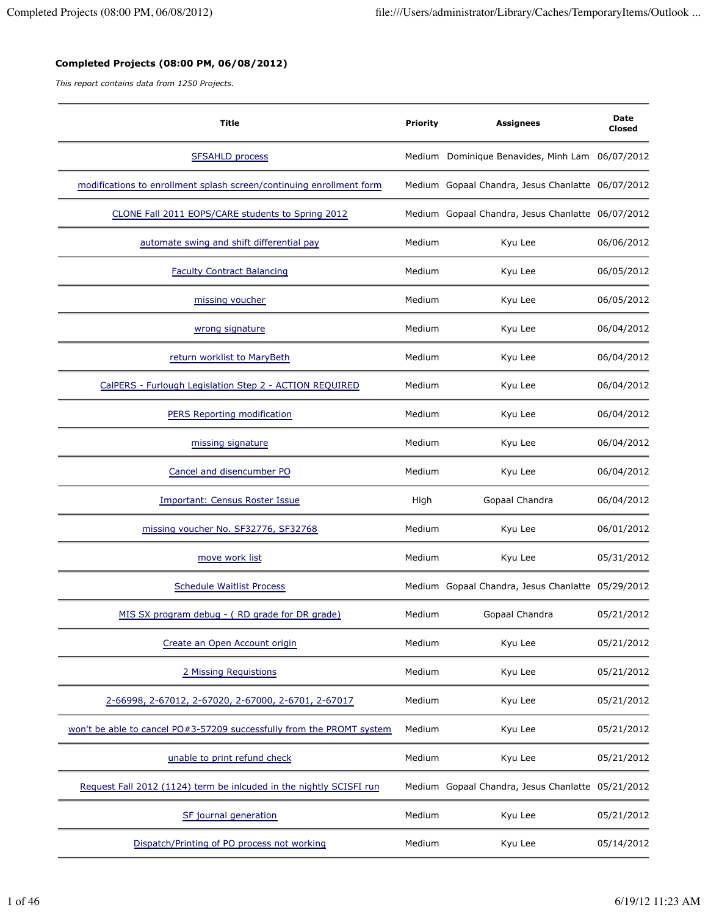## **Completed Projects (08:00 PM, 06/08/2012)**

*This report contains data from 1250 Projects.*

| <b>Title</b>                                                          | <b>Priority</b> | <b>Assignees</b>                                  | Date<br>Closed |
|-----------------------------------------------------------------------|-----------------|---------------------------------------------------|----------------|
| <b>SFSAHLD process</b>                                                |                 | Medium Dominique Benavides, Minh Lam 06/07/2012   |                |
| modifications to enrollment splash screen/continuing enrollment form  |                 | Medium Gopaal Chandra, Jesus Chanlatte 06/07/2012 |                |
| CLONE Fall 2011 EOPS/CARE students to Spring 2012                     |                 | Medium Gopaal Chandra, Jesus Chanlatte 06/07/2012 |                |
| automate swing and shift differential pay                             | Medium          | Kyu Lee                                           | 06/06/2012     |
| <b>Faculty Contract Balancing</b>                                     | Medium          | Kyu Lee                                           | 06/05/2012     |
| missing voucher                                                       | Medium          | Kyu Lee                                           | 06/05/2012     |
| wrong signature                                                       | Medium          | Kyu Lee                                           | 06/04/2012     |
| return worklist to MaryBeth                                           | Medium          | Kyu Lee                                           | 06/04/2012     |
| CalPERS - Furlough Legislation Step 2 - ACTION REQUIRED               | Medium          | Kyu Lee                                           | 06/04/2012     |
| PERS Reporting modification                                           | Medium          | Kyu Lee                                           | 06/04/2012     |
| missing signature                                                     | Medium          | Kyu Lee                                           | 06/04/2012     |
| Cancel and disencumber PO                                             | Medium          | Kyu Lee                                           | 06/04/2012     |
| <b>Important: Census Roster Issue</b>                                 | High            | Gopaal Chandra                                    | 06/04/2012     |
| missing voucher No. SF32776, SF32768                                  | Medium          | Kyu Lee                                           | 06/01/2012     |
| move work list                                                        | Medium          | Kyu Lee                                           | 05/31/2012     |
| <b>Schedule Waitlist Process</b>                                      |                 | Medium Gopaal Chandra, Jesus Chanlatte 05/29/2012 |                |
| MIS SX program debug - (RD grade for DR grade)                        | Medium          | Gopaal Chandra                                    | 05/21/2012     |
| Create an Open Account origin                                         | Medium          | Kyu Lee                                           | 05/21/2012     |
| 2 Missing Requistions                                                 | Medium          | Kyu Lee                                           | 05/21/2012     |
| 2-66998, 2-67012, 2-67020, 2-67000, 2-6701, 2-67017                   | Medium          | Kyu Lee                                           | 05/21/2012     |
| won't be able to cancel PO#3-57209 successfully from the PROMT system | Medium          | Kyu Lee                                           | 05/21/2012     |
| unable to print refund check                                          | Medium          | Kyu Lee                                           | 05/21/2012     |
| Request Fall 2012 (1124) term be inlcuded in the nightly SCISFI run   |                 | Medium Gopaal Chandra, Jesus Chanlatte 05/21/2012 |                |
| SF journal generation                                                 | Medium          | Kyu Lee                                           | 05/21/2012     |
| Dispatch/Printing of PO process not working                           | Medium          | Kyu Lee                                           | 05/14/2012     |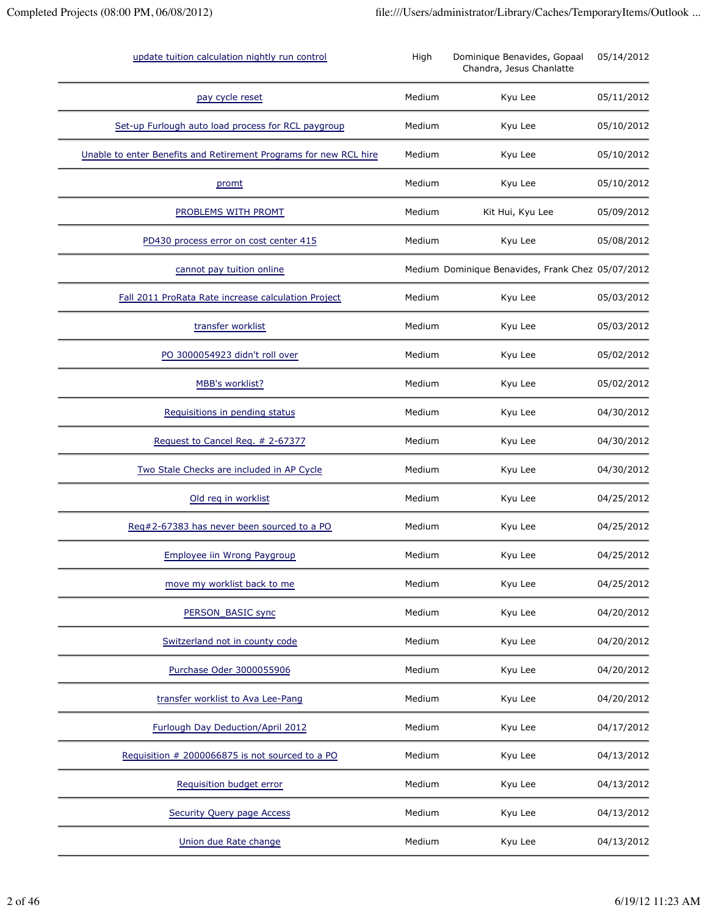| update tuition calculation nightly run control                    | High   | Dominique Benavides, Gopaal<br>Chandra, Jesus Chanlatte | 05/14/2012 |
|-------------------------------------------------------------------|--------|---------------------------------------------------------|------------|
| pay cycle reset                                                   | Medium | Kyu Lee                                                 | 05/11/2012 |
| Set-up Furlough auto load process for RCL paygroup                | Medium | Kyu Lee                                                 | 05/10/2012 |
| Unable to enter Benefits and Retirement Programs for new RCL hire | Medium | Kyu Lee                                                 | 05/10/2012 |
| promt                                                             | Medium | Kyu Lee                                                 | 05/10/2012 |
| PROBLEMS WITH PROMT                                               | Medium | Kit Hui, Kyu Lee                                        | 05/09/2012 |
| PD430 process error on cost center 415                            | Medium | Kyu Lee                                                 | 05/08/2012 |
| cannot pay tuition online                                         |        | Medium Dominique Benavides, Frank Chez 05/07/2012       |            |
| Fall 2011 ProRata Rate increase calculation Project               | Medium | Kyu Lee                                                 | 05/03/2012 |
| transfer worklist                                                 | Medium | Kyu Lee                                                 | 05/03/2012 |
| PO 3000054923 didn't roll over                                    | Medium | Kyu Lee                                                 | 05/02/2012 |
| MBB's worklist?                                                   | Medium | Kyu Lee                                                 | 05/02/2012 |
| Requisitions in pending status                                    | Medium | Kyu Lee                                                 | 04/30/2012 |
| Request to Cancel Req. # 2-67377                                  | Medium | Kyu Lee                                                 | 04/30/2012 |
| Two Stale Checks are included in AP Cycle                         | Medium | Kyu Lee                                                 | 04/30/2012 |
| Old req in worklist                                               | Medium | Kyu Lee                                                 | 04/25/2012 |
| Reg#2-67383 has never been sourced to a PO                        | Medium | Kyu Lee                                                 | 04/25/2012 |
| <b>Employee iin Wrong Paygroup</b>                                | Medium | Kyu Lee                                                 | 04/25/2012 |
| move my worklist back to me                                       | Medium | Kyu Lee                                                 | 04/25/2012 |
| PERSON_BASIC sync                                                 | Medium | Kyu Lee                                                 | 04/20/2012 |
| Switzerland not in county code                                    | Medium | Kyu Lee                                                 | 04/20/2012 |
| Purchase Oder 3000055906                                          | Medium | Kyu Lee                                                 | 04/20/2012 |
| transfer worklist to Ava Lee-Pang                                 | Medium | Kyu Lee                                                 | 04/20/2012 |
| Furlough Day Deduction/April 2012                                 | Medium | Kyu Lee                                                 | 04/17/2012 |
| Requisition # 2000066875 is not sourced to a PO                   | Medium | Kyu Lee                                                 | 04/13/2012 |
| Requisition budget error                                          | Medium | Kyu Lee                                                 | 04/13/2012 |
| <b>Security Query page Access</b>                                 | Medium | Kyu Lee                                                 | 04/13/2012 |
| Union due Rate change                                             | Medium | Kyu Lee                                                 | 04/13/2012 |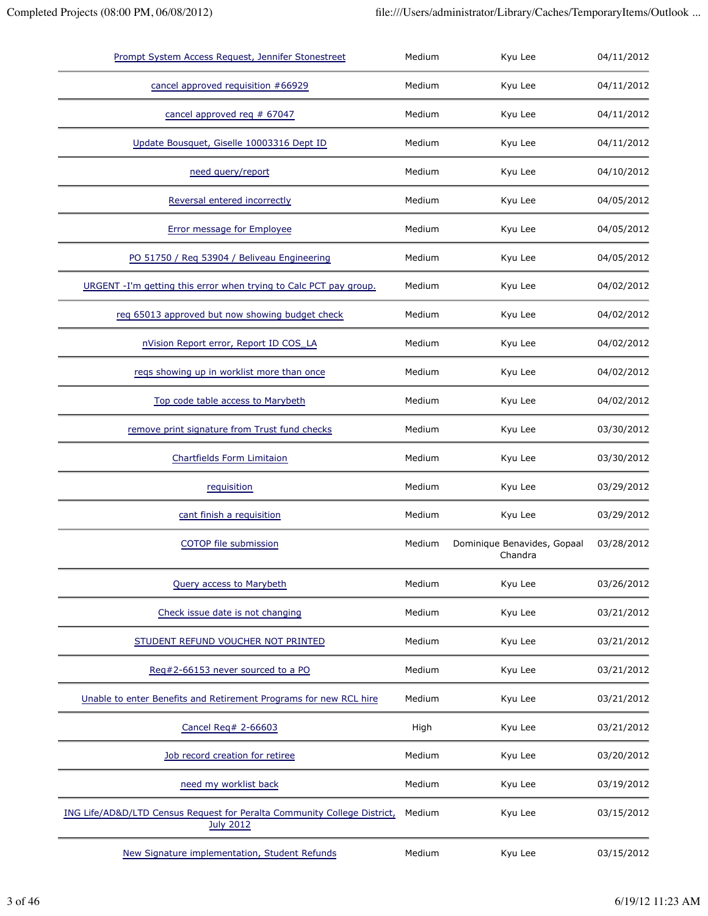| Prompt System Access Request, Jennifer Stonestreet                                           | Medium | Kyu Lee                                | 04/11/2012 |
|----------------------------------------------------------------------------------------------|--------|----------------------------------------|------------|
| cancel approved requisition #66929                                                           | Medium | Kyu Lee                                | 04/11/2012 |
| cancel approved req # 67047                                                                  | Medium | Kyu Lee                                | 04/11/2012 |
| Update Bousquet, Giselle 10003316 Dept ID                                                    | Medium | Kyu Lee                                | 04/11/2012 |
| need query/report                                                                            | Medium | Kyu Lee                                | 04/10/2012 |
| Reversal entered incorrectly                                                                 | Medium | Kyu Lee                                | 04/05/2012 |
| <b>Error message for Employee</b>                                                            | Medium | Kyu Lee                                | 04/05/2012 |
| PO 51750 / Req 53904 / Beliveau Engineering                                                  | Medium | Kyu Lee                                | 04/05/2012 |
| URGENT -I'm getting this error when trying to Calc PCT pay group.                            | Medium | Kyu Lee                                | 04/02/2012 |
| reg 65013 approved but now showing budget check                                              | Medium | Kyu Lee                                | 04/02/2012 |
| nVision Report error, Report ID COS_LA                                                       | Medium | Kyu Lee                                | 04/02/2012 |
| reqs showing up in worklist more than once                                                   | Medium | Kyu Lee                                | 04/02/2012 |
| Top code table access to Marybeth                                                            | Medium | Kyu Lee                                | 04/02/2012 |
| remove print signature from Trust fund checks                                                | Medium | Kyu Lee                                | 03/30/2012 |
| <b>Chartfields Form Limitaion</b>                                                            | Medium | Kyu Lee                                | 03/30/2012 |
| requisition                                                                                  | Medium | Kyu Lee                                | 03/29/2012 |
| cant finish a requisition                                                                    | Medium | Kyu Lee                                | 03/29/2012 |
| COTOP file submission                                                                        | Medium | Dominique Benavides, Gopaal<br>Chandra | 03/28/2012 |
| Query access to Marybeth                                                                     | Medium | Kyu Lee                                | 03/26/2012 |
| Check issue date is not changing                                                             | Medium | Kyu Lee                                | 03/21/2012 |
| STUDENT REFUND VOUCHER NOT PRINTED                                                           | Medium | Kyu Lee                                | 03/21/2012 |
| Req#2-66153 never sourced to a PO                                                            | Medium | Kyu Lee                                | 03/21/2012 |
| Unable to enter Benefits and Retirement Programs for new RCL hire                            | Medium | Kyu Lee                                | 03/21/2012 |
| Cancel Req# 2-66603                                                                          | High   | Kyu Lee                                | 03/21/2012 |
| Job record creation for retiree                                                              | Medium | Kyu Lee                                | 03/20/2012 |
| need my worklist back                                                                        | Medium | Kyu Lee                                | 03/19/2012 |
| ING Life/AD&D/LTD Census Request for Peralta Community College District,<br><b>July 2012</b> | Medium | Kyu Lee                                | 03/15/2012 |
| New Signature implementation, Student Refunds                                                | Medium | Kyu Lee                                | 03/15/2012 |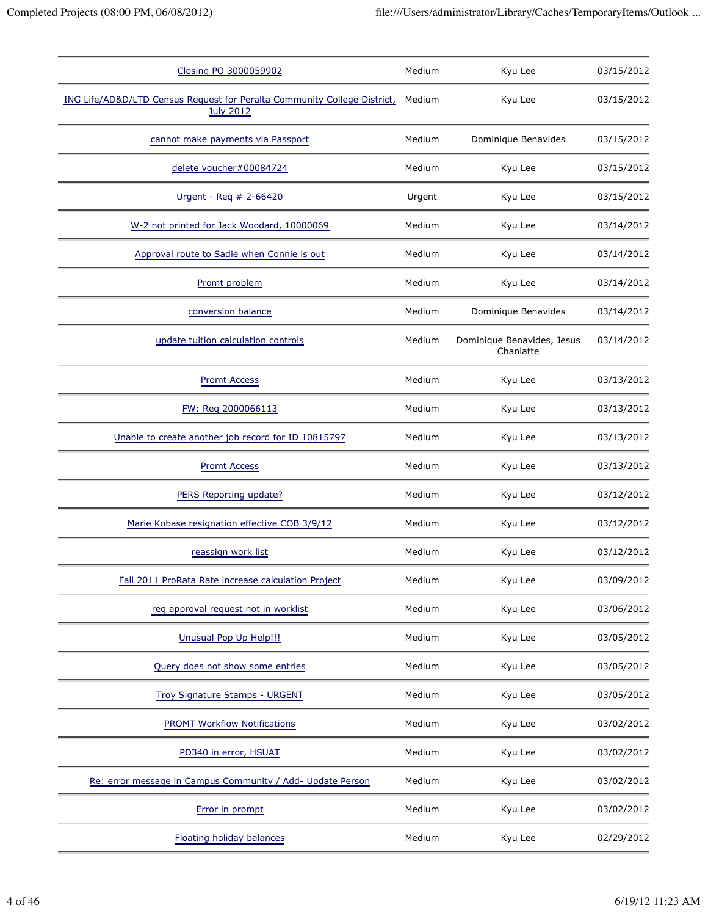| Closing PO 3000059902                                                                        | Medium | Kyu Lee                                 | 03/15/2012 |
|----------------------------------------------------------------------------------------------|--------|-----------------------------------------|------------|
| ING Life/AD&D/LTD Census Request for Peralta Community College District,<br><b>July 2012</b> | Medium | Kyu Lee                                 | 03/15/2012 |
| cannot make payments via Passport                                                            | Medium | Dominique Benavides                     | 03/15/2012 |
| delete voucher#00084724                                                                      | Medium | Kyu Lee                                 | 03/15/2012 |
| Urgent - Req # 2-66420                                                                       | Urgent | Kyu Lee                                 | 03/15/2012 |
| W-2 not printed for Jack Woodard, 10000069                                                   | Medium | Kyu Lee                                 | 03/14/2012 |
| Approval route to Sadie when Connie is out                                                   | Medium | Kyu Lee                                 | 03/14/2012 |
| Promt problem                                                                                | Medium | Kyu Lee                                 | 03/14/2012 |
| conversion balance                                                                           | Medium | Dominique Benavides                     | 03/14/2012 |
| update tuition calculation controls                                                          | Medium | Dominique Benavides, Jesus<br>Chanlatte | 03/14/2012 |
| <b>Promt Access</b>                                                                          | Medium | Kyu Lee                                 | 03/13/2012 |
| FW: Reg 2000066113                                                                           | Medium | Kyu Lee                                 | 03/13/2012 |
| Unable to create another job record for ID 10815797                                          | Medium | Kyu Lee                                 | 03/13/2012 |
| <b>Promt Access</b>                                                                          | Medium | Kyu Lee                                 | 03/13/2012 |
| PERS Reporting update?                                                                       | Medium | Kyu Lee                                 | 03/12/2012 |
| Marie Kobase resignation effective COB 3/9/12                                                | Medium | Kyu Lee                                 | 03/12/2012 |
| reassign work list                                                                           | Medium | Kyu Lee                                 | 03/12/2012 |
| Fall 2011 ProRata Rate increase calculation Project                                          | Medium | Kyu Lee                                 | 03/09/2012 |
| req approval request not in worklist                                                         | Medium | Kyu Lee                                 | 03/06/2012 |
| Unusual Pop Up Help!!!                                                                       | Medium | Kyu Lee                                 | 03/05/2012 |
| Query does not show some entries                                                             | Medium | Kyu Lee                                 | 03/05/2012 |
| Troy Signature Stamps - URGENT                                                               | Medium | Kyu Lee                                 | 03/05/2012 |
| PROMT Workflow Notifications                                                                 | Medium | Kyu Lee                                 | 03/02/2012 |
| PD340 in error, HSUAT                                                                        | Medium | Kyu Lee                                 | 03/02/2012 |
| Re: error message in Campus Community / Add- Update Person                                   | Medium | Kyu Lee                                 | 03/02/2012 |
| Error in prompt                                                                              | Medium | Kyu Lee                                 | 03/02/2012 |
| Floating holiday balances                                                                    | Medium | Kyu Lee                                 | 02/29/2012 |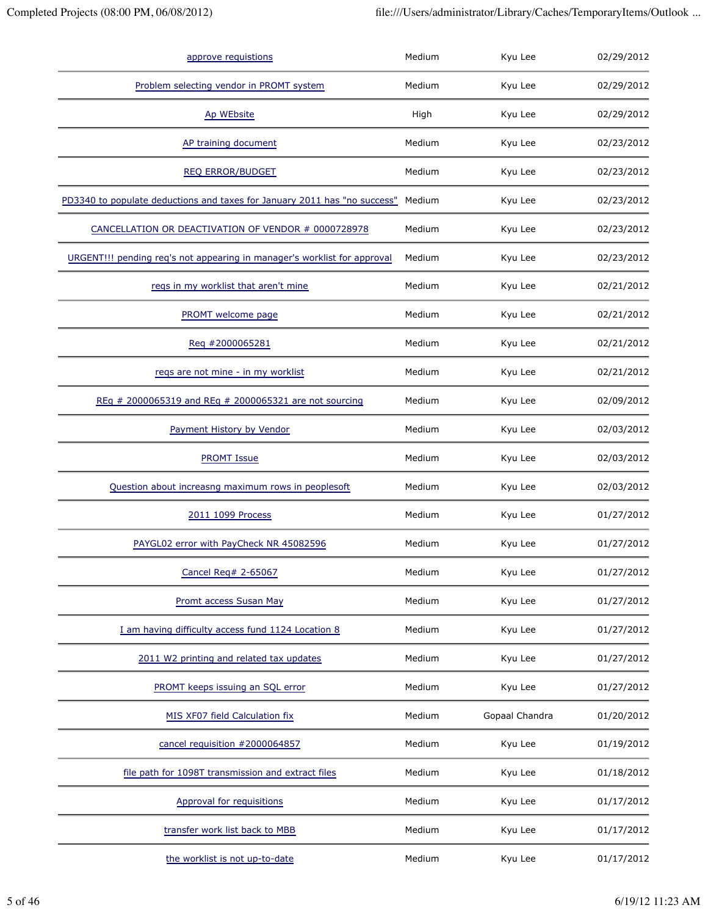| approve requistions                                                       | Medium | Kyu Lee        | 02/29/2012 |
|---------------------------------------------------------------------------|--------|----------------|------------|
| Problem selecting vendor in PROMT system                                  | Medium | Kyu Lee        | 02/29/2012 |
| Ap WEbsite                                                                | High   | Kyu Lee        | 02/29/2012 |
| AP training document                                                      | Medium | Kyu Lee        | 02/23/2012 |
| <b>REQ ERROR/BUDGET</b>                                                   | Medium | Kyu Lee        | 02/23/2012 |
| PD3340 to populate deductions and taxes for January 2011 has "no success" | Medium | Kyu Lee        | 02/23/2012 |
| CANCELLATION OR DEACTIVATION OF VENDOR # 0000728978                       | Medium | Kyu Lee        | 02/23/2012 |
| URGENT!!! pending req's not appearing in manager's worklist for approval  | Medium | Kyu Lee        | 02/23/2012 |
| regs in my worklist that aren't mine                                      | Medium | Kyu Lee        | 02/21/2012 |
| PROMT welcome page                                                        | Medium | Kyu Lee        | 02/21/2012 |
| Reg #2000065281                                                           | Medium | Kyu Lee        | 02/21/2012 |
| reqs are not mine - in my worklist                                        | Medium | Kyu Lee        | 02/21/2012 |
| REq # 2000065319 and REq # 2000065321 are not sourcing                    | Medium | Kyu Lee        | 02/09/2012 |
| Payment History by Vendor                                                 | Medium | Kyu Lee        | 02/03/2012 |
| <b>PROMT Issue</b>                                                        | Medium | Kyu Lee        | 02/03/2012 |
| Question about increasng maximum rows in peoplesoft                       | Medium | Kyu Lee        | 02/03/2012 |
| 2011 1099 Process                                                         | Medium | Kyu Lee        | 01/27/2012 |
| PAYGL02 error with PayCheck NR 45082596                                   | Medium | Kyu Lee        | 01/27/2012 |
| Cancel Req# 2-65067                                                       | Medium | Kyu Lee        | 01/27/2012 |
| Promt access Susan May                                                    | Medium | Kyu Lee        | 01/27/2012 |
| I am having difficulty access fund 1124 Location 8                        | Medium | Kyu Lee        | 01/27/2012 |
| 2011 W2 printing and related tax updates                                  | Medium | Kyu Lee        | 01/27/2012 |
| PROMT keeps issuing an SQL error                                          | Medium | Kyu Lee        | 01/27/2012 |
| MIS XF07 field Calculation fix                                            | Medium | Gopaal Chandra | 01/20/2012 |
| cancel requisition #2000064857                                            | Medium | Kyu Lee        | 01/19/2012 |
| file path for 1098T transmission and extract files                        | Medium | Kyu Lee        | 01/18/2012 |
| <b>Approval for requisitions</b>                                          | Medium | Kyu Lee        | 01/17/2012 |
| transfer work list back to MBB                                            | Medium | Kyu Lee        | 01/17/2012 |
| the worklist is not up-to-date                                            | Medium | Kyu Lee        | 01/17/2012 |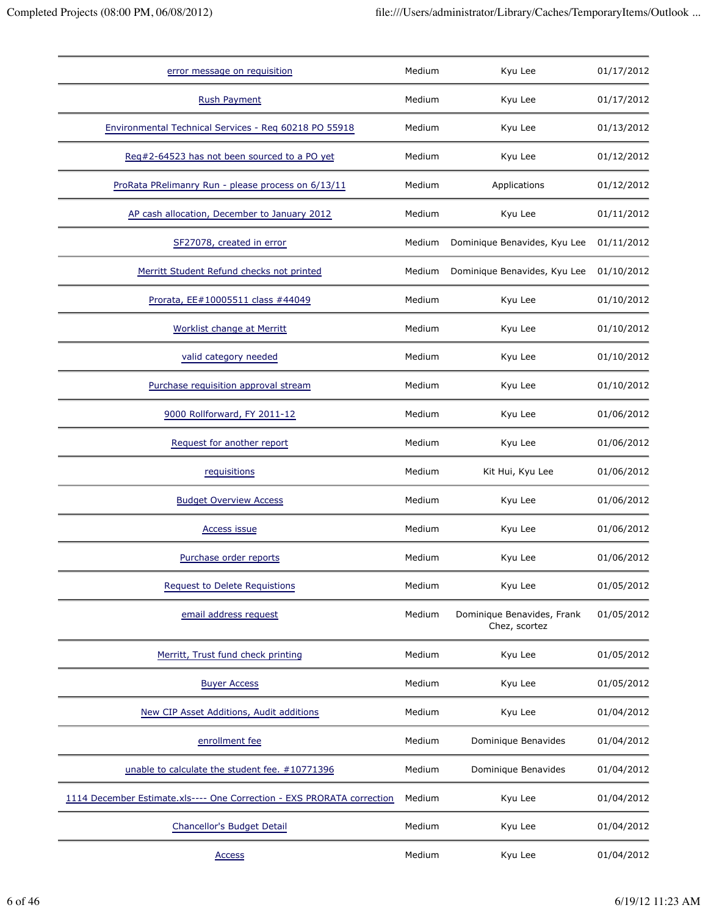| error message on requisition                                           | Medium | Kyu Lee                                     | 01/17/2012 |
|------------------------------------------------------------------------|--------|---------------------------------------------|------------|
| <b>Rush Payment</b>                                                    | Medium | Kyu Lee                                     | 01/17/2012 |
| Environmental Technical Services - Req 60218 PO 55918                  | Medium | Kyu Lee                                     | 01/13/2012 |
| Reg#2-64523 has not been sourced to a PO yet                           | Medium | Kyu Lee                                     | 01/12/2012 |
| ProRata PRelimanry Run - please process on 6/13/11                     | Medium | Applications                                | 01/12/2012 |
| AP cash allocation, December to January 2012                           | Medium | Kyu Lee                                     | 01/11/2012 |
| SF27078, created in error                                              | Medium | Dominique Benavides, Kyu Lee                | 01/11/2012 |
| Merritt Student Refund checks not printed                              | Medium | Dominique Benavides, Kyu Lee                | 01/10/2012 |
| Prorata, EE#10005511 class #44049                                      | Medium | Kyu Lee                                     | 01/10/2012 |
| <b>Worklist change at Merritt</b>                                      | Medium | Kyu Lee                                     | 01/10/2012 |
| valid category needed                                                  | Medium | Kyu Lee                                     | 01/10/2012 |
| Purchase requisition approval stream                                   | Medium | Kyu Lee                                     | 01/10/2012 |
| 9000 Rollforward, FY 2011-12                                           | Medium | Kyu Lee                                     | 01/06/2012 |
| Request for another report                                             | Medium | Kyu Lee                                     | 01/06/2012 |
| requisitions                                                           | Medium | Kit Hui, Kyu Lee                            | 01/06/2012 |
| <b>Budget Overview Access</b>                                          | Medium | Kyu Lee                                     | 01/06/2012 |
| <b>Access issue</b>                                                    | Medium | Kyu Lee                                     | 01/06/2012 |
| Purchase order reports                                                 | Medium | Kyu Lee                                     | 01/06/2012 |
| <b>Request to Delete Requistions</b>                                   | Medium | Kyu Lee                                     | 01/05/2012 |
| email address request                                                  | Medium | Dominique Benavides, Frank<br>Chez, scortez | 01/05/2012 |
| Merritt, Trust fund check printing                                     | Medium | Kyu Lee                                     | 01/05/2012 |
| <b>Buyer Access</b>                                                    | Medium | Kyu Lee                                     | 01/05/2012 |
| New CIP Asset Additions, Audit additions                               | Medium | Kyu Lee                                     | 01/04/2012 |
| enrollment fee                                                         | Medium | Dominique Benavides                         | 01/04/2012 |
| unable to calculate the student fee. #10771396                         | Medium | Dominique Benavides                         | 01/04/2012 |
| 1114 December Estimate.xls---- One Correction - EXS PRORATA correction | Medium | Kyu Lee                                     | 01/04/2012 |
| Chancellor's Budget Detail                                             | Medium | Kyu Lee                                     | 01/04/2012 |
| <b>Access</b>                                                          | Medium | Kyu Lee                                     | 01/04/2012 |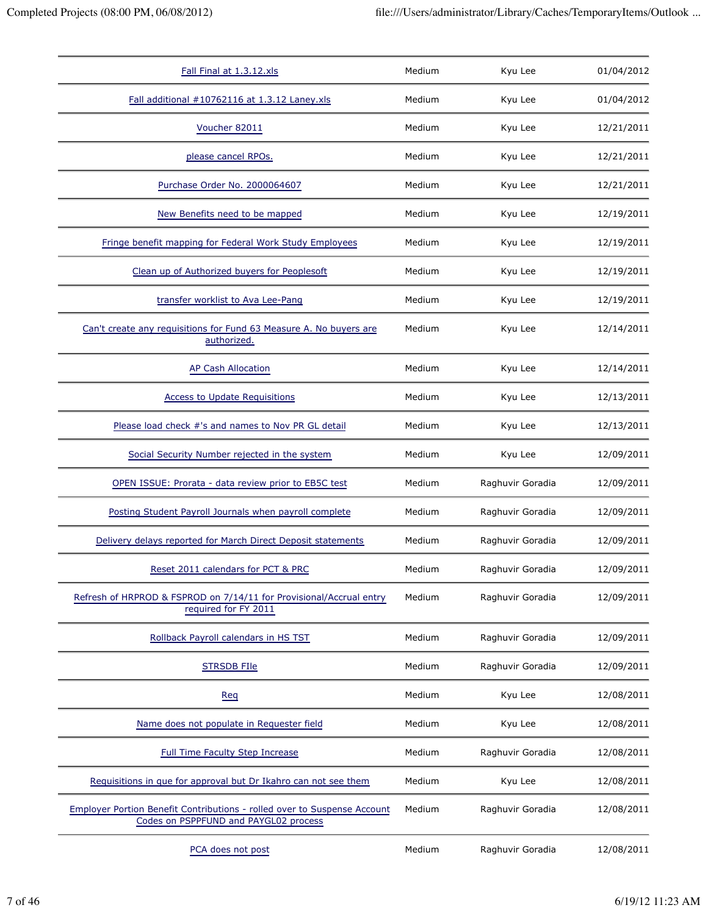| Fall Final at 1.3.12.xls                                                                                          | Medium | Kyu Lee          | 01/04/2012 |
|-------------------------------------------------------------------------------------------------------------------|--------|------------------|------------|
| Fall additional #10762116 at 1.3.12 Laney.xls                                                                     | Medium | Kyu Lee          | 01/04/2012 |
| Voucher 82011                                                                                                     | Medium | Kyu Lee          | 12/21/2011 |
| please cancel RPOs.                                                                                               | Medium | Kyu Lee          | 12/21/2011 |
| Purchase Order No. 2000064607                                                                                     | Medium | Kyu Lee          | 12/21/2011 |
| New Benefits need to be mapped                                                                                    | Medium | Kyu Lee          | 12/19/2011 |
| Fringe benefit mapping for Federal Work Study Employees                                                           | Medium | Kyu Lee          | 12/19/2011 |
| Clean up of Authorized buyers for Peoplesoft                                                                      | Medium | Kyu Lee          | 12/19/2011 |
| transfer worklist to Ava Lee-Pang                                                                                 | Medium | Kyu Lee          | 12/19/2011 |
| Can't create any requisitions for Fund 63 Measure A. No buyers are<br>authorized.                                 | Medium | Kyu Lee          | 12/14/2011 |
| <b>AP Cash Allocation</b>                                                                                         | Medium | Kyu Lee          | 12/14/2011 |
| <b>Access to Update Requisitions</b>                                                                              | Medium | Kyu Lee          | 12/13/2011 |
| Please load check #'s and names to Nov PR GL detail                                                               | Medium | Kyu Lee          | 12/13/2011 |
| Social Security Number rejected in the system                                                                     | Medium | Kyu Lee          | 12/09/2011 |
| OPEN ISSUE: Prorata - data review prior to EB5C test                                                              | Medium | Raghuvir Goradia | 12/09/2011 |
| Posting Student Payroll Journals when payroll complete                                                            | Medium | Raghuvir Goradia | 12/09/2011 |
| Delivery delays reported for March Direct Deposit statements                                                      | Medium | Raghuvir Goradia | 12/09/2011 |
| Reset 2011 calendars for PCT & PRC                                                                                | Medium | Raghuvir Goradia | 12/09/2011 |
| Refresh of HRPROD & FSPROD on 7/14/11 for Provisional/Accrual entry<br>required for FY 2011                       | Medium | Raghuvir Goradia | 12/09/2011 |
| Rollback Payroll calendars in HS TST                                                                              | Medium | Raghuvir Goradia | 12/09/2011 |
| <b>STRSDB FIIe</b>                                                                                                | Medium | Raghuvir Goradia | 12/09/2011 |
| Req                                                                                                               | Medium | Kyu Lee          | 12/08/2011 |
| Name does not populate in Requester field                                                                         | Medium | Kyu Lee          | 12/08/2011 |
| <b>Full Time Faculty Step Increase</b>                                                                            | Medium | Raghuvir Goradia | 12/08/2011 |
| Requisitions in que for approval but Dr Ikahro can not see them                                                   | Medium | Kyu Lee          | 12/08/2011 |
| Employer Portion Benefit Contributions - rolled over to Suspense Account<br>Codes on PSPPFUND and PAYGL02 process | Medium | Raghuvir Goradia | 12/08/2011 |
| PCA does not post                                                                                                 | Medium | Raghuvir Goradia | 12/08/2011 |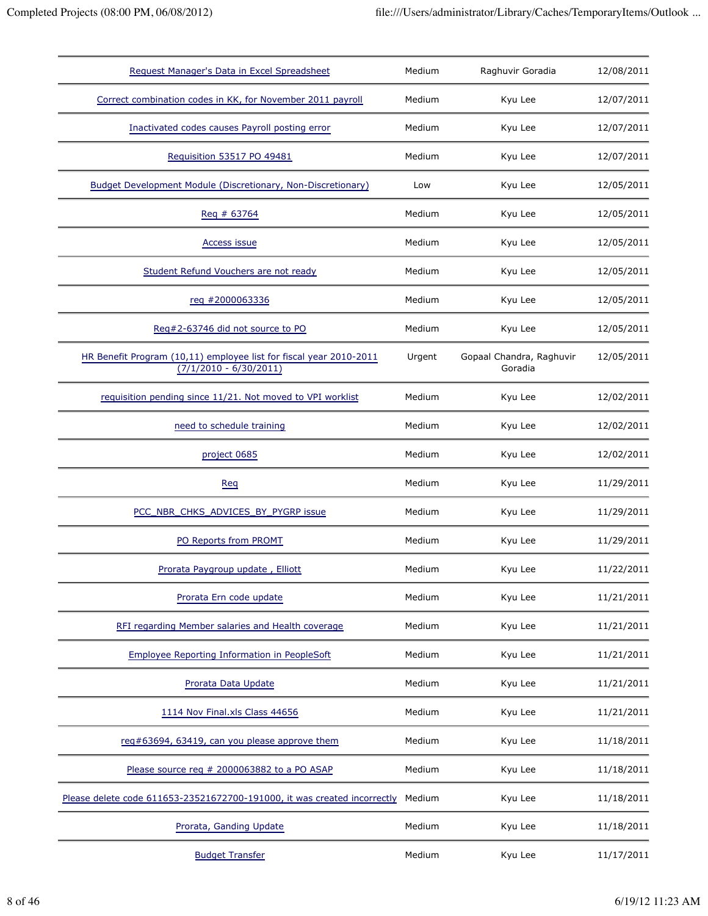| Request Manager's Data in Excel Spreadsheet                                                    | Medium | Raghuvir Goradia                    | 12/08/2011 |
|------------------------------------------------------------------------------------------------|--------|-------------------------------------|------------|
| Correct combination codes in KK, for November 2011 payroll                                     | Medium | Kyu Lee                             | 12/07/2011 |
| Inactivated codes causes Payroll posting error                                                 | Medium | Kyu Lee                             | 12/07/2011 |
| Requisition 53517 PO 49481                                                                     | Medium | Kyu Lee                             | 12/07/2011 |
| Budget Development Module (Discretionary, Non-Discretionary)                                   | Low    | Kyu Lee                             | 12/05/2011 |
| Req # 63764                                                                                    | Medium | Kyu Lee                             | 12/05/2011 |
| Access issue                                                                                   | Medium | Kyu Lee                             | 12/05/2011 |
| Student Refund Vouchers are not ready                                                          | Medium | Kyu Lee                             | 12/05/2011 |
| req #2000063336                                                                                | Medium | Kyu Lee                             | 12/05/2011 |
| Reg#2-63746 did not source to PO                                                               | Medium | Kyu Lee                             | 12/05/2011 |
| HR Benefit Program (10,11) employee list for fiscal year 2010-2011<br>$(7/1/2010 - 6/30/2011)$ | Urgent | Gopaal Chandra, Raghuvir<br>Goradia | 12/05/2011 |
| requisition pending since 11/21. Not moved to VPI worklist                                     | Medium | Kyu Lee                             | 12/02/2011 |
| need to schedule training                                                                      | Medium | Kyu Lee                             | 12/02/2011 |
| project 0685                                                                                   | Medium | Kyu Lee                             | 12/02/2011 |
| Req                                                                                            | Medium | Kyu Lee                             | 11/29/2011 |
| PCC_NBR_CHKS_ADVICES_BY_PYGRP issue                                                            | Medium | Kyu Lee                             | 11/29/2011 |
| PO Reports from PROMT                                                                          | Medium | Kyu Lee                             | 11/29/2011 |
| Prorata Paygroup update, Elliott                                                               | Medium | Kyu Lee                             | 11/22/2011 |
| Prorata Ern code update                                                                        | Medium | Kyu Lee                             | 11/21/2011 |
| RFI regarding Member salaries and Health coverage                                              | Medium | Kyu Lee                             | 11/21/2011 |
| <b>Employee Reporting Information in PeopleSoft</b>                                            | Medium | Kyu Lee                             | 11/21/2011 |
| Prorata Data Update                                                                            | Medium | Kyu Lee                             | 11/21/2011 |
| 1114 Nov Final.xls Class 44656                                                                 | Medium | Kyu Lee                             | 11/21/2011 |
| reg#63694, 63419, can you please approve them                                                  | Medium | Kyu Lee                             | 11/18/2011 |
| Please source req # 2000063882 to a PO ASAP                                                    | Medium | Kyu Lee                             | 11/18/2011 |
| Please delete code 611653-23521672700-191000, it was created incorrectly                       | Medium | Kyu Lee                             | 11/18/2011 |
| Prorata, Ganding Update                                                                        | Medium | Kyu Lee                             | 11/18/2011 |
| <b>Budget Transfer</b>                                                                         | Medium | Kyu Lee                             | 11/17/2011 |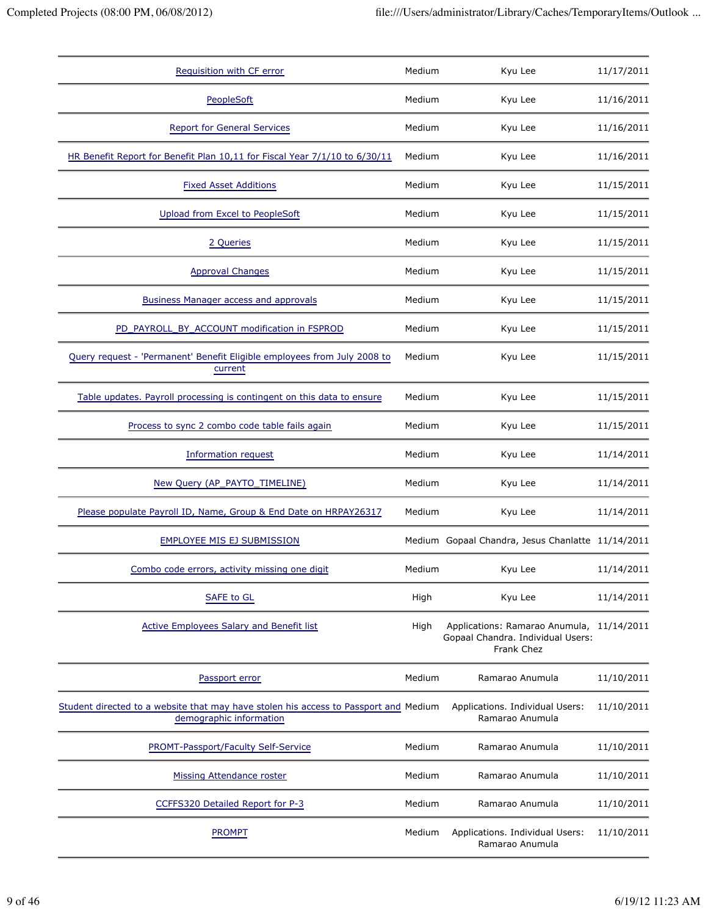| Requisition with CF error                                                                                       | Medium | Kyu Lee                                                                                      | 11/17/2011 |
|-----------------------------------------------------------------------------------------------------------------|--------|----------------------------------------------------------------------------------------------|------------|
| PeopleSoft                                                                                                      | Medium | Kyu Lee                                                                                      | 11/16/2011 |
| <b>Report for General Services</b>                                                                              | Medium | Kyu Lee                                                                                      | 11/16/2011 |
| HR Benefit Report for Benefit Plan 10,11 for Fiscal Year 7/1/10 to 6/30/11                                      | Medium | Kyu Lee                                                                                      | 11/16/2011 |
| <b>Fixed Asset Additions</b>                                                                                    | Medium | Kyu Lee                                                                                      | 11/15/2011 |
| Upload from Excel to PeopleSoft                                                                                 | Medium | Kyu Lee                                                                                      | 11/15/2011 |
| 2 Queries                                                                                                       | Medium | Kyu Lee                                                                                      | 11/15/2011 |
| <b>Approval Changes</b>                                                                                         | Medium | Kyu Lee                                                                                      | 11/15/2011 |
| <b>Business Manager access and approvals</b>                                                                    | Medium | Kyu Lee                                                                                      | 11/15/2011 |
| PD_PAYROLL_BY_ACCOUNT modification in FSPROD                                                                    | Medium | Kyu Lee                                                                                      | 11/15/2011 |
| Query request - 'Permanent' Benefit Eligible employees from July 2008 to<br>current                             | Medium | Kyu Lee                                                                                      | 11/15/2011 |
| Table updates. Payroll processing is contingent on this data to ensure                                          | Medium | Kyu Lee                                                                                      | 11/15/2011 |
| Process to sync 2 combo code table fails again                                                                  | Medium | Kyu Lee                                                                                      | 11/15/2011 |
| Information request                                                                                             | Medium | Kyu Lee                                                                                      | 11/14/2011 |
| New Query (AP_PAYTO_TIMELINE)                                                                                   | Medium | Kyu Lee                                                                                      | 11/14/2011 |
| Please populate Payroll ID, Name, Group & End Date on HRPAY26317                                                | Medium | Kyu Lee                                                                                      | 11/14/2011 |
| <b>EMPLOYEE MIS EJ SUBMISSION</b>                                                                               |        | Medium Gopaal Chandra, Jesus Chanlatte 11/14/2011                                            |            |
| Combo code errors, activity missing one digit                                                                   | Medium | Kyu Lee                                                                                      | 11/14/2011 |
| <b>SAFE to GL</b>                                                                                               | High   | Kyu Lee                                                                                      | 11/14/2011 |
| <b>Active Employees Salary and Benefit list</b>                                                                 | High   | Applications: Ramarao Anumula, 11/14/2011<br>Gopaal Chandra. Individual Users:<br>Frank Chez |            |
| Passport error                                                                                                  | Medium | Ramarao Anumula                                                                              | 11/10/2011 |
| Student directed to a website that may have stolen his access to Passport and Medium<br>demographic information |        | Applications. Individual Users:<br>Ramarao Anumula                                           | 11/10/2011 |
| PROMT-Passport/Faculty Self-Service                                                                             | Medium | Ramarao Anumula                                                                              | 11/10/2011 |
| <b>Missing Attendance roster</b>                                                                                | Medium | Ramarao Anumula                                                                              | 11/10/2011 |
| CCFFS320 Detailed Report for P-3                                                                                | Medium | Ramarao Anumula                                                                              | 11/10/2011 |
| <b>PROMPT</b>                                                                                                   | Medium | Applications. Individual Users:<br>Ramarao Anumula                                           | 11/10/2011 |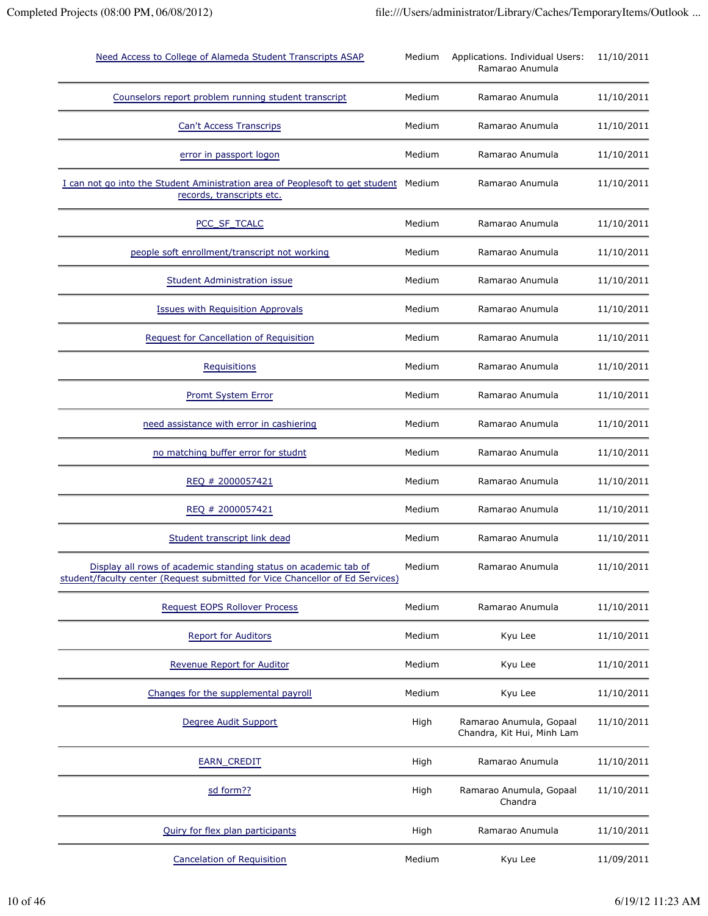| Need Access to College of Alameda Student Transcripts ASAP                                                                                       | Medium | Applications. Individual Users:<br>Ramarao Anumula    | 11/10/2011 |
|--------------------------------------------------------------------------------------------------------------------------------------------------|--------|-------------------------------------------------------|------------|
| Counselors report problem running student transcript                                                                                             | Medium | Ramarao Anumula                                       | 11/10/2011 |
| <b>Can't Access Transcrips</b>                                                                                                                   | Medium | Ramarao Anumula                                       | 11/10/2011 |
| error in passport logon                                                                                                                          | Medium | Ramarao Anumula                                       | 11/10/2011 |
| I can not go into the Student Aministration area of Peoplesoft to get student Medium<br>records, transcripts etc.                                |        | Ramarao Anumula                                       | 11/10/2011 |
| PCC_SF_TCALC                                                                                                                                     | Medium | Ramarao Anumula                                       | 11/10/2011 |
| people soft enrollment/transcript not working                                                                                                    | Medium | Ramarao Anumula                                       | 11/10/2011 |
| <b>Student Administration issue</b>                                                                                                              | Medium | Ramarao Anumula                                       | 11/10/2011 |
| <b>Issues with Requisition Approvals</b>                                                                                                         | Medium | Ramarao Anumula                                       | 11/10/2011 |
| <b>Request for Cancellation of Requisition</b>                                                                                                   | Medium | Ramarao Anumula                                       | 11/10/2011 |
| Requisitions                                                                                                                                     | Medium | Ramarao Anumula                                       | 11/10/2011 |
| <b>Promt System Error</b>                                                                                                                        | Medium | Ramarao Anumula                                       | 11/10/2011 |
| need assistance with error in cashiering                                                                                                         | Medium | Ramarao Anumula                                       | 11/10/2011 |
| no matching buffer error for studnt                                                                                                              | Medium | Ramarao Anumula                                       | 11/10/2011 |
| REQ # 2000057421                                                                                                                                 | Medium | Ramarao Anumula                                       | 11/10/2011 |
| REQ # 2000057421                                                                                                                                 | Medium | Ramarao Anumula                                       | 11/10/2011 |
| Student transcript link dead                                                                                                                     | Medium | Ramarao Anumula                                       | 11/10/2011 |
| Display all rows of academic standing status on academic tab of<br>student/faculty center (Request submitted for Vice Chancellor of Ed Services) | Medium | Ramarao Anumula                                       | 11/10/2011 |
| Request EOPS Rollover Process                                                                                                                    | Medium | Ramarao Anumula                                       | 11/10/2011 |
| <b>Report for Auditors</b>                                                                                                                       | Medium | Kyu Lee                                               | 11/10/2011 |
| Revenue Report for Auditor                                                                                                                       | Medium | Kyu Lee                                               | 11/10/2011 |
| Changes for the supplemental payroll                                                                                                             | Medium | Kyu Lee                                               | 11/10/2011 |
| Degree Audit Support                                                                                                                             | High   | Ramarao Anumula, Gopaal<br>Chandra, Kit Hui, Minh Lam | 11/10/2011 |
| EARN_CREDIT                                                                                                                                      | High   | Ramarao Anumula                                       | 11/10/2011 |
| sd form??                                                                                                                                        | High   | Ramarao Anumula, Gopaal<br>Chandra                    | 11/10/2011 |
| Quiry for flex plan participants                                                                                                                 | High   | Ramarao Anumula                                       | 11/10/2011 |
| <b>Cancelation of Requisition</b>                                                                                                                | Medium | Kyu Lee                                               | 11/09/2011 |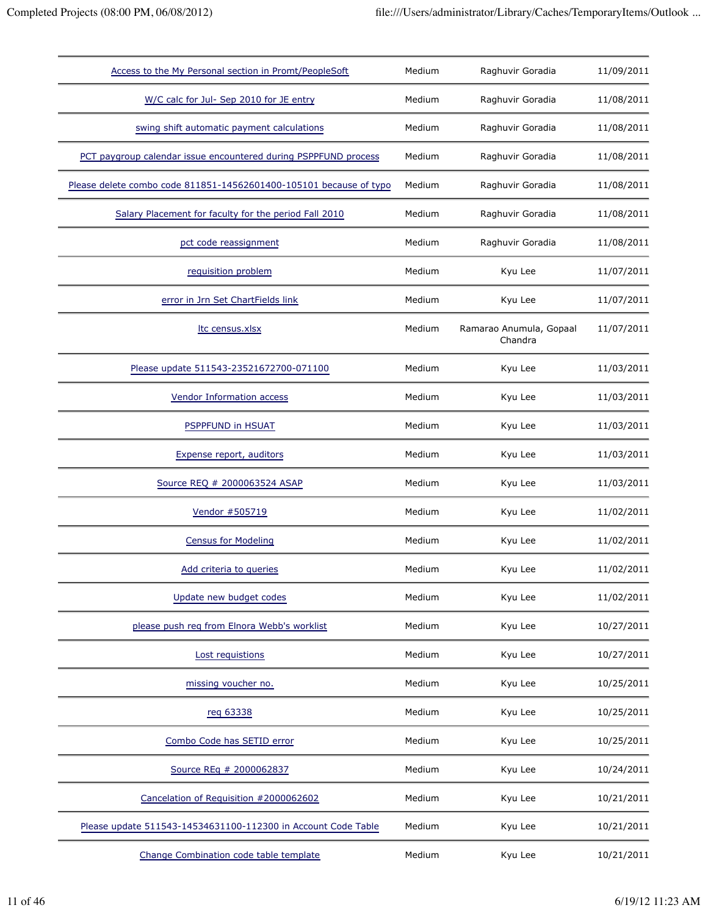| Access to the My Personal section in Promt/PeopleSoft              | Medium | Raghuvir Goradia                   | 11/09/2011 |
|--------------------------------------------------------------------|--------|------------------------------------|------------|
| W/C calc for Jul- Sep 2010 for JE entry                            | Medium | Raghuvir Goradia                   | 11/08/2011 |
| swing shift automatic payment calculations                         | Medium | Raghuvir Goradia                   | 11/08/2011 |
| PCT paygroup calendar issue encountered during PSPPFUND process    | Medium | Raghuvir Goradia                   | 11/08/2011 |
| Please delete combo code 811851-14562601400-105101 because of typo | Medium | Raghuvir Goradia                   | 11/08/2011 |
| Salary Placement for faculty for the period Fall 2010              | Medium | Raghuvir Goradia                   | 11/08/2011 |
| pct code reassignment                                              | Medium | Raghuvir Goradia                   | 11/08/2011 |
| requisition problem                                                | Medium | Kyu Lee                            | 11/07/2011 |
| error in Jrn Set ChartFields link                                  | Medium | Kyu Lee                            | 11/07/2011 |
| Itc census.xlsx                                                    | Medium | Ramarao Anumula, Gopaal<br>Chandra | 11/07/2011 |
| Please update 511543-23521672700-071100                            | Medium | Kyu Lee                            | 11/03/2011 |
| <b>Vendor Information access</b>                                   | Medium | Kyu Lee                            | 11/03/2011 |
| PSPPFUND in HSUAT                                                  | Medium | Kyu Lee                            | 11/03/2011 |
| Expense report, auditors                                           | Medium | Kyu Lee                            | 11/03/2011 |
| Source REQ # 2000063524 ASAP                                       | Medium | Kyu Lee                            | 11/03/2011 |
| Vendor #505719                                                     | Medium | Kyu Lee                            | 11/02/2011 |
| <b>Census for Modeling</b>                                         | Medium | Kyu Lee                            | 11/02/2011 |
| Add criteria to queries                                            | Medium | Kyu Lee                            | 11/02/2011 |
| Update new budget codes                                            | Medium | Kyu Lee                            | 11/02/2011 |
| please push reg from Elnora Webb's worklist                        | Medium | Kyu Lee                            | 10/27/2011 |
| Lost requistions                                                   | Medium | Kyu Lee                            | 10/27/2011 |
| missing voucher no.                                                | Medium | Kyu Lee                            | 10/25/2011 |
| reg 63338                                                          | Medium | Kyu Lee                            | 10/25/2011 |
| Combo Code has SETID error                                         | Medium | Kyu Lee                            | 10/25/2011 |
| Source REq # 2000062837                                            | Medium | Kyu Lee                            | 10/24/2011 |
| Cancelation of Requisition #2000062602                             | Medium | Kyu Lee                            | 10/21/2011 |
| Please update 511543-14534631100-112300 in Account Code Table      | Medium | Kyu Lee                            | 10/21/2011 |
| Change Combination code table template                             | Medium | Kyu Lee                            | 10/21/2011 |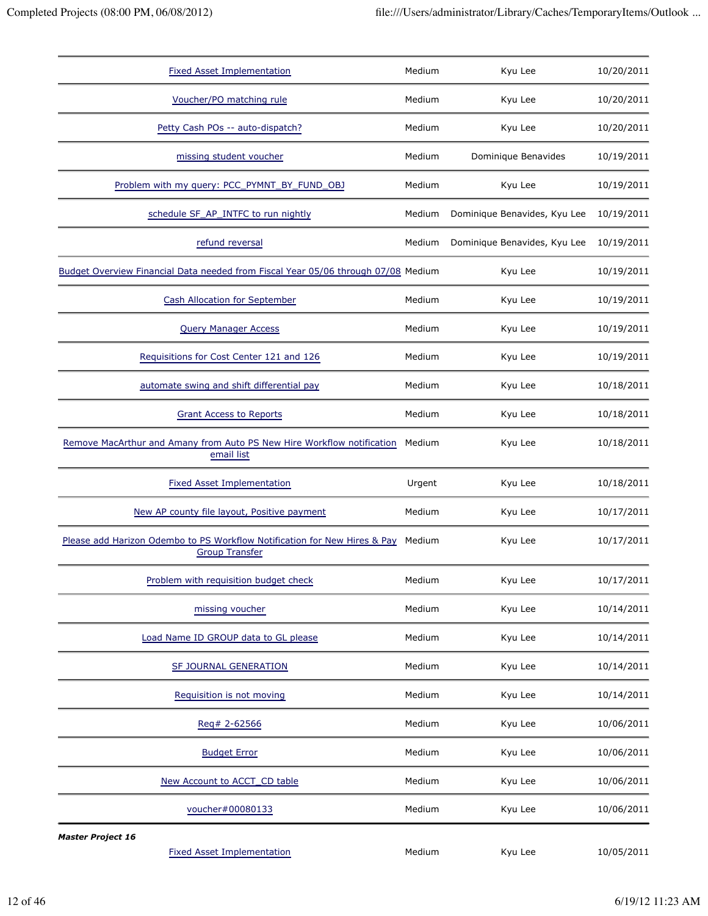| <b>Fixed Asset Implementation</b>                                                                  | Medium | Kyu Lee                      | 10/20/2011 |
|----------------------------------------------------------------------------------------------------|--------|------------------------------|------------|
| Voucher/PO matching rule                                                                           | Medium | Kyu Lee                      | 10/20/2011 |
| Petty Cash POs -- auto-dispatch?                                                                   | Medium | Kyu Lee                      | 10/20/2011 |
| missing student voucher                                                                            | Medium | Dominique Benavides          | 10/19/2011 |
| Problem with my query: PCC_PYMNT_BY_FUND_OBJ                                                       | Medium | Kyu Lee                      | 10/19/2011 |
| schedule SF_AP_INTFC to run nightly                                                                | Medium | Dominique Benavides, Kyu Lee | 10/19/2011 |
| refund reversal                                                                                    | Medium | Dominique Benavides, Kyu Lee | 10/19/2011 |
| Budget Overview Financial Data needed from Fiscal Year 05/06 through 07/08 Medium                  |        | Kyu Lee                      | 10/19/2011 |
| <b>Cash Allocation for September</b>                                                               | Medium | Kyu Lee                      | 10/19/2011 |
| <b>Query Manager Access</b>                                                                        | Medium | Kyu Lee                      | 10/19/2011 |
| Requisitions for Cost Center 121 and 126                                                           | Medium | Kyu Lee                      | 10/19/2011 |
| automate swing and shift differential pay                                                          | Medium | Kyu Lee                      | 10/18/2011 |
| <b>Grant Access to Reports</b>                                                                     | Medium | Kyu Lee                      | 10/18/2011 |
| Remove MacArthur and Amany from Auto PS New Hire Workflow notification<br>email list               | Medium | Kyu Lee                      | 10/18/2011 |
| <b>Fixed Asset Implementation</b>                                                                  | Urgent | Kyu Lee                      | 10/18/2011 |
| New AP county file layout, Positive payment                                                        | Medium | Kyu Lee                      | 10/17/2011 |
| Please add Harizon Odembo to PS Workflow Notification for New Hires & Pay<br><b>Group Transfer</b> | Medium | Kyu Lee                      | 10/17/2011 |
| Problem with requisition budget check                                                              | Medium | Kyu Lee                      | 10/17/2011 |
| missing voucher                                                                                    | Medium | Kyu Lee                      | 10/14/2011 |
| Load Name ID GROUP data to GL please                                                               | Medium | Kyu Lee                      | 10/14/2011 |
| SF JOURNAL GENERATION                                                                              | Medium | Kyu Lee                      | 10/14/2011 |
| Requisition is not moving                                                                          | Medium | Kyu Lee                      | 10/14/2011 |
| Reg# 2-62566                                                                                       | Medium | Kyu Lee                      | 10/06/2011 |
| <b>Budget Error</b>                                                                                | Medium | Kyu Lee                      | 10/06/2011 |
| New Account to ACCT_CD table                                                                       | Medium | Kyu Lee                      | 10/06/2011 |
| voucher#00080133                                                                                   | Medium | Kyu Lee                      | 10/06/2011 |
| <b>Master Project 16</b><br><b>Fixed Asset Implementation</b>                                      | Medium | Kyu Lee                      | 10/05/2011 |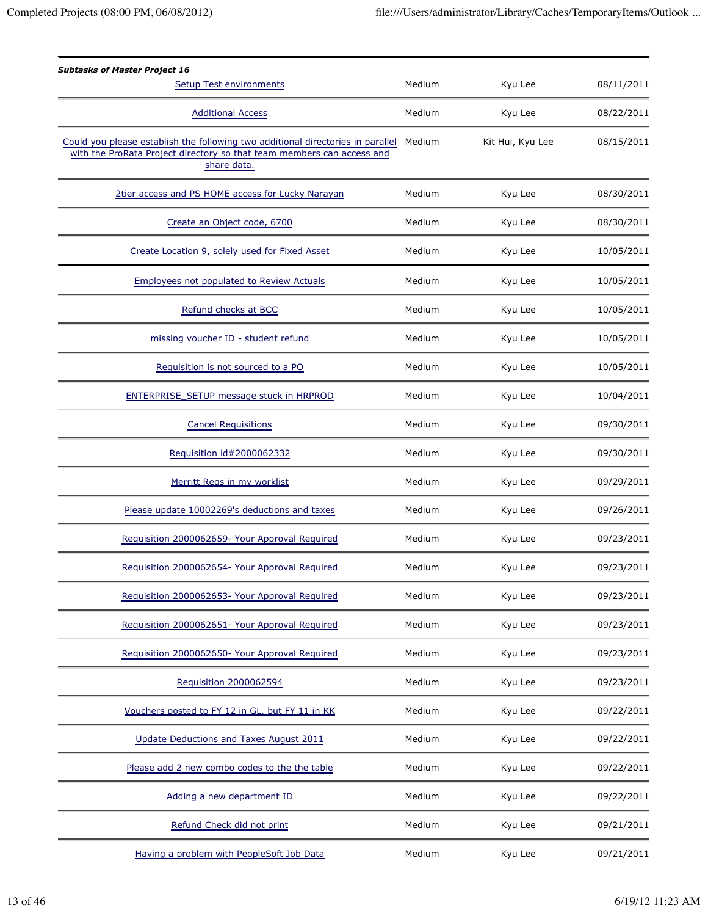| <b>Subtasks of Master Project 16</b><br><b>Setup Test environments</b>                                                                                                   | Medium | Kyu Lee          | 08/11/2011 |
|--------------------------------------------------------------------------------------------------------------------------------------------------------------------------|--------|------------------|------------|
| <b>Additional Access</b>                                                                                                                                                 | Medium | Kyu Lee          | 08/22/2011 |
| Could you please establish the following two additional directories in parallel<br>with the ProRata Project directory so that team members can access and<br>share data. | Medium | Kit Hui, Kyu Lee | 08/15/2011 |
| 2tier access and PS HOME access for Lucky Narayan                                                                                                                        | Medium | Kyu Lee          | 08/30/2011 |
| Create an Object code, 6700                                                                                                                                              | Medium | Kyu Lee          | 08/30/2011 |
| Create Location 9, solely used for Fixed Asset                                                                                                                           | Medium | Kyu Lee          | 10/05/2011 |
| <b>Employees not populated to Review Actuals</b>                                                                                                                         | Medium | Kyu Lee          | 10/05/2011 |
| Refund checks at BCC                                                                                                                                                     | Medium | Kyu Lee          | 10/05/2011 |
| missing voucher ID - student refund                                                                                                                                      | Medium | Kyu Lee          | 10/05/2011 |
| Requisition is not sourced to a PO                                                                                                                                       | Medium | Kyu Lee          | 10/05/2011 |
| ENTERPRISE_SETUP message stuck in HRPROD                                                                                                                                 | Medium | Kyu Lee          | 10/04/2011 |
| <b>Cancel Requisitions</b>                                                                                                                                               | Medium | Kyu Lee          | 09/30/2011 |
| Requisition id#2000062332                                                                                                                                                | Medium | Kyu Lee          | 09/30/2011 |
| Merritt Regs in my worklist                                                                                                                                              | Medium | Kyu Lee          | 09/29/2011 |
| Please update 10002269's deductions and taxes                                                                                                                            | Medium | Kyu Lee          | 09/26/2011 |
| Requisition 2000062659- Your Approval Required                                                                                                                           | Medium | Kyu Lee          | 09/23/2011 |
| Requisition 2000062654- Your Approval Required                                                                                                                           | Medium | Kyu Lee          | 09/23/2011 |
| Requisition 2000062653- Your Approval Required                                                                                                                           | Medium | Kyu Lee          | 09/23/2011 |
| Requisition 2000062651- Your Approval Required                                                                                                                           | Medium | Kyu Lee          | 09/23/2011 |
| Requisition 2000062650- Your Approval Required                                                                                                                           | Medium | Kyu Lee          | 09/23/2011 |
| Requisition 2000062594                                                                                                                                                   | Medium | Kyu Lee          | 09/23/2011 |
| Vouchers posted to FY 12 in GL, but FY 11 in KK                                                                                                                          | Medium | Kyu Lee          | 09/22/2011 |
| Update Deductions and Taxes August 2011                                                                                                                                  | Medium | Kyu Lee          | 09/22/2011 |
| Please add 2 new combo codes to the the table                                                                                                                            | Medium | Kyu Lee          | 09/22/2011 |
| Adding a new department ID                                                                                                                                               | Medium | Kyu Lee          | 09/22/2011 |
| Refund Check did not print                                                                                                                                               | Medium | Kyu Lee          | 09/21/2011 |
| Having a problem with PeopleSoft Job Data                                                                                                                                | Medium | Kyu Lee          | 09/21/2011 |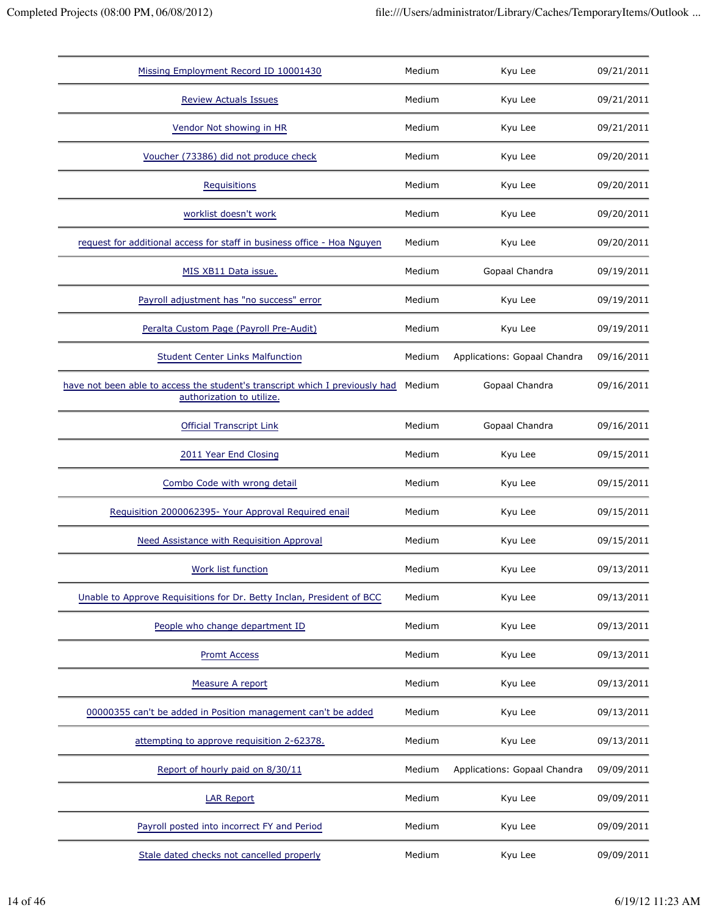| Missing Employment Record ID 10001430                                                                     | Medium | Kyu Lee                      | 09/21/2011 |
|-----------------------------------------------------------------------------------------------------------|--------|------------------------------|------------|
|                                                                                                           |        |                              |            |
| <b>Review Actuals Issues</b>                                                                              | Medium | Kyu Lee                      | 09/21/2011 |
| Vendor Not showing in HR                                                                                  | Medium | Kyu Lee                      | 09/21/2011 |
| Voucher (73386) did not produce check                                                                     | Medium | Kyu Lee                      | 09/20/2011 |
| <b>Requisitions</b>                                                                                       | Medium | Kyu Lee                      | 09/20/2011 |
| worklist doesn't work                                                                                     | Medium | Kyu Lee                      | 09/20/2011 |
| request for additional access for staff in business office - Hoa Nguyen                                   | Medium | Kyu Lee                      | 09/20/2011 |
| MIS XB11 Data issue.                                                                                      | Medium | Gopaal Chandra               | 09/19/2011 |
| Payroll adjustment has "no success" error                                                                 | Medium | Kyu Lee                      | 09/19/2011 |
| Peralta Custom Page (Payroll Pre-Audit)                                                                   | Medium | Kyu Lee                      | 09/19/2011 |
| <b>Student Center Links Malfunction</b>                                                                   | Medium | Applications: Gopaal Chandra | 09/16/2011 |
| have not been able to access the student's transcript which I previously had<br>authorization to utilize. | Medium | Gopaal Chandra               | 09/16/2011 |
| <b>Official Transcript Link</b>                                                                           | Medium | Gopaal Chandra               | 09/16/2011 |
| 2011 Year End Closing                                                                                     | Medium | Kyu Lee                      | 09/15/2011 |
| Combo Code with wrong detail                                                                              | Medium | Kyu Lee                      | 09/15/2011 |
| Requisition 2000062395- Your Approval Required enail                                                      | Medium | Kyu Lee                      | 09/15/2011 |
| Need Assistance with Requisition Approval                                                                 | Medium | Kyu Lee                      | 09/15/2011 |
| Work list function                                                                                        | Medium | Kyu Lee                      | 09/13/2011 |
| Unable to Approve Requisitions for Dr. Betty Inclan, President of BCC                                     | Medium | Kyu Lee                      | 09/13/2011 |
| People who change department ID                                                                           | Medium | Kyu Lee                      | 09/13/2011 |
| <b>Promt Access</b>                                                                                       | Medium | Kyu Lee                      | 09/13/2011 |
| Measure A report                                                                                          | Medium | Kyu Lee                      | 09/13/2011 |
| 00000355 can't be added in Position management can't be added                                             | Medium | Kyu Lee                      | 09/13/2011 |
| attempting to approve requisition 2-62378.                                                                | Medium | Kyu Lee                      | 09/13/2011 |
| Report of hourly paid on 8/30/11                                                                          | Medium | Applications: Gopaal Chandra | 09/09/2011 |
| <b>LAR Report</b>                                                                                         | Medium | Kyu Lee                      | 09/09/2011 |
| Payroll posted into incorrect FY and Period                                                               | Medium | Kyu Lee                      | 09/09/2011 |
| Stale dated checks not cancelled properly                                                                 | Medium | Kyu Lee                      | 09/09/2011 |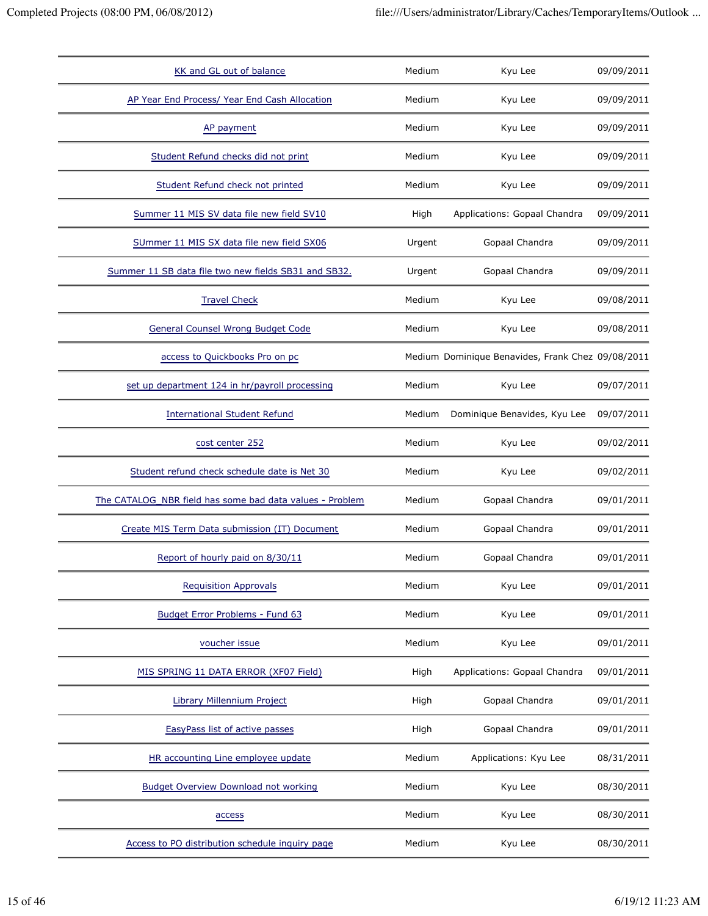| KK and GL out of balance                                 | Medium | Kyu Lee                                           | 09/09/2011 |
|----------------------------------------------------------|--------|---------------------------------------------------|------------|
| AP Year End Process/ Year End Cash Allocation            | Medium | Kyu Lee                                           | 09/09/2011 |
| AP payment                                               | Medium | Kyu Lee                                           | 09/09/2011 |
| Student Refund checks did not print                      | Medium | Kyu Lee                                           | 09/09/2011 |
| Student Refund check not printed                         | Medium | Kyu Lee                                           | 09/09/2011 |
| Summer 11 MIS SV data file new field SV10                | High   | Applications: Gopaal Chandra                      | 09/09/2011 |
| SUmmer 11 MIS SX data file new field SX06                | Urgent | Gopaal Chandra                                    | 09/09/2011 |
| Summer 11 SB data file two new fields SB31 and SB32.     | Urgent | Gopaal Chandra                                    | 09/09/2011 |
| <b>Travel Check</b>                                      | Medium | Kyu Lee                                           | 09/08/2011 |
| General Counsel Wrong Budget Code                        | Medium | Kyu Lee                                           | 09/08/2011 |
| access to Quickbooks Pro on pc                           |        | Medium Dominique Benavides, Frank Chez 09/08/2011 |            |
| set up department 124 in hr/payroll processing           | Medium | Kyu Lee                                           | 09/07/2011 |
| <b>International Student Refund</b>                      | Medium | Dominique Benavides, Kyu Lee                      | 09/07/2011 |
| cost center 252                                          | Medium | Kyu Lee                                           | 09/02/2011 |
| Student refund check schedule date is Net 30             | Medium | Kyu Lee                                           | 09/02/2011 |
| The CATALOG NBR field has some bad data values - Problem | Medium | Gopaal Chandra                                    | 09/01/2011 |
| Create MIS Term Data submission (IT) Document            | Medium | Gopaal Chandra                                    | 09/01/2011 |
| Report of hourly paid on 8/30/11                         | Medium | Gopaal Chandra                                    | 09/01/2011 |
| <b>Requisition Approvals</b>                             | Medium | Kyu Lee                                           | 09/01/2011 |
| Budget Error Problems - Fund 63                          | Medium | Kyu Lee                                           | 09/01/2011 |
| voucher issue                                            | Medium | Kyu Lee                                           | 09/01/2011 |
| MIS SPRING 11 DATA ERROR (XF07 Field)                    | High   | Applications: Gopaal Chandra                      | 09/01/2011 |
| Library Millennium Project                               | High   | Gopaal Chandra                                    | 09/01/2011 |
| <b>EasyPass list of active passes</b>                    | High   | Gopaal Chandra                                    | 09/01/2011 |
| HR accounting Line employee update                       | Medium | Applications: Kyu Lee                             | 08/31/2011 |
| <b>Budget Overview Download not working</b>              | Medium | Kyu Lee                                           | 08/30/2011 |
| access                                                   | Medium | Kyu Lee                                           | 08/30/2011 |
| Access to PO distribution schedule inquiry page          | Medium | Kyu Lee                                           | 08/30/2011 |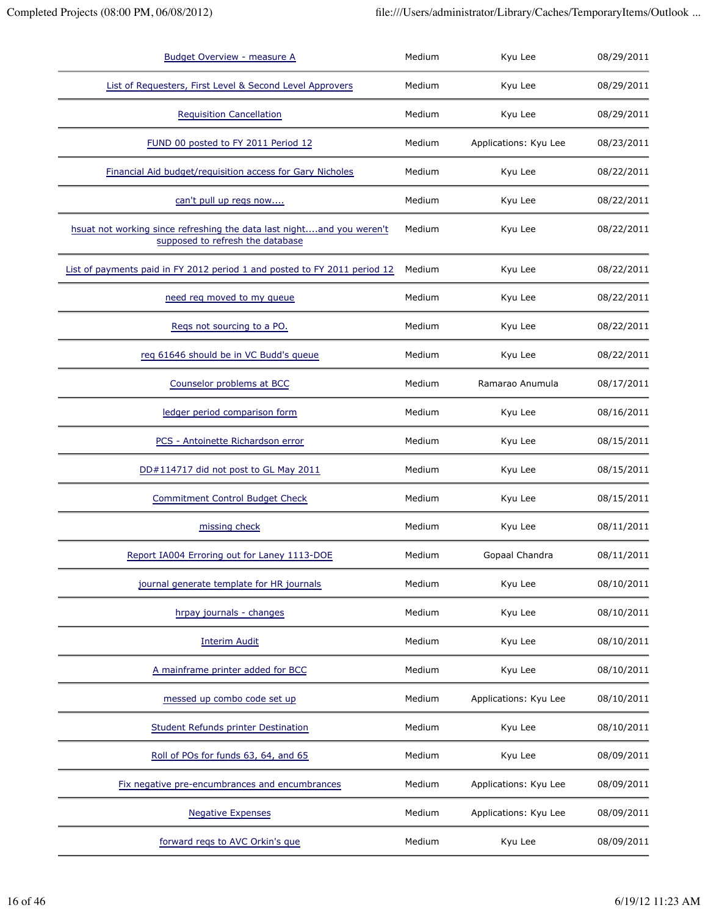| <b>Budget Overview - measure A</b>                                                                        | Medium | Kyu Lee               | 08/29/2011 |
|-----------------------------------------------------------------------------------------------------------|--------|-----------------------|------------|
| List of Requesters, First Level & Second Level Approvers                                                  | Medium | Kyu Lee               | 08/29/2011 |
| <b>Requisition Cancellation</b>                                                                           | Medium | Kyu Lee               | 08/29/2011 |
| FUND 00 posted to FY 2011 Period 12                                                                       | Medium | Applications: Kyu Lee | 08/23/2011 |
| Financial Aid budget/requisition access for Gary Nicholes                                                 | Medium | Kyu Lee               | 08/22/2011 |
| can't pull up regs now                                                                                    | Medium | Kyu Lee               | 08/22/2011 |
| hsuat not working since refreshing the data last nightand you weren't<br>supposed to refresh the database | Medium | Kyu Lee               | 08/22/2011 |
| List of payments paid in FY 2012 period 1 and posted to FY 2011 period 12                                 | Medium | Kyu Lee               | 08/22/2011 |
| need req moved to my queue                                                                                | Medium | Kyu Lee               | 08/22/2011 |
| Regs not sourcing to a PO.                                                                                | Medium | Kyu Lee               | 08/22/2011 |
| req 61646 should be in VC Budd's queue                                                                    | Medium | Kyu Lee               | 08/22/2011 |
| Counselor problems at BCC                                                                                 | Medium | Ramarao Anumula       | 08/17/2011 |
| ledger period comparison form                                                                             | Medium | Kyu Lee               | 08/16/2011 |
| PCS - Antoinette Richardson error                                                                         | Medium | Kyu Lee               | 08/15/2011 |
| DD#114717 did not post to GL May 2011                                                                     | Medium | Kyu Lee               | 08/15/2011 |
| <b>Commitment Control Budget Check</b>                                                                    | Medium | Kyu Lee               | 08/15/2011 |
| missing check                                                                                             | Medium | Kyu Lee               | 08/11/2011 |
| Report IA004 Erroring out for Laney 1113-DOE                                                              | Medium | Gopaal Chandra        | 08/11/2011 |
| journal generate template for HR journals                                                                 | Medium | Kyu Lee               | 08/10/2011 |
| hrpay journals - changes                                                                                  | Medium | Kyu Lee               | 08/10/2011 |
| <b>Interim Audit</b>                                                                                      | Medium | Kyu Lee               | 08/10/2011 |
| A mainframe printer added for BCC                                                                         | Medium | Kyu Lee               | 08/10/2011 |
| messed up combo code set up                                                                               | Medium | Applications: Kyu Lee | 08/10/2011 |
| Student Refunds printer Destination                                                                       | Medium | Kyu Lee               | 08/10/2011 |
| Roll of POs for funds 63, 64, and 65                                                                      | Medium | Kyu Lee               | 08/09/2011 |
| Fix negative pre-encumbrances and encumbrances                                                            | Medium | Applications: Kyu Lee | 08/09/2011 |
| <b>Negative Expenses</b>                                                                                  | Medium | Applications: Kyu Lee | 08/09/2011 |
| forward regs to AVC Orkin's que                                                                           | Medium | Kyu Lee               | 08/09/2011 |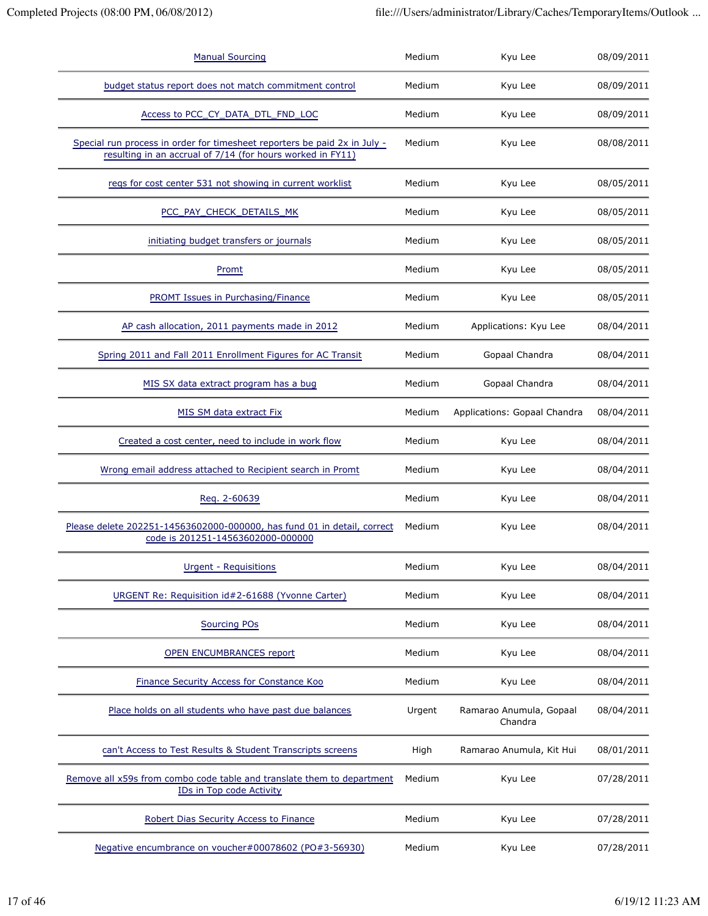| <b>Manual Sourcing</b>                                                                                                                  | Medium | Kyu Lee                            | 08/09/2011 |
|-----------------------------------------------------------------------------------------------------------------------------------------|--------|------------------------------------|------------|
| budget status report does not match commitment control                                                                                  | Medium | Kyu Lee                            | 08/09/2011 |
| Access to PCC_CY_DATA_DTL_FND_LOC                                                                                                       | Medium | Kyu Lee                            | 08/09/2011 |
| Special run process in order for timesheet reporters be paid 2x in July -<br>resulting in an accrual of 7/14 (for hours worked in FY11) | Medium | Kyu Lee                            | 08/08/2011 |
| regs for cost center 531 not showing in current worklist                                                                                | Medium | Kyu Lee                            | 08/05/2011 |
| PCC_PAY_CHECK_DETAILS_MK                                                                                                                | Medium | Kyu Lee                            | 08/05/2011 |
| initiating budget transfers or journals                                                                                                 | Medium | Kyu Lee                            | 08/05/2011 |
| Promt                                                                                                                                   | Medium | Kyu Lee                            | 08/05/2011 |
| <b>PROMT Issues in Purchasing/Finance</b>                                                                                               | Medium | Kyu Lee                            | 08/05/2011 |
| AP cash allocation, 2011 payments made in 2012                                                                                          | Medium | Applications: Kyu Lee              | 08/04/2011 |
| Spring 2011 and Fall 2011 Enrollment Figures for AC Transit                                                                             | Medium | Gopaal Chandra                     | 08/04/2011 |
| MIS SX data extract program has a bug                                                                                                   | Medium | Gopaal Chandra                     | 08/04/2011 |
| MIS SM data extract Fix                                                                                                                 | Medium | Applications: Gopaal Chandra       | 08/04/2011 |
| Created a cost center, need to include in work flow                                                                                     | Medium | Kyu Lee                            | 08/04/2011 |
| Wrong email address attached to Recipient search in Promt                                                                               | Medium | Kyu Lee                            | 08/04/2011 |
| Reg. 2-60639                                                                                                                            | Medium | Kyu Lee                            | 08/04/2011 |
| Please delete 202251-14563602000-000000, has fund 01 in detail, correct<br>code is 201251-14563602000-000000                            | Medium | Kyu Lee                            | 08/04/2011 |
| Urgent - Requisitions                                                                                                                   | Medium | Kyu Lee                            | 08/04/2011 |
| URGENT Re: Requisition id#2-61688 (Yvonne Carter)                                                                                       | Medium | Kyu Lee                            | 08/04/2011 |
| <b>Sourcing POs</b>                                                                                                                     | Medium | Kyu Lee                            | 08/04/2011 |
| <b>OPEN ENCUMBRANCES report</b>                                                                                                         | Medium | Kyu Lee                            | 08/04/2011 |
| Finance Security Access for Constance Koo                                                                                               | Medium | Kyu Lee                            | 08/04/2011 |
| Place holds on all students who have past due balances                                                                                  | Urgent | Ramarao Anumula, Gopaal<br>Chandra | 08/04/2011 |
| can't Access to Test Results & Student Transcripts screens                                                                              | High   | Ramarao Anumula, Kit Hui           | 08/01/2011 |
| Remove all x59s from combo code table and translate them to department<br>IDs in Top code Activity                                      | Medium | Kyu Lee                            | 07/28/2011 |
| Robert Dias Security Access to Finance                                                                                                  | Medium | Kyu Lee                            | 07/28/2011 |
| Negative encumbrance on voucher#00078602 (PO#3-56930)                                                                                   | Medium | Kyu Lee                            | 07/28/2011 |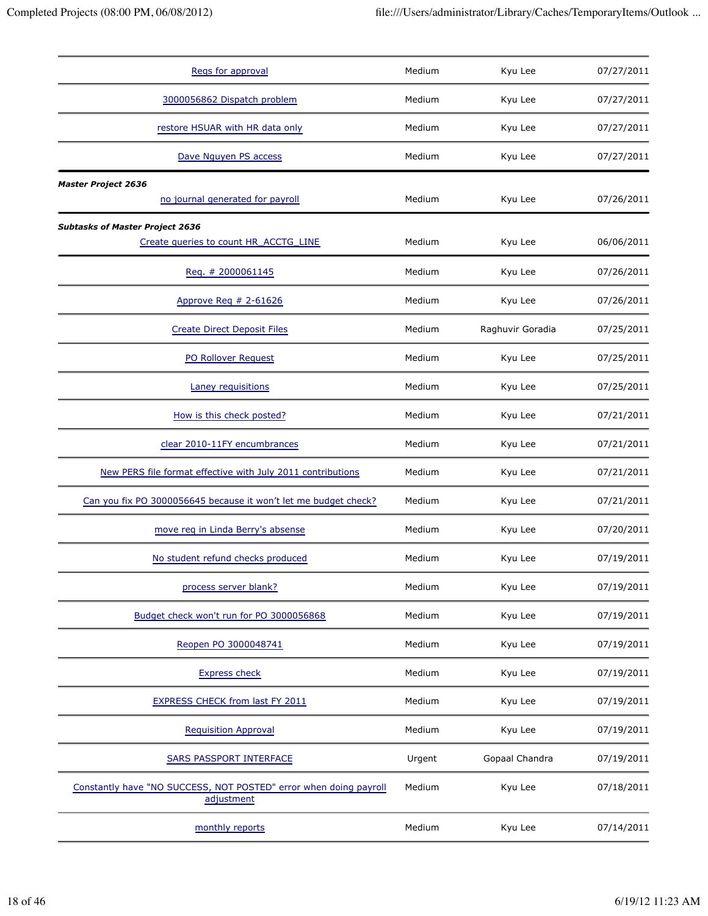| Regs for approval                                                               | Medium | Kyu Lee          | 07/27/2011 |
|---------------------------------------------------------------------------------|--------|------------------|------------|
| 3000056862 Dispatch problem                                                     | Medium | Kyu Lee          | 07/27/2011 |
| restore HSUAR with HR data only                                                 | Medium | Kyu Lee          | 07/27/2011 |
| Dave Nguyen PS access                                                           | Medium | Kyu Lee          | 07/27/2011 |
| <b>Master Project 2636</b>                                                      |        |                  |            |
| no journal generated for payroll                                                | Medium | Kyu Lee          | 07/26/2011 |
| <b>Subtasks of Master Project 2636</b>                                          |        |                  |            |
| Create queries to count HR_ACCTG_LINE                                           | Medium | Kyu Lee          | 06/06/2011 |
| Reg. # 2000061145                                                               | Medium | Kyu Lee          | 07/26/2011 |
| Approve Req # 2-61626                                                           | Medium | Kyu Lee          | 07/26/2011 |
| <b>Create Direct Deposit Files</b>                                              | Medium | Raghuvir Goradia | 07/25/2011 |
| PO Rollover Request                                                             | Medium | Kyu Lee          | 07/25/2011 |
| Laney requisitions                                                              | Medium | Kyu Lee          | 07/25/2011 |
| How is this check posted?                                                       | Medium | Kyu Lee          | 07/21/2011 |
| clear 2010-11FY encumbrances                                                    | Medium | Kyu Lee          | 07/21/2011 |
| New PERS file format effective with July 2011 contributions                     | Medium | Kyu Lee          | 07/21/2011 |
| Can you fix PO 3000056645 because it won't let me budget check?                 | Medium | Kyu Lee          | 07/21/2011 |
| move reg in Linda Berry's absense                                               | Medium | Kyu Lee          | 07/20/2011 |
| No student refund checks produced                                               | Medium | Kyu Lee          | 07/19/2011 |
| process server blank?                                                           | Medium | Kyu Lee          | 07/19/2011 |
| Budget check won't run for PO 3000056868                                        | Medium | Kyu Lee          | 07/19/2011 |
| Reopen PO 3000048741                                                            | Medium | Kyu Lee          | 07/19/2011 |
| <b>Express check</b>                                                            | Medium | Kyu Lee          | 07/19/2011 |
| <b>EXPRESS CHECK from last FY 2011</b>                                          | Medium | Kyu Lee          | 07/19/2011 |
| <b>Requisition Approval</b>                                                     | Medium | Kyu Lee          | 07/19/2011 |
| SARS PASSPORT INTERFACE                                                         | Urgent | Gopaal Chandra   | 07/19/2011 |
| Constantly have "NO SUCCESS, NOT POSTED" error when doing payroll<br>adjustment | Medium | Kyu Lee          | 07/18/2011 |
| monthly reports                                                                 | Medium | Kyu Lee          | 07/14/2011 |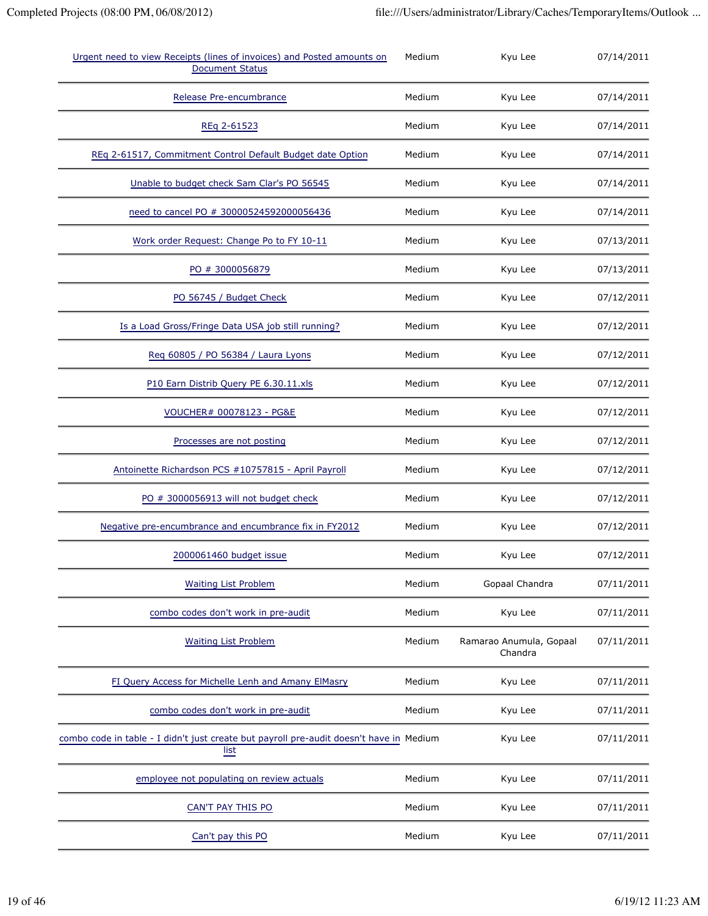| Urgent need to view Receipts (lines of invoices) and Posted amounts on<br><b>Document Status</b> | Medium | Kyu Lee                            | 07/14/2011 |
|--------------------------------------------------------------------------------------------------|--------|------------------------------------|------------|
| Release Pre-encumbrance                                                                          | Medium | Kyu Lee                            | 07/14/2011 |
| REq 2-61523                                                                                      | Medium | Kyu Lee                            | 07/14/2011 |
| REq 2-61517, Commitment Control Default Budget date Option                                       | Medium | Kyu Lee                            | 07/14/2011 |
| Unable to budget check Sam Clar's PO 56545                                                       | Medium | Kyu Lee                            | 07/14/2011 |
| need to cancel PO # 30000524592000056436                                                         | Medium | Kyu Lee                            | 07/14/2011 |
| Work order Request: Change Po to FY 10-11                                                        | Medium | Kyu Lee                            | 07/13/2011 |
| PO # 3000056879                                                                                  | Medium | Kyu Lee                            | 07/13/2011 |
| PO 56745 / Budget Check                                                                          | Medium | Kyu Lee                            | 07/12/2011 |
| Is a Load Gross/Fringe Data USA job still running?                                               | Medium | Kyu Lee                            | 07/12/2011 |
| Reg 60805 / PO 56384 / Laura Lyons                                                               | Medium | Kyu Lee                            | 07/12/2011 |
| P10 Earn Distrib Query PE 6.30.11.xls                                                            | Medium | Kyu Lee                            | 07/12/2011 |
| VOUCHER# 00078123 - PG&E                                                                         | Medium | Kyu Lee                            | 07/12/2011 |
| Processes are not posting                                                                        | Medium | Kyu Lee                            | 07/12/2011 |
| Antoinette Richardson PCS #10757815 - April Payroll                                              | Medium | Kyu Lee                            | 07/12/2011 |
| PO # 3000056913 will not budget check                                                            | Medium | Kyu Lee                            | 07/12/2011 |
| Negative pre-encumbrance and encumbrance fix in FY2012                                           | Medium | Kyu Lee                            | 07/12/2011 |
| 2000061460 budget issue                                                                          | Medium | Kyu Lee                            | 07/12/2011 |
| <b>Waiting List Problem</b>                                                                      | Medium | Gopaal Chandra                     | 07/11/2011 |
| combo codes don't work in pre-audit                                                              | Medium | Kyu Lee                            | 07/11/2011 |
| <b>Waiting List Problem</b>                                                                      | Medium | Ramarao Anumula, Gopaal<br>Chandra | 07/11/2011 |
| FI Query Access for Michelle Lenh and Amany ElMasry                                              | Medium | Kyu Lee                            | 07/11/2011 |
| combo codes don't work in pre-audit                                                              | Medium | Kyu Lee                            | 07/11/2011 |
| combo code in table - I didn't just create but payroll pre-audit doesn't have in Medium<br>list  |        | Kyu Lee                            | 07/11/2011 |
| employee not populating on review actuals                                                        | Medium | Kyu Lee                            | 07/11/2011 |
| CAN'T PAY THIS PO                                                                                | Medium | Kyu Lee                            | 07/11/2011 |
| Can't pay this PO                                                                                | Medium | Kyu Lee                            | 07/11/2011 |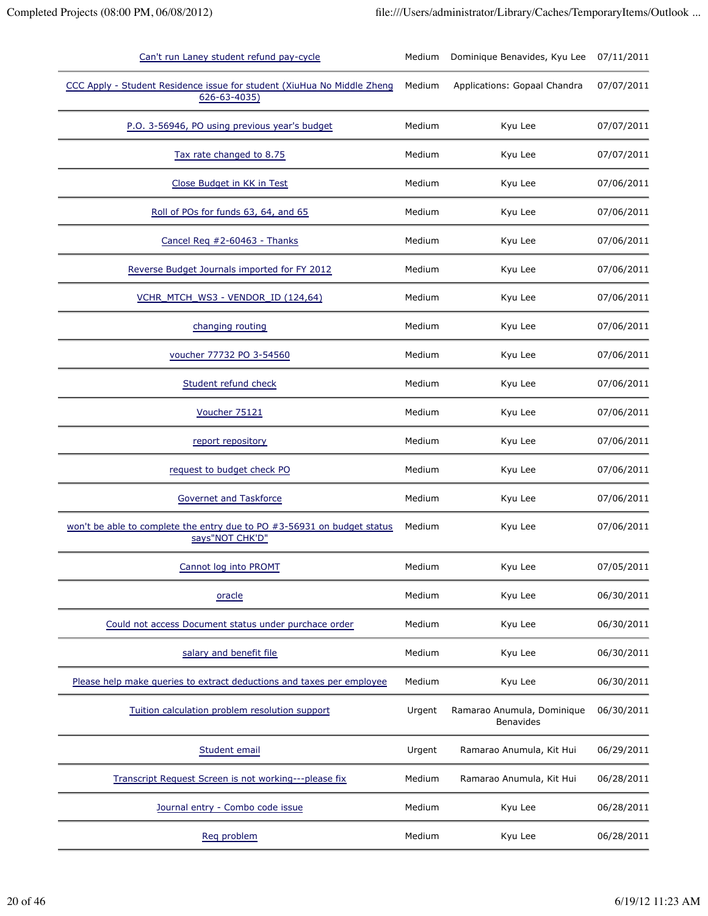| Can't run Laney student refund pay-cycle                                                   | Medium | Dominique Benavides, Kyu Lee                   | 07/11/2011 |
|--------------------------------------------------------------------------------------------|--------|------------------------------------------------|------------|
| CCC Apply - Student Residence issue for student (XiuHua No Middle Zheng<br>626-63-4035)    | Medium | Applications: Gopaal Chandra                   | 07/07/2011 |
| P.O. 3-56946, PO using previous year's budget                                              | Medium | Kyu Lee                                        | 07/07/2011 |
| Tax rate changed to 8.75                                                                   | Medium | Kyu Lee                                        | 07/07/2011 |
| Close Budget in KK in Test                                                                 | Medium | Kyu Lee                                        | 07/06/2011 |
| Roll of POs for funds 63, 64, and 65                                                       | Medium | Kyu Lee                                        | 07/06/2011 |
| Cancel Req #2-60463 - Thanks                                                               | Medium | Kyu Lee                                        | 07/06/2011 |
| Reverse Budget Journals imported for FY 2012                                               | Medium | Kyu Lee                                        | 07/06/2011 |
| VCHR MTCH WS3 - VENDOR ID (124,64)                                                         | Medium | Kyu Lee                                        | 07/06/2011 |
| changing routing                                                                           | Medium | Kyu Lee                                        | 07/06/2011 |
| voucher 77732 PO 3-54560                                                                   | Medium | Kyu Lee                                        | 07/06/2011 |
| Student refund check                                                                       | Medium | Kyu Lee                                        | 07/06/2011 |
| Voucher 75121                                                                              | Medium | Kyu Lee                                        | 07/06/2011 |
| report repository                                                                          | Medium | Kyu Lee                                        | 07/06/2011 |
| request to budget check PO                                                                 | Medium | Kyu Lee                                        | 07/06/2011 |
| <b>Governet and Taskforce</b>                                                              | Medium | Kyu Lee                                        | 07/06/2011 |
| won't be able to complete the entry due to PO #3-56931 on budget status<br>says"NOT CHK'D" | Medium | Kyu Lee                                        | 07/06/2011 |
| Cannot log into PROMT                                                                      | Medium | Kyu Lee                                        | 07/05/2011 |
| oracle                                                                                     | Medium | Kyu Lee                                        | 06/30/2011 |
| Could not access Document status under purchace order                                      | Medium | Kyu Lee                                        | 06/30/2011 |
| salary and benefit file                                                                    | Medium | Kyu Lee                                        | 06/30/2011 |
| Please help make queries to extract deductions and taxes per employee                      | Medium | Kyu Lee                                        | 06/30/2011 |
| Tuition calculation problem resolution support                                             | Urgent | Ramarao Anumula, Dominique<br><b>Benavides</b> | 06/30/2011 |
| Student email                                                                              | Urgent | Ramarao Anumula, Kit Hui                       | 06/29/2011 |
| Transcript Request Screen is not working---please fix                                      | Medium | Ramarao Anumula, Kit Hui                       | 06/28/2011 |
| Journal entry - Combo code issue                                                           | Medium | Kyu Lee                                        | 06/28/2011 |
| Reg problem                                                                                | Medium | Kyu Lee                                        | 06/28/2011 |
|                                                                                            |        |                                                |            |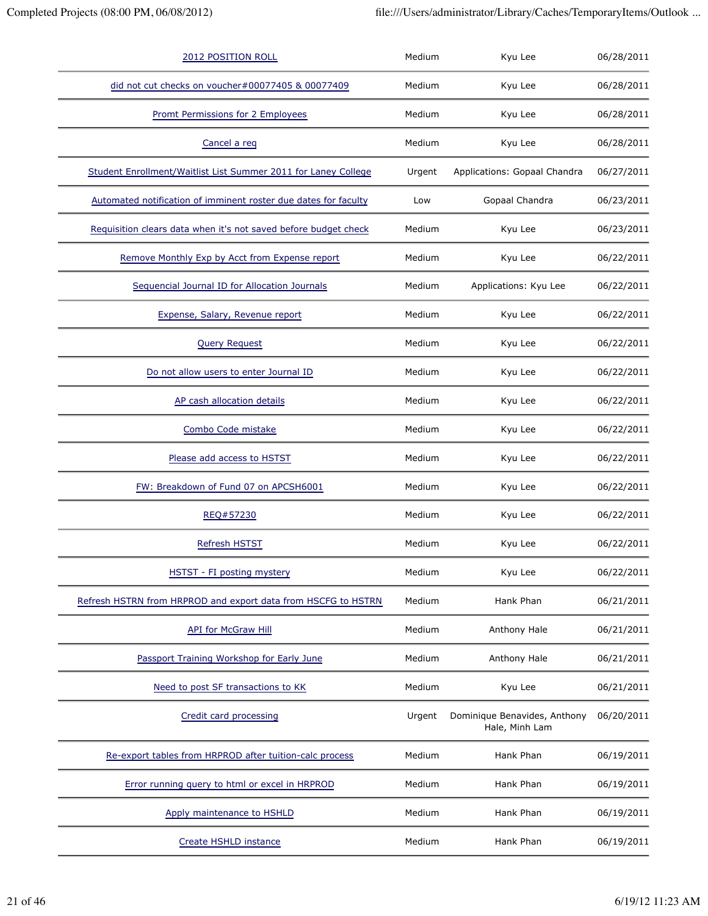| 2012 POSITION ROLL                                              | Medium | Kyu Lee                                        | 06/28/2011 |
|-----------------------------------------------------------------|--------|------------------------------------------------|------------|
| did not cut checks on voucher#00077405 & 00077409               | Medium | Kyu Lee                                        | 06/28/2011 |
| Promt Permissions for 2 Employees                               | Medium | Kyu Lee                                        | 06/28/2011 |
| Cancel a req                                                    | Medium | Kyu Lee                                        | 06/28/2011 |
| Student Enrollment/Waitlist List Summer 2011 for Laney College  | Urgent | Applications: Gopaal Chandra                   | 06/27/2011 |
| Automated notification of imminent roster due dates for faculty | Low    | Gopaal Chandra                                 | 06/23/2011 |
| Requisition clears data when it's not saved before budget check | Medium | Kyu Lee                                        | 06/23/2011 |
| Remove Monthly Exp by Acct from Expense report                  | Medium | Kyu Lee                                        | 06/22/2011 |
| Sequencial Journal ID for Allocation Journals                   | Medium | Applications: Kyu Lee                          | 06/22/2011 |
| Expense, Salary, Revenue report                                 | Medium | Kyu Lee                                        | 06/22/2011 |
| <b>Query Request</b>                                            | Medium | Kyu Lee                                        | 06/22/2011 |
| Do not allow users to enter Journal ID                          | Medium | Kyu Lee                                        | 06/22/2011 |
| AP cash allocation details                                      | Medium | Kyu Lee                                        | 06/22/2011 |
| Combo Code mistake                                              | Medium | Kyu Lee                                        | 06/22/2011 |
| Please add access to HSTST                                      | Medium | Kyu Lee                                        | 06/22/2011 |
| FW: Breakdown of Fund 07 on APCSH6001                           | Medium | Kyu Lee                                        | 06/22/2011 |
| REQ#57230                                                       | Medium | Kyu Lee                                        | 06/22/2011 |
| Refresh HSTST                                                   | Medium | Kyu Lee                                        | 06/22/2011 |
| HSTST - FI posting mystery                                      | Medium | Kyu Lee                                        | 06/22/2011 |
| Refresh HSTRN from HRPROD and export data from HSCFG to HSTRN   | Medium | Hank Phan                                      | 06/21/2011 |
| <b>API for McGraw Hill</b>                                      | Medium | Anthony Hale                                   | 06/21/2011 |
| Passport Training Workshop for Early June                       | Medium | Anthony Hale                                   | 06/21/2011 |
| Need to post SF transactions to KK                              | Medium | Kyu Lee                                        | 06/21/2011 |
| Credit card processing                                          | Urgent | Dominique Benavides, Anthony<br>Hale, Minh Lam | 06/20/2011 |
| Re-export tables from HRPROD after tuition-calc process         | Medium | Hank Phan                                      | 06/19/2011 |
| Error running query to html or excel in HRPROD                  | Medium | Hank Phan                                      | 06/19/2011 |
| Apply maintenance to HSHLD                                      | Medium | Hank Phan                                      | 06/19/2011 |
| Create HSHLD instance                                           | Medium | Hank Phan                                      | 06/19/2011 |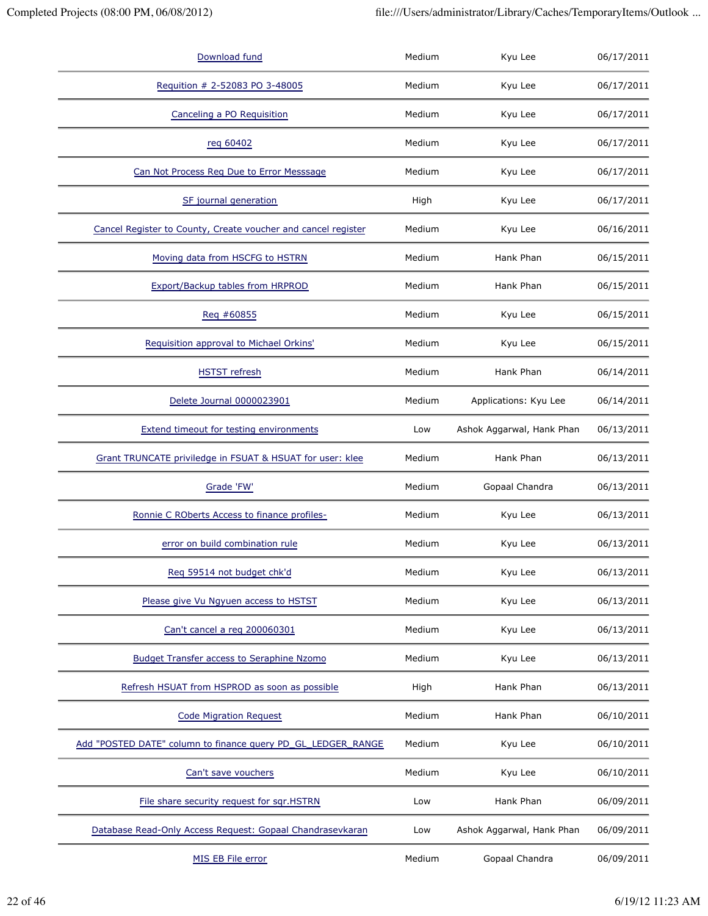| Download fund                                                 | Medium | Kyu Lee                   | 06/17/2011 |
|---------------------------------------------------------------|--------|---------------------------|------------|
| Requition # 2-52083 PO 3-48005                                | Medium | Kyu Lee                   | 06/17/2011 |
| Canceling a PO Requisition                                    | Medium | Kyu Lee                   | 06/17/2011 |
| reg 60402                                                     | Medium | Kyu Lee                   | 06/17/2011 |
| Can Not Process Reg Due to Error Messsage                     | Medium | Kyu Lee                   | 06/17/2011 |
| SF journal generation                                         | High   | Kyu Lee                   | 06/17/2011 |
| Cancel Register to County, Create voucher and cancel register | Medium | Kyu Lee                   | 06/16/2011 |
| Moving data from HSCFG to HSTRN                               | Medium | Hank Phan                 | 06/15/2011 |
| Export/Backup tables from HRPROD                              | Medium | Hank Phan                 | 06/15/2011 |
| Req #60855                                                    | Medium | Kyu Lee                   | 06/15/2011 |
| Requisition approval to Michael Orkins'                       | Medium | Kyu Lee                   | 06/15/2011 |
| <b>HSTST</b> refresh                                          | Medium | Hank Phan                 | 06/14/2011 |
| Delete Journal 0000023901                                     | Medium | Applications: Kyu Lee     | 06/14/2011 |
| Extend timeout for testing environments                       | Low    | Ashok Aggarwal, Hank Phan | 06/13/2011 |
| Grant TRUNCATE priviledge in FSUAT & HSUAT for user: klee     | Medium | Hank Phan                 | 06/13/2011 |
| Grade 'FW'                                                    | Medium | Gopaal Chandra            | 06/13/2011 |
| Ronnie C ROberts Access to finance profiles-                  | Medium | Kyu Lee                   | 06/13/2011 |
| error on build combination rule                               | Medium | Kyu Lee                   | 06/13/2011 |
| Req 59514 not budget chk'd                                    | Medium | Kyu Lee                   | 06/13/2011 |
| Please give Vu Ngyuen access to HSTST                         | Medium | Kyu Lee                   | 06/13/2011 |
| Can't cancel a reg 200060301                                  | Medium | Kyu Lee                   | 06/13/2011 |
| <b>Budget Transfer access to Seraphine Nzomo</b>              | Medium | Kyu Lee                   | 06/13/2011 |
| Refresh HSUAT from HSPROD as soon as possible                 | High   | Hank Phan                 | 06/13/2011 |
| <b>Code Migration Request</b>                                 | Medium | Hank Phan                 | 06/10/2011 |
| Add "POSTED DATE" column to finance query PD_GL_LEDGER_RANGE  | Medium | Kyu Lee                   | 06/10/2011 |
| Can't save vouchers                                           | Medium | Kyu Lee                   | 06/10/2011 |
| File share security request for sqr.HSTRN                     | Low    | Hank Phan                 | 06/09/2011 |
| Database Read-Only Access Request: Gopaal Chandrasevkaran     | Low    | Ashok Aggarwal, Hank Phan | 06/09/2011 |
| MIS EB File error                                             | Medium | Gopaal Chandra            | 06/09/2011 |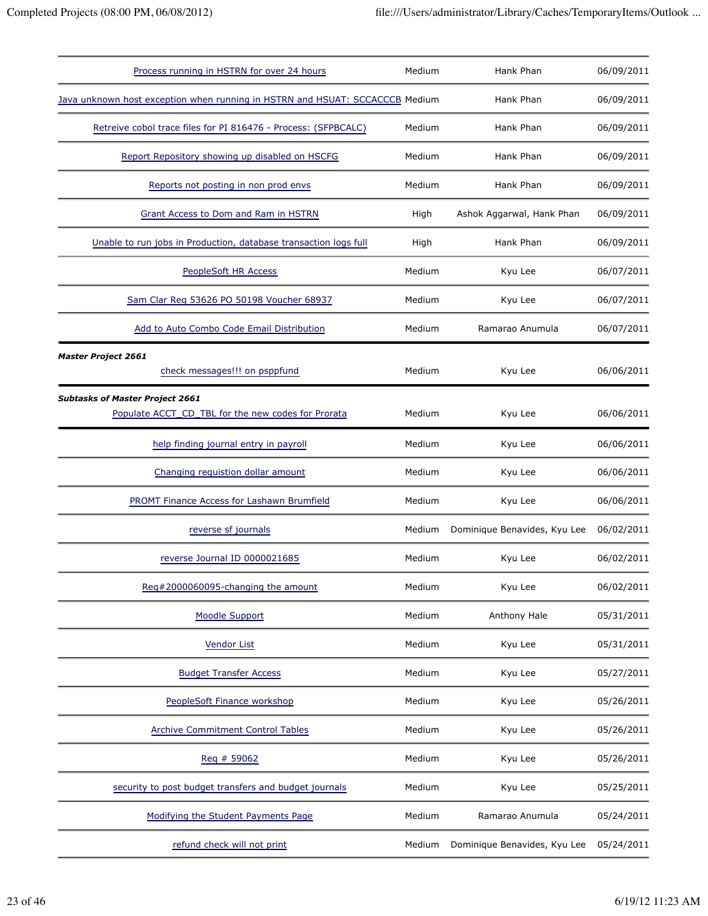| Process running in HSTRN for over 24 hours                                                   | Medium | Hank Phan                    | 06/09/2011 |
|----------------------------------------------------------------------------------------------|--------|------------------------------|------------|
| Java unknown host exception when running in HSTRN and HSUAT: SCCACCCB Medium                 |        | Hank Phan                    | 06/09/2011 |
| Retreive cobol trace files for PI 816476 - Process: (SFPBCALC)                               | Medium | Hank Phan                    | 06/09/2011 |
| Report Repository showing up disabled on HSCFG                                               | Medium | Hank Phan                    | 06/09/2011 |
| Reports not posting in non prod envs                                                         | Medium | Hank Phan                    | 06/09/2011 |
| Grant Access to Dom and Ram in HSTRN                                                         | High   | Ashok Aggarwal, Hank Phan    | 06/09/2011 |
| Unable to run jobs in Production, database transaction logs full                             | High   | Hank Phan                    | 06/09/2011 |
| <b>PeopleSoft HR Access</b>                                                                  | Medium | Kyu Lee                      | 06/07/2011 |
| Sam Clar Reg 53626 PO 50198 Voucher 68937                                                    | Medium | Kyu Lee                      | 06/07/2011 |
| Add to Auto Combo Code Email Distribution                                                    | Medium | Ramarao Anumula              | 06/07/2011 |
| <b>Master Project 2661</b><br>check messages!!! on psppfund                                  | Medium | Kyu Lee                      | 06/06/2011 |
| <b>Subtasks of Master Project 2661</b><br>Populate ACCT CD TBL for the new codes for Prorata | Medium | Kyu Lee                      | 06/06/2011 |
| help finding journal entry in payroll                                                        | Medium | Kyu Lee                      | 06/06/2011 |
| Changing requistion dollar amount                                                            | Medium | Kyu Lee                      | 06/06/2011 |
| <b>PROMT Finance Access for Lashawn Brumfield</b>                                            | Medium | Kyu Lee                      | 06/06/2011 |
| reverse sf journals                                                                          | Medium | Dominique Benavides, Kyu Lee | 06/02/2011 |
| reverse Journal ID 0000021685                                                                | Medium | Kyu Lee                      | 06/02/2011 |
| Reg#2000060095-changing the amount                                                           | Medium | Kyu Lee                      | 06/02/2011 |
| Moodle Support                                                                               | Medium | Anthony Hale                 | 05/31/2011 |
| <b>Vendor List</b>                                                                           | Medium | Kyu Lee                      | 05/31/2011 |
| <b>Budget Transfer Access</b>                                                                | Medium | Kyu Lee                      | 05/27/2011 |
| PeopleSoft Finance workshop                                                                  | Medium | Kyu Lee                      | 05/26/2011 |
| <b>Archive Commitment Control Tables</b>                                                     | Medium | Kyu Lee                      | 05/26/2011 |
| Reg # 59062                                                                                  | Medium | Kyu Lee                      | 05/26/2011 |
| security to post budget transfers and budget journals                                        | Medium | Kyu Lee                      | 05/25/2011 |
| Modifying the Student Payments Page                                                          | Medium | Ramarao Anumula              | 05/24/2011 |
| refund check will not print                                                                  | Medium | Dominique Benavides, Kyu Lee | 05/24/2011 |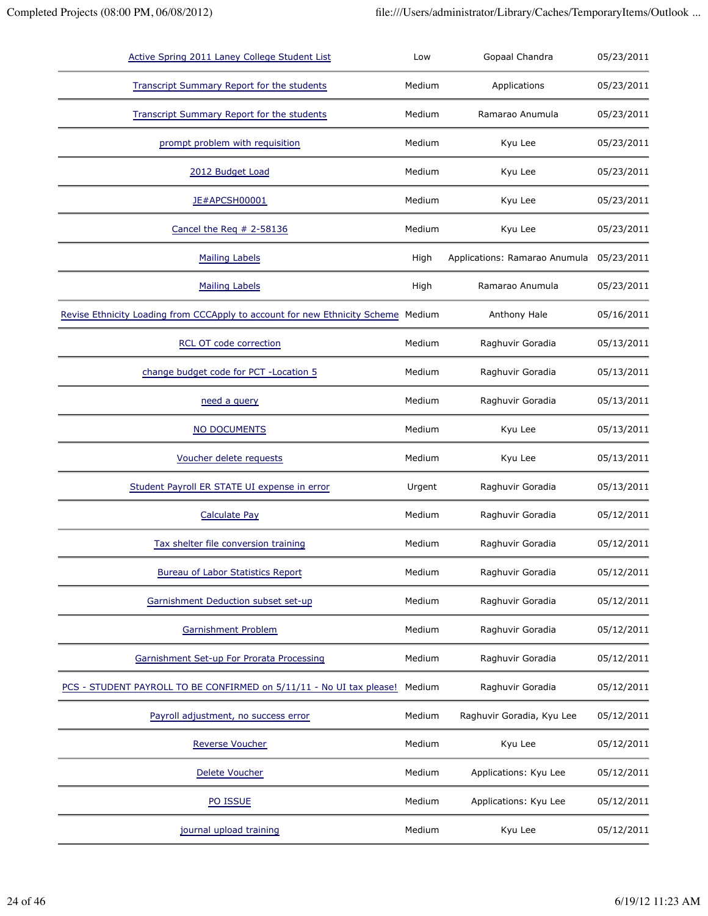| Active Spring 2011 Laney College Student List                                     | Low    | Gopaal Chandra                | 05/23/2011 |
|-----------------------------------------------------------------------------------|--------|-------------------------------|------------|
| <b>Transcript Summary Report for the students</b>                                 | Medium | Applications                  | 05/23/2011 |
| <b>Transcript Summary Report for the students</b>                                 | Medium | Ramarao Anumula               | 05/23/2011 |
| prompt problem with requisition                                                   | Medium | Kyu Lee                       | 05/23/2011 |
| 2012 Budget Load                                                                  | Medium | Kyu Lee                       | 05/23/2011 |
| JE#APCSH00001                                                                     | Medium | Kyu Lee                       | 05/23/2011 |
| Cancel the Req # 2-58136                                                          | Medium | Kyu Lee                       | 05/23/2011 |
| <b>Mailing Labels</b>                                                             | High   | Applications: Ramarao Anumula | 05/23/2011 |
| <b>Mailing Labels</b>                                                             | High   | Ramarao Anumula               | 05/23/2011 |
| Revise Ethnicity Loading from CCCApply to account for new Ethnicity Scheme Medium |        | Anthony Hale                  | 05/16/2011 |
| RCL OT code correction                                                            | Medium | Raghuvir Goradia              | 05/13/2011 |
| change budget code for PCT - Location 5                                           | Medium | Raghuvir Goradia              | 05/13/2011 |
| need a query                                                                      | Medium | Raghuvir Goradia              | 05/13/2011 |
| NO DOCUMENTS                                                                      | Medium | Kyu Lee                       | 05/13/2011 |
| Voucher delete requests                                                           | Medium | Kyu Lee                       | 05/13/2011 |
| Student Payroll ER STATE UI expense in error                                      | Urgent | Raghuvir Goradia              | 05/13/2011 |
| <b>Calculate Pay</b>                                                              | Medium | Raghuvir Goradia              | 05/12/2011 |
| Tax shelter file conversion training                                              | Medium | Raghuvir Goradia              | 05/12/2011 |
| <b>Bureau of Labor Statistics Report</b>                                          | Medium | Raghuvir Goradia              | 05/12/2011 |
| Garnishment Deduction subset set-up                                               | Medium | Raghuvir Goradia              | 05/12/2011 |
| Garnishment Problem                                                               | Medium | Raghuvir Goradia              | 05/12/2011 |
| Garnishment Set-up For Prorata Processing                                         | Medium | Raghuvir Goradia              | 05/12/2011 |
| PCS - STUDENT PAYROLL TO BE CONFIRMED on 5/11/11 - No UI tax please!              | Medium | Raghuvir Goradia              | 05/12/2011 |
| Payroll adjustment, no success error                                              | Medium | Raghuvir Goradia, Kyu Lee     | 05/12/2011 |
| <b>Reverse Voucher</b>                                                            | Medium | Kyu Lee                       | 05/12/2011 |
| Delete Voucher                                                                    | Medium | Applications: Kyu Lee         | 05/12/2011 |
| PO ISSUE                                                                          | Medium | Applications: Kyu Lee         | 05/12/2011 |
| journal upload training                                                           | Medium | Kyu Lee                       | 05/12/2011 |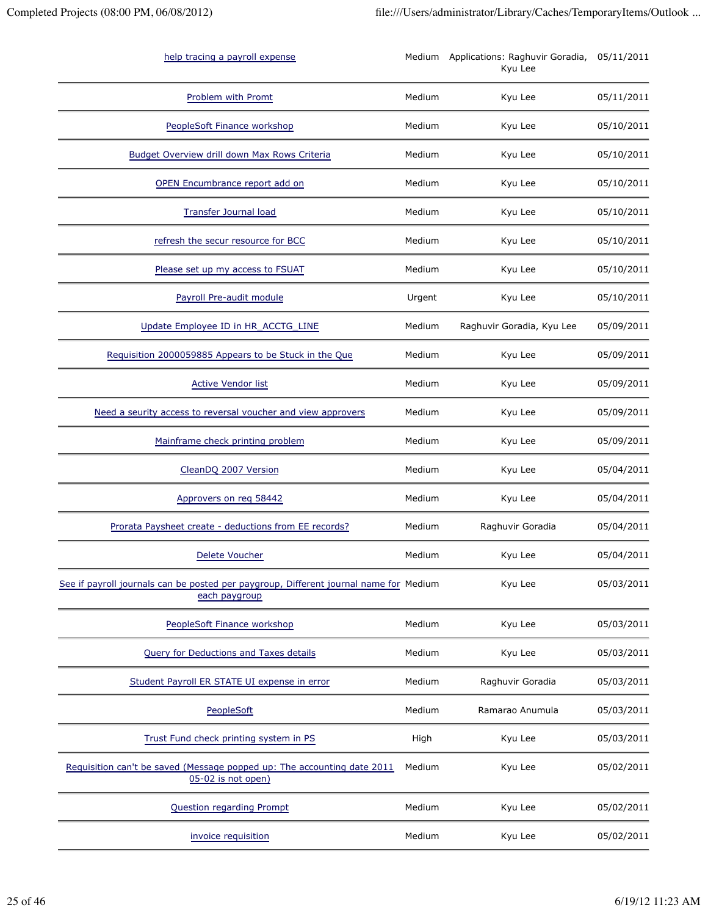| help tracing a payroll expense                                                                         |        | Medium Applications: Raghuvir Goradia,<br>Kyu Lee | 05/11/2011 |
|--------------------------------------------------------------------------------------------------------|--------|---------------------------------------------------|------------|
| Problem with Promt                                                                                     | Medium | Kyu Lee                                           | 05/11/2011 |
| PeopleSoft Finance workshop                                                                            | Medium | Kyu Lee                                           | 05/10/2011 |
| Budget Overview drill down Max Rows Criteria                                                           | Medium | Kyu Lee                                           | 05/10/2011 |
| OPEN Encumbrance report add on                                                                         | Medium | Kyu Lee                                           | 05/10/2011 |
| <b>Transfer Journal load</b>                                                                           | Medium | Kyu Lee                                           | 05/10/2011 |
| refresh the secur resource for BCC                                                                     | Medium | Kyu Lee                                           | 05/10/2011 |
| Please set up my access to FSUAT                                                                       | Medium | Kyu Lee                                           | 05/10/2011 |
| Payroll Pre-audit module                                                                               | Urgent | Kyu Lee                                           | 05/10/2011 |
| Update Employee ID in HR_ACCTG_LINE                                                                    | Medium | Raghuvir Goradia, Kyu Lee                         | 05/09/2011 |
| Requisition 2000059885 Appears to be Stuck in the Que                                                  | Medium | Kyu Lee                                           | 05/09/2011 |
| <b>Active Vendor list</b>                                                                              | Medium | Kyu Lee                                           | 05/09/2011 |
| Need a seurity access to reversal voucher and view approvers                                           | Medium | Kyu Lee                                           | 05/09/2011 |
| Mainframe check printing problem                                                                       | Medium | Kyu Lee                                           | 05/09/2011 |
| CleanDQ 2007 Version                                                                                   | Medium | Kyu Lee                                           | 05/04/2011 |
| Approvers on req 58442                                                                                 | Medium | Kyu Lee                                           | 05/04/2011 |
| Prorata Paysheet create - deductions from EE records?                                                  | Medium | Raghuvir Goradia                                  | 05/04/2011 |
| <b>Delete Voucher</b>                                                                                  | Medium | Kyu Lee                                           | 05/04/2011 |
| See if payroll journals can be posted per paygroup, Different journal name for Medium<br>each paygroup |        | Kyu Lee                                           | 05/03/2011 |
| PeopleSoft Finance workshop                                                                            | Medium | Kyu Lee                                           | 05/03/2011 |
| <b>Query for Deductions and Taxes details</b>                                                          | Medium | Kyu Lee                                           | 05/03/2011 |
| Student Payroll ER STATE UI expense in error                                                           | Medium | Raghuvir Goradia                                  | 05/03/2011 |
| PeopleSoft                                                                                             | Medium | Ramarao Anumula                                   | 05/03/2011 |
| Trust Fund check printing system in PS                                                                 | High   | Kyu Lee                                           | 05/03/2011 |
| Requisition can't be saved (Message popped up: The accounting date 2011<br>05-02 is not open)          | Medium | Kyu Lee                                           | 05/02/2011 |
| Question regarding Prompt                                                                              | Medium | Kyu Lee                                           | 05/02/2011 |
| invoice requisition                                                                                    | Medium | Kyu Lee                                           | 05/02/2011 |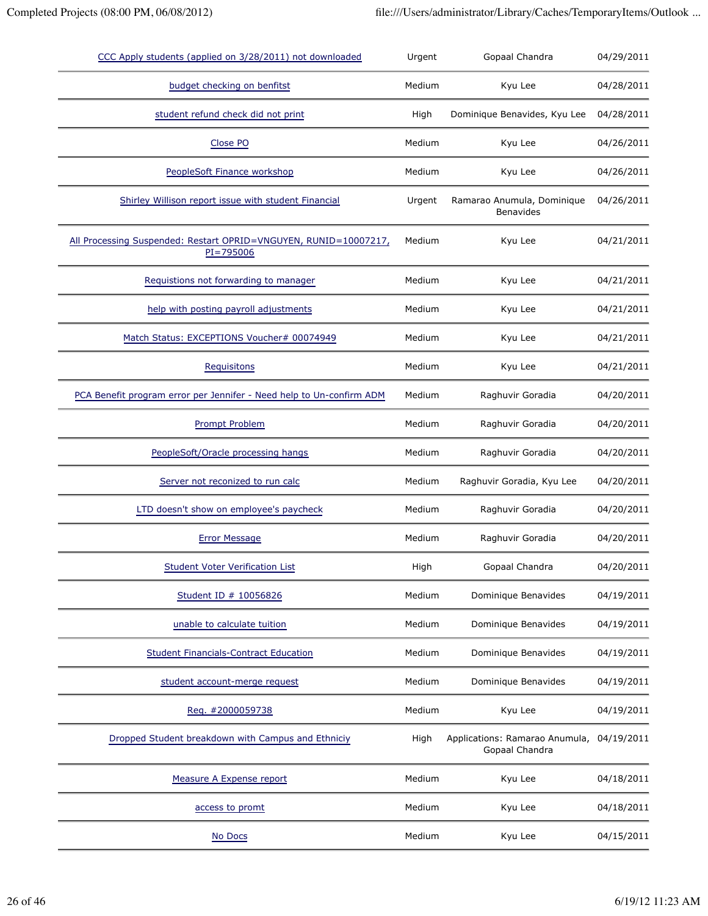| CCC Apply students (applied on 3/28/2011) not downloaded                          | Urgent | Gopaal Chandra                                              | 04/29/2011 |
|-----------------------------------------------------------------------------------|--------|-------------------------------------------------------------|------------|
| budget checking on benfitst                                                       | Medium | Kyu Lee                                                     | 04/28/2011 |
| student refund check did not print                                                | High   | Dominique Benavides, Kyu Lee                                | 04/28/2011 |
| Close PO                                                                          | Medium | Kyu Lee                                                     | 04/26/2011 |
| PeopleSoft Finance workshop                                                       | Medium | Kyu Lee                                                     | 04/26/2011 |
| Shirley Willison report issue with student Financial                              | Urgent | Ramarao Anumula, Dominique<br><b>Benavides</b>              | 04/26/2011 |
| All Processing Suspended: Restart OPRID=VNGUYEN, RUNID=10007217,<br>$PI = 795006$ | Medium | Kyu Lee                                                     | 04/21/2011 |
| Requistions not forwarding to manager                                             | Medium | Kyu Lee                                                     | 04/21/2011 |
| help with posting payroll adjustments                                             | Medium | Kyu Lee                                                     | 04/21/2011 |
| Match Status: EXCEPTIONS Voucher# 00074949                                        | Medium | Kyu Lee                                                     | 04/21/2011 |
| Requisitons                                                                       | Medium | Kyu Lee                                                     | 04/21/2011 |
| PCA Benefit program error per Jennifer - Need help to Un-confirm ADM              | Medium | Raghuvir Goradia                                            | 04/20/2011 |
| <b>Prompt Problem</b>                                                             | Medium | Raghuvir Goradia                                            | 04/20/2011 |
| PeopleSoft/Oracle processing hangs                                                | Medium | Raghuvir Goradia                                            | 04/20/2011 |
| Server not reconized to run calc                                                  | Medium | Raghuvir Goradia, Kyu Lee                                   | 04/20/2011 |
| LTD doesn't show on employee's paycheck                                           | Medium | Raghuvir Goradia                                            | 04/20/2011 |
| <b>Error Message</b>                                                              | Medium | Raghuvir Goradia                                            | 04/20/2011 |
| <b>Student Voter Verification List</b>                                            | High   | Gopaal Chandra                                              | 04/20/2011 |
| Student ID # 10056826                                                             | Medium | Dominique Benavides                                         | 04/19/2011 |
| unable to calculate tuition                                                       | Medium | Dominique Benavides                                         | 04/19/2011 |
| <b>Student Financials-Contract Education</b>                                      | Medium | Dominique Benavides                                         | 04/19/2011 |
| student account-merge request                                                     | Medium | Dominique Benavides                                         | 04/19/2011 |
| Req. #2000059738                                                                  | Medium | Kyu Lee                                                     | 04/19/2011 |
| Dropped Student breakdown with Campus and Ethniciy                                | High   | Applications: Ramarao Anumula, 04/19/2011<br>Gopaal Chandra |            |
| Measure A Expense report                                                          | Medium | Kyu Lee                                                     | 04/18/2011 |
| access to promt                                                                   | Medium | Kyu Lee                                                     | 04/18/2011 |
| No Docs                                                                           | Medium | Kyu Lee                                                     | 04/15/2011 |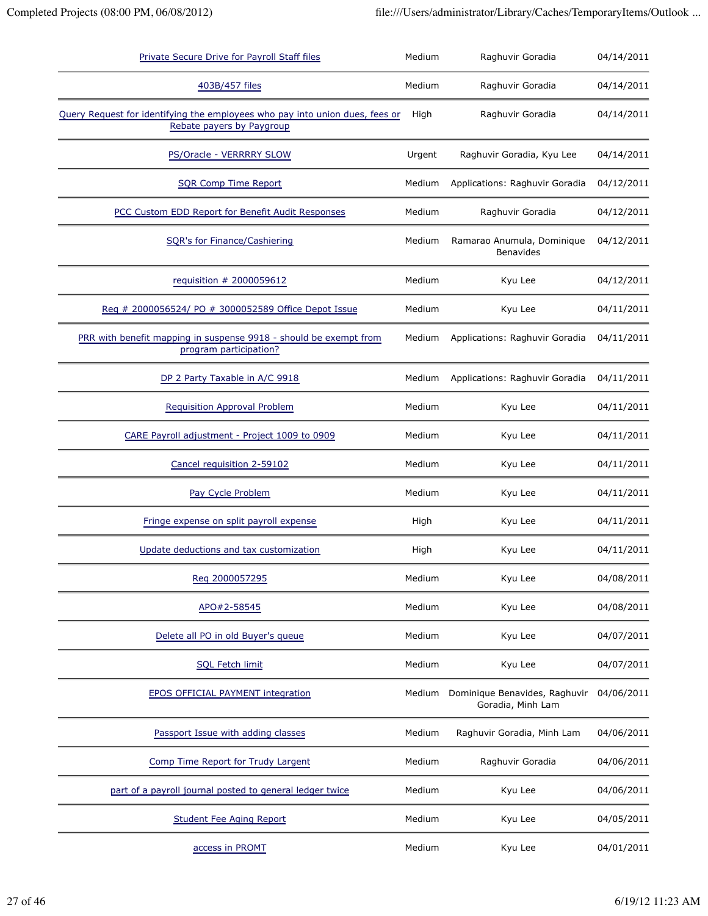| Private Secure Drive for Payroll Staff files                                                              | Medium | Raghuvir Goradia                                   |            |
|-----------------------------------------------------------------------------------------------------------|--------|----------------------------------------------------|------------|
| 403B/457 files                                                                                            | Medium | Raghuvir Goradia                                   | 04/14/2011 |
| Query Request for identifying the employees who pay into union dues, fees or<br>Rebate payers by Paygroup | High   | Raghuvir Goradia                                   | 04/14/2011 |
| PS/Oracle - VERRRRY SLOW                                                                                  | Urgent | Raghuvir Goradia, Kyu Lee                          | 04/14/2011 |
| <b>SQR Comp Time Report</b>                                                                               | Medium | Applications: Raghuvir Goradia                     | 04/12/2011 |
| PCC Custom EDD Report for Benefit Audit Responses                                                         | Medium | Raghuvir Goradia                                   | 04/12/2011 |
| <b>SQR's for Finance/Cashiering</b>                                                                       | Medium | Ramarao Anumula, Dominique<br><b>Benavides</b>     | 04/12/2011 |
| requisition # 2000059612                                                                                  | Medium | Kyu Lee                                            | 04/12/2011 |
| Reg # 2000056524/ PO # 3000052589 Office Depot Issue                                                      | Medium | Kyu Lee                                            | 04/11/2011 |
| PRR with benefit mapping in suspense 9918 - should be exempt from<br>program participation?               | Medium | Applications: Raghuvir Goradia                     | 04/11/2011 |
| DP 2 Party Taxable in A/C 9918                                                                            | Medium | Applications: Raghuvir Goradia                     | 04/11/2011 |
| <b>Requisition Approval Problem</b>                                                                       | Medium | Kyu Lee                                            | 04/11/2011 |
| CARE Payroll adjustment - Project 1009 to 0909                                                            | Medium | Kyu Lee                                            | 04/11/2011 |
| Cancel requisition 2-59102                                                                                | Medium | Kyu Lee                                            | 04/11/2011 |
| Pay Cycle Problem                                                                                         | Medium | Kyu Lee                                            | 04/11/2011 |
| Fringe expense on split payroll expense                                                                   | High   | Kyu Lee                                            | 04/11/2011 |
| Update deductions and tax customization                                                                   | High   | Kyu Lee                                            | 04/11/2011 |
| Reg 2000057295                                                                                            | Medium | Kyu Lee                                            | 04/08/2011 |
| APO#2-58545                                                                                               | Medium | Kyu Lee                                            | 04/08/2011 |
| Delete all PO in old Buyer's queue                                                                        | Medium | Kyu Lee                                            | 04/07/2011 |
| <b>SQL Fetch limit</b>                                                                                    | Medium | Kyu Lee                                            | 04/07/2011 |
| <b>EPOS OFFICIAL PAYMENT integration</b>                                                                  | Medium | Dominique Benavides, Raghuvir<br>Goradia, Minh Lam | 04/06/2011 |
| Passport Issue with adding classes                                                                        | Medium | Raghuvir Goradia, Minh Lam                         | 04/06/2011 |
| Comp Time Report for Trudy Largent                                                                        | Medium | Raghuvir Goradia                                   | 04/06/2011 |
| part of a payroll journal posted to general ledger twice                                                  | Medium | Kyu Lee                                            | 04/06/2011 |
| <b>Student Fee Aging Report</b>                                                                           | Medium | Kyu Lee                                            | 04/05/2011 |
| access in PROMT                                                                                           | Medium | Kyu Lee                                            | 04/01/2011 |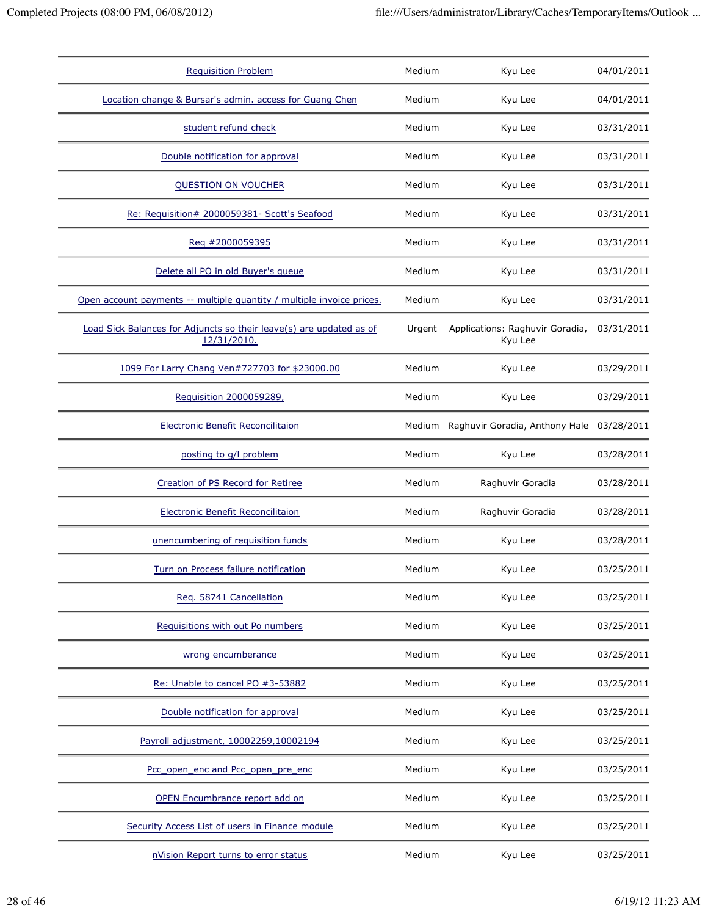| <b>Requisition Problem</b>                                                         | Medium | Kyu Lee                                    | 04/01/2011 |
|------------------------------------------------------------------------------------|--------|--------------------------------------------|------------|
| Location change & Bursar's admin. access for Guang Chen                            | Medium | Kyu Lee                                    | 04/01/2011 |
| student refund check                                                               | Medium | Kyu Lee                                    | 03/31/2011 |
| Double notification for approval                                                   | Medium | Kyu Lee                                    | 03/31/2011 |
| QUESTION ON VOUCHER                                                                | Medium | Kyu Lee                                    | 03/31/2011 |
| Re: Requisition# 2000059381- Scott's Seafood                                       | Medium | Kyu Lee                                    | 03/31/2011 |
| Req #2000059395                                                                    | Medium | Kyu Lee                                    | 03/31/2011 |
| Delete all PO in old Buyer's queue                                                 | Medium | Kyu Lee                                    | 03/31/2011 |
| Open account payments -- multiple quantity / multiple invoice prices.              | Medium | Kyu Lee                                    | 03/31/2011 |
| Load Sick Balances for Adjuncts so their leave(s) are updated as of<br>12/31/2010. | Urgent | Applications: Raghuvir Goradia,<br>Kyu Lee | 03/31/2011 |
| 1099 For Larry Chang Ven#727703 for \$23000.00                                     | Medium | Kyu Lee                                    | 03/29/2011 |
| Requisition 2000059289,                                                            | Medium | Kyu Lee                                    | 03/29/2011 |
| Electronic Benefit Reconcilitaion                                                  |        | Medium Raghuvir Goradia, Anthony Hale      | 03/28/2011 |
| posting to g/l problem                                                             | Medium | Kyu Lee                                    | 03/28/2011 |
| Creation of PS Record for Retiree                                                  | Medium | Raghuvir Goradia                           | 03/28/2011 |
| <b>Electronic Benefit Reconcilitaion</b>                                           | Medium | Raghuvir Goradia                           | 03/28/2011 |
| unencumbering of requisition funds                                                 | Medium | Kyu Lee                                    | 03/28/2011 |
| Turn on Process failure notification                                               | Medium | Kyu Lee                                    | 03/25/2011 |
| Req. 58741 Cancellation                                                            | Medium | Kyu Lee                                    | 03/25/2011 |
| Requisitions with out Po numbers                                                   | Medium | Kyu Lee                                    | 03/25/2011 |
| wrong encumberance                                                                 | Medium | Kyu Lee                                    | 03/25/2011 |
| Re: Unable to cancel PO #3-53882                                                   | Medium | Kyu Lee                                    | 03/25/2011 |
| Double notification for approval                                                   | Medium | Kyu Lee                                    | 03/25/2011 |
| Payroll adjustment, 10002269,10002194                                              | Medium | Kyu Lee                                    | 03/25/2011 |
| Pcc_open_enc and Pcc_open_pre_enc                                                  | Medium | Kyu Lee                                    | 03/25/2011 |
| OPEN Encumbrance report add on                                                     | Medium | Kyu Lee                                    | 03/25/2011 |
| Security Access List of users in Finance module                                    | Medium | Kyu Lee                                    | 03/25/2011 |
| nVision Report turns to error status                                               | Medium | Kyu Lee                                    | 03/25/2011 |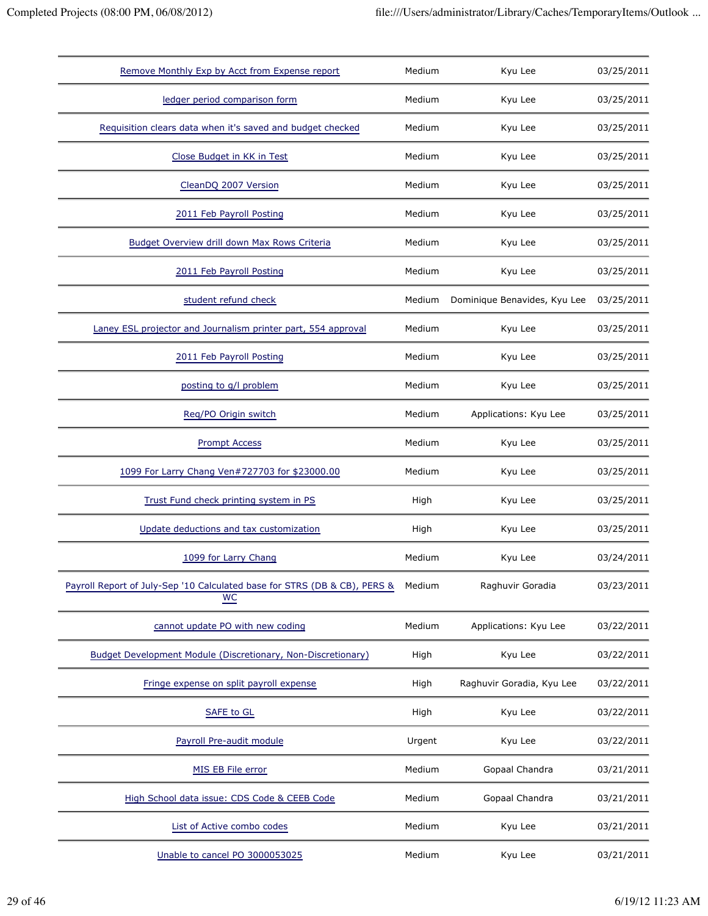| Remove Monthly Exp by Acct from Expense report                                  | Medium | Kyu Lee                      | 03/25/2011 |
|---------------------------------------------------------------------------------|--------|------------------------------|------------|
| ledger period comparison form                                                   | Medium | Kyu Lee                      | 03/25/2011 |
| Requisition clears data when it's saved and budget checked                      | Medium | Kyu Lee                      | 03/25/2011 |
| Close Budget in KK in Test                                                      | Medium | Kyu Lee                      | 03/25/2011 |
| CleanDQ 2007 Version                                                            | Medium | Kyu Lee                      | 03/25/2011 |
| 2011 Feb Payroll Posting                                                        | Medium | Kyu Lee                      | 03/25/2011 |
| Budget Overview drill down Max Rows Criteria                                    | Medium | Kyu Lee                      | 03/25/2011 |
| 2011 Feb Payroll Posting                                                        | Medium | Kyu Lee                      | 03/25/2011 |
| student refund check                                                            | Medium | Dominique Benavides, Kyu Lee | 03/25/2011 |
| Laney ESL projector and Journalism printer part, 554 approval                   | Medium | Kyu Lee                      | 03/25/2011 |
| 2011 Feb Payroll Posting                                                        | Medium | Kyu Lee                      | 03/25/2011 |
| posting to g/l problem                                                          | Medium | Kyu Lee                      | 03/25/2011 |
| Reg/PO Origin switch                                                            | Medium | Applications: Kyu Lee        | 03/25/2011 |
| <b>Prompt Access</b>                                                            | Medium | Kyu Lee                      | 03/25/2011 |
| 1099 For Larry Chang Ven#727703 for \$23000.00                                  | Medium | Kyu Lee                      | 03/25/2011 |
| Trust Fund check printing system in PS                                          | High   | Kyu Lee                      | 03/25/2011 |
| Update deductions and tax customization                                         | High   | Kyu Lee                      | 03/25/2011 |
| 1099 for Larry Chang                                                            | Medium | Kyu Lee                      | 03/24/2011 |
| Payroll Report of July-Sep '10 Calculated base for STRS (DB & CB), PERS &<br>WC | Medium | Raghuvir Goradia             | 03/23/2011 |
| cannot update PO with new coding                                                | Medium | Applications: Kyu Lee        | 03/22/2011 |
| <b>Budget Development Module (Discretionary, Non-Discretionary)</b>             | High   | Kyu Lee                      | 03/22/2011 |
| Fringe expense on split payroll expense                                         | High   | Raghuvir Goradia, Kyu Lee    | 03/22/2011 |
| SAFE to GL                                                                      | High   | Kyu Lee                      | 03/22/2011 |
| Payroll Pre-audit module                                                        | Urgent | Kyu Lee                      | 03/22/2011 |
| MIS EB File error                                                               | Medium | Gopaal Chandra               | 03/21/2011 |
| High School data issue: CDS Code & CEEB Code                                    | Medium | Gopaal Chandra               | 03/21/2011 |
| List of Active combo codes                                                      | Medium | Kyu Lee                      | 03/21/2011 |
| Unable to cancel PO 3000053025                                                  | Medium | Kyu Lee                      | 03/21/2011 |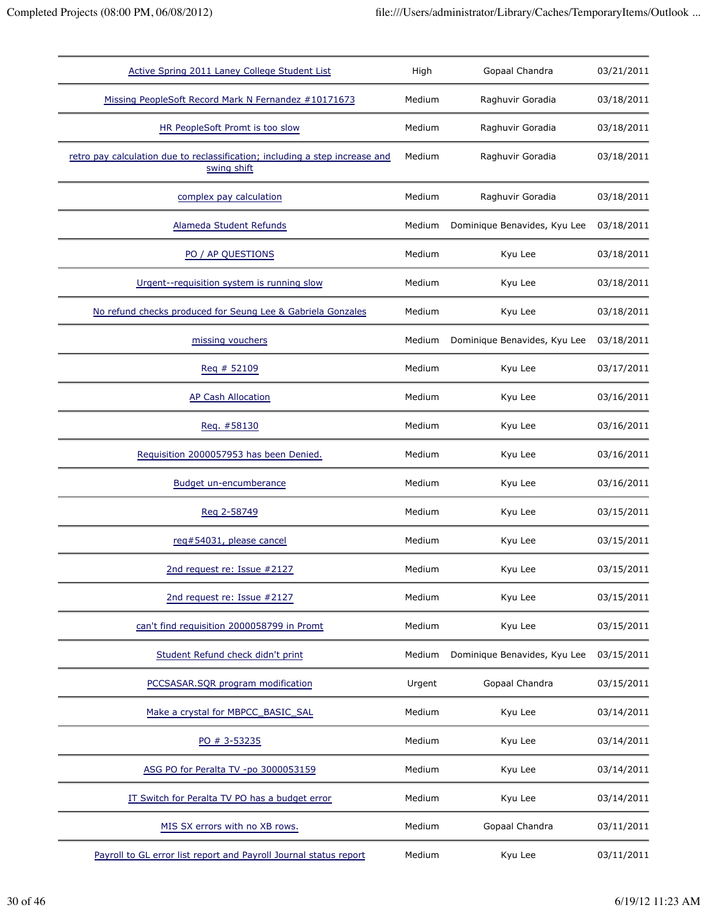| Active Spring 2011 Laney College Student List                                               | High   | Gopaal Chandra               | 03/21/2011 |
|---------------------------------------------------------------------------------------------|--------|------------------------------|------------|
| Missing PeopleSoft Record Mark N Fernandez #10171673                                        | Medium | Raghuvir Goradia             | 03/18/2011 |
| HR PeopleSoft Promt is too slow                                                             | Medium | Raghuvir Goradia             | 03/18/2011 |
| retro pay calculation due to reclassification; including a step increase and<br>swing shift | Medium | Raghuvir Goradia             | 03/18/2011 |
| complex pay calculation                                                                     | Medium | Raghuvir Goradia             | 03/18/2011 |
| Alameda Student Refunds                                                                     | Medium | Dominique Benavides, Kyu Lee | 03/18/2011 |
| PO / AP QUESTIONS                                                                           | Medium | Kyu Lee                      | 03/18/2011 |
| Urgent--requisition system is running slow                                                  | Medium | Kyu Lee                      | 03/18/2011 |
| No refund checks produced for Seung Lee & Gabriela Gonzales                                 | Medium | Kyu Lee                      | 03/18/2011 |
| missing vouchers                                                                            | Medium | Dominique Benavides, Kyu Lee | 03/18/2011 |
| Req # 52109                                                                                 | Medium | Kyu Lee                      | 03/17/2011 |
| <b>AP Cash Allocation</b>                                                                   | Medium | Kyu Lee                      | 03/16/2011 |
| Reg. #58130                                                                                 | Medium | Kyu Lee                      | 03/16/2011 |
| Requisition 2000057953 has been Denied.                                                     | Medium | Kyu Lee                      | 03/16/2011 |
| Budget un-encumberance                                                                      | Medium | Kyu Lee                      | 03/16/2011 |
| Reg 2-58749                                                                                 | Medium | Kyu Lee                      | 03/15/2011 |
| req#54031, please cancel                                                                    | Medium | Kyu Lee                      | 03/15/2011 |
| 2nd request re: Issue #2127                                                                 | Medium | Kyu Lee                      | 03/15/2011 |
| 2nd request re: Issue #2127                                                                 | Medium | Kyu Lee                      | 03/15/2011 |
| can't find requisition 2000058799 in Promt                                                  | Medium | Kyu Lee                      | 03/15/2011 |
| Student Refund check didn't print                                                           | Medium | Dominique Benavides, Kyu Lee | 03/15/2011 |
| PCCSASAR.SQR program modification                                                           | Urgent | Gopaal Chandra               | 03/15/2011 |
| Make a crystal for MBPCC_BASIC_SAL                                                          | Medium | Kyu Lee                      | 03/14/2011 |
| PO # 3-53235                                                                                | Medium | Kyu Lee                      | 03/14/2011 |
| ASG PO for Peralta TV -po 3000053159                                                        | Medium | Kyu Lee                      | 03/14/2011 |
| IT Switch for Peralta TV PO has a budget error                                              | Medium | Kyu Lee                      | 03/14/2011 |
| MIS SX errors with no XB rows.                                                              | Medium | Gopaal Chandra               | 03/11/2011 |
| Payroll to GL error list report and Payroll Journal status report                           | Medium | Kyu Lee                      | 03/11/2011 |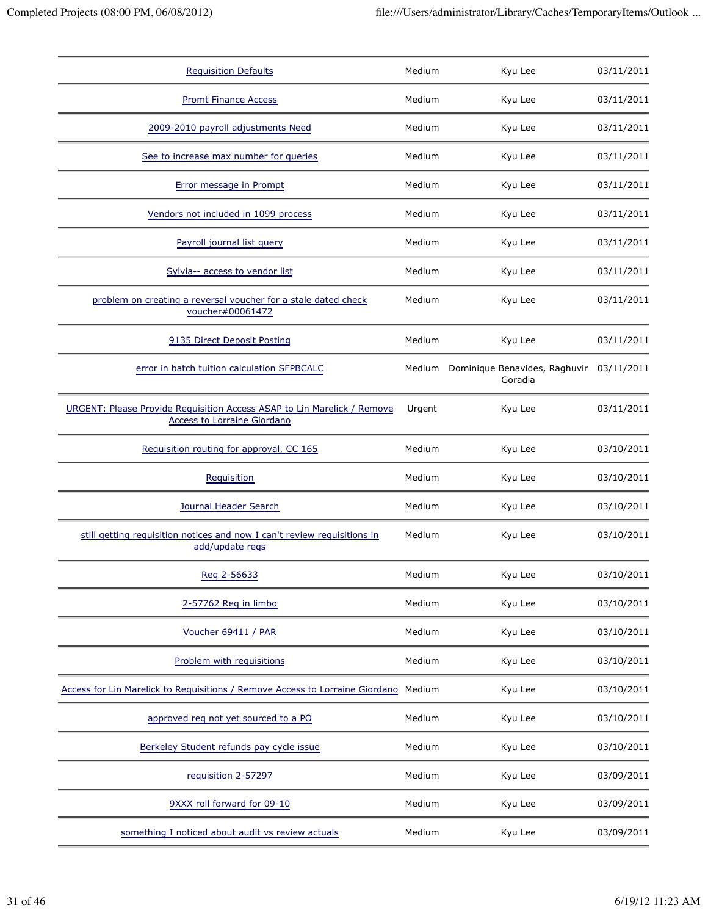| <b>Requisition Defaults</b>                                                                                   | Medium | Kyu Lee                                         | 03/11/2011 |
|---------------------------------------------------------------------------------------------------------------|--------|-------------------------------------------------|------------|
| <b>Promt Finance Access</b>                                                                                   | Medium | Kyu Lee                                         | 03/11/2011 |
| 2009-2010 payroll adjustments Need                                                                            | Medium | Kyu Lee                                         | 03/11/2011 |
| See to increase max number for queries                                                                        | Medium | Kyu Lee                                         | 03/11/2011 |
| Error message in Prompt                                                                                       | Medium | Kyu Lee                                         | 03/11/2011 |
| Vendors not included in 1099 process                                                                          | Medium | Kyu Lee                                         | 03/11/2011 |
| Payroll journal list query                                                                                    | Medium | Kyu Lee                                         | 03/11/2011 |
| Sylvia-- access to vendor list                                                                                | Medium | Kyu Lee                                         | 03/11/2011 |
| problem on creating a reversal voucher for a stale dated check<br>voucher#00061472                            | Medium | Kyu Lee                                         | 03/11/2011 |
| 9135 Direct Deposit Posting                                                                                   | Medium | Kyu Lee                                         | 03/11/2011 |
| error in batch tuition calculation SFPBCALC                                                                   |        | Medium Dominique Benavides, Raghuvir<br>Goradia | 03/11/2011 |
| URGENT: Please Provide Requisition Access ASAP to Lin Marelick / Remove<br><b>Access to Lorraine Giordano</b> | Urgent | Kyu Lee                                         | 03/11/2011 |
| Requisition routing for approval, CC 165                                                                      | Medium | Kyu Lee                                         | 03/10/2011 |
| Requisition                                                                                                   | Medium | Kyu Lee                                         | 03/10/2011 |
| Journal Header Search                                                                                         | Medium | Kyu Lee                                         | 03/10/2011 |
| still getting requisition notices and now I can't review requisitions in<br>add/update regs                   | Medium | Kyu Lee                                         | 03/10/2011 |
| Reg 2-56633                                                                                                   | Medium | Kyu Lee                                         | 03/10/2011 |
| 2-57762 Req in limbo                                                                                          | Medium | Kyu Lee                                         | 03/10/2011 |
| Voucher 69411 / PAR                                                                                           | Medium | Kyu Lee                                         | 03/10/2011 |
| Problem with requisitions                                                                                     | Medium | Kyu Lee                                         | 03/10/2011 |
| Access for Lin Marelick to Requisitions / Remove Access to Lorraine Giordano                                  | Medium | Kyu Lee                                         | 03/10/2011 |
| approved req not yet sourced to a PO                                                                          | Medium | Kyu Lee                                         | 03/10/2011 |
| Berkeley Student refunds pay cycle issue                                                                      | Medium | Kyu Lee                                         | 03/10/2011 |
| requisition 2-57297                                                                                           | Medium | Kyu Lee                                         | 03/09/2011 |
| 9XXX roll forward for 09-10                                                                                   | Medium | Kyu Lee                                         | 03/09/2011 |
| something I noticed about audit vs review actuals                                                             | Medium | Kyu Lee                                         | 03/09/2011 |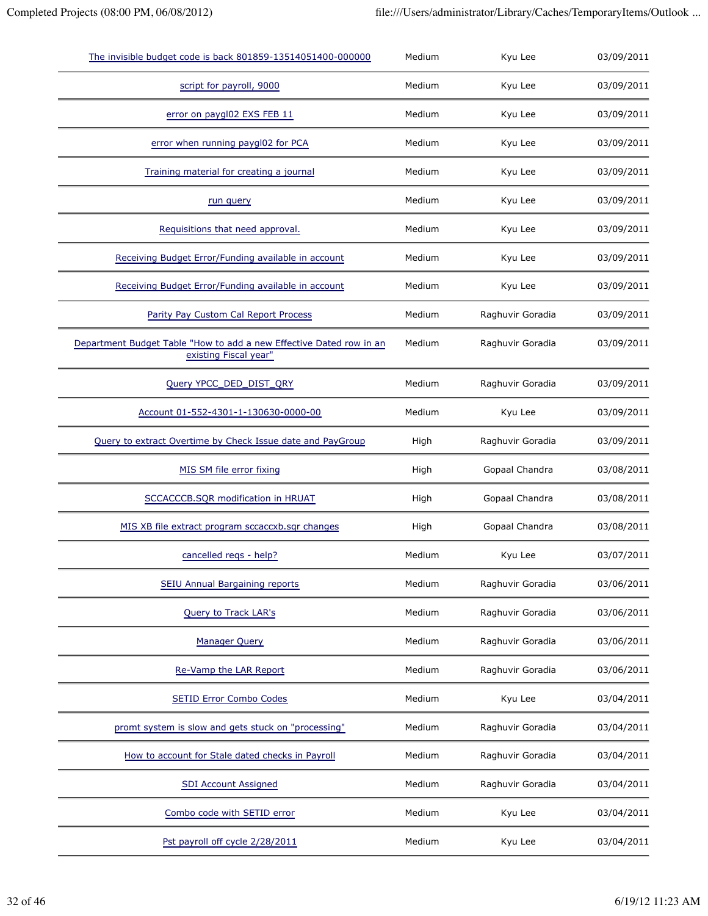| The invisible budget code is back 801859-13514051400-000000                                  | Medium | Kyu Lee          | 03/09/2011 |
|----------------------------------------------------------------------------------------------|--------|------------------|------------|
| script for payroll, 9000                                                                     | Medium | Kyu Lee          | 03/09/2011 |
| error on paygl02 EXS FEB 11                                                                  | Medium | Kyu Lee          | 03/09/2011 |
| error when running paygl02 for PCA                                                           | Medium | Kyu Lee          | 03/09/2011 |
| Training material for creating a journal                                                     | Medium | Kyu Lee          | 03/09/2011 |
| run query                                                                                    | Medium | Kyu Lee          | 03/09/2011 |
| Requisitions that need approval.                                                             | Medium | Kyu Lee          | 03/09/2011 |
| Receiving Budget Error/Funding available in account                                          | Medium | Kyu Lee          | 03/09/2011 |
| Receiving Budget Error/Funding available in account                                          | Medium | Kyu Lee          | 03/09/2011 |
| Parity Pay Custom Cal Report Process                                                         | Medium | Raghuvir Goradia | 03/09/2011 |
| Department Budget Table "How to add a new Effective Dated row in an<br>existing Fiscal year" | Medium | Raghuvir Goradia | 03/09/2011 |
| Query YPCC_DED_DIST_QRY                                                                      | Medium | Raghuvir Goradia | 03/09/2011 |
| Account 01-552-4301-1-130630-0000-00                                                         | Medium | Kyu Lee          | 03/09/2011 |
| Query to extract Overtime by Check Issue date and PayGroup                                   | High   | Raghuvir Goradia | 03/09/2011 |
| MIS SM file error fixing                                                                     | High   | Gopaal Chandra   | 03/08/2011 |
| SCCACCCB.SQR modification in HRUAT                                                           | High   | Gopaal Chandra   | 03/08/2011 |
| MIS XB file extract program sccaccxb.sgr changes                                             | High   | Gopaal Chandra   | 03/08/2011 |
| cancelled regs - help?                                                                       | Medium | Kyu Lee          | 03/07/2011 |
| SEIU Annual Bargaining reports                                                               | Medium | Raghuvir Goradia | 03/06/2011 |
| Query to Track LAR's                                                                         | Medium | Raghuvir Goradia | 03/06/2011 |
| <b>Manager Query</b>                                                                         | Medium | Raghuvir Goradia | 03/06/2011 |
| Re-Vamp the LAR Report                                                                       | Medium | Raghuvir Goradia | 03/06/2011 |
| <b>SETID Error Combo Codes</b>                                                               | Medium | Kyu Lee          | 03/04/2011 |
| promt system is slow and gets stuck on "processing"                                          | Medium | Raghuvir Goradia | 03/04/2011 |
| How to account for Stale dated checks in Payroll                                             | Medium | Raghuvir Goradia | 03/04/2011 |
| <b>SDI Account Assigned</b>                                                                  | Medium | Raghuvir Goradia | 03/04/2011 |
| Combo code with SETID error                                                                  | Medium | Kyu Lee          | 03/04/2011 |
| Pst payroll off cycle 2/28/2011                                                              | Medium | Kyu Lee          | 03/04/2011 |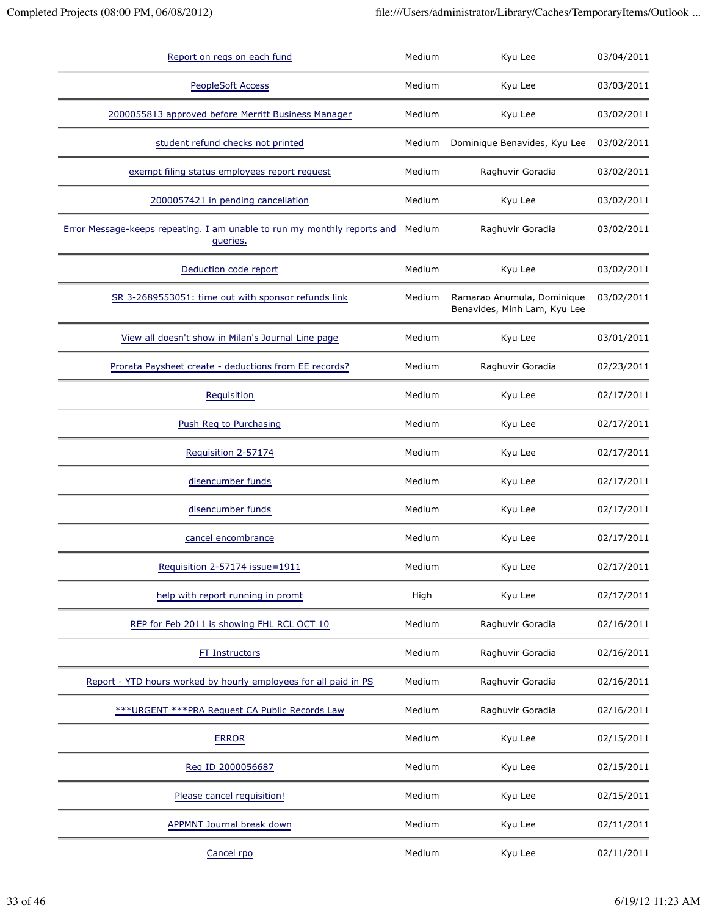| Report on regs on each fund                                                          | Medium | Kyu Lee                                                    | 03/04/2011 |
|--------------------------------------------------------------------------------------|--------|------------------------------------------------------------|------------|
| <b>PeopleSoft Access</b>                                                             | Medium | Kyu Lee                                                    | 03/03/2011 |
| 2000055813 approved before Merritt Business Manager                                  | Medium | Kyu Lee                                                    | 03/02/2011 |
| student refund checks not printed                                                    | Medium | Dominique Benavides, Kyu Lee                               | 03/02/2011 |
| exempt filing status employees report request                                        | Medium | Raghuvir Goradia                                           | 03/02/2011 |
| 2000057421 in pending cancellation                                                   | Medium | Kyu Lee                                                    | 03/02/2011 |
| Error Message-keeps repeating. I am unable to run my monthly reports and<br>queries. | Medium | Raghuvir Goradia                                           | 03/02/2011 |
| Deduction code report                                                                | Medium | Kyu Lee                                                    | 03/02/2011 |
| SR 3-2689553051: time out with sponsor refunds link                                  | Medium | Ramarao Anumula, Dominique<br>Benavides, Minh Lam, Kyu Lee | 03/02/2011 |
| View all doesn't show in Milan's Journal Line page                                   | Medium | Kyu Lee                                                    | 03/01/2011 |
| Prorata Paysheet create - deductions from EE records?                                | Medium | Raghuvir Goradia                                           | 02/23/2011 |
| Requisition                                                                          | Medium | Kyu Lee                                                    | 02/17/2011 |
| Push Reg to Purchasing                                                               | Medium | Kyu Lee                                                    | 02/17/2011 |
| Requisition 2-57174                                                                  | Medium | Kyu Lee                                                    | 02/17/2011 |
| disencumber funds                                                                    | Medium | Kyu Lee                                                    | 02/17/2011 |
| disencumber funds                                                                    | Medium | Kyu Lee                                                    | 02/17/2011 |
| cancel encombrance                                                                   | Medium | Kyu Lee                                                    | 02/17/2011 |
| Requisition 2-57174 issue=1911                                                       | Medium | Kyu Lee                                                    | 02/17/2011 |
| help with report running in promt                                                    | High   | Kyu Lee                                                    | 02/17/2011 |
| REP for Feb 2011 is showing FHL RCL OCT 10                                           | Medium | Raghuvir Goradia                                           | 02/16/2011 |
| <b>FT Instructors</b>                                                                | Medium | Raghuvir Goradia                                           | 02/16/2011 |
| Report - YTD hours worked by hourly employees for all paid in PS                     | Medium | Raghuvir Goradia                                           | 02/16/2011 |
| *** URGENT *** PRA Request CA Public Records Law                                     | Medium | Raghuvir Goradia                                           | 02/16/2011 |
| <b>ERROR</b>                                                                         | Medium | Kyu Lee                                                    | 02/15/2011 |
| Reg ID 2000056687                                                                    | Medium | Kyu Lee                                                    | 02/15/2011 |
| Please cancel requisition!                                                           | Medium | Kyu Lee                                                    | 02/15/2011 |
| <b>APPMNT Journal break down</b>                                                     | Medium | Kyu Lee                                                    | 02/11/2011 |
| Cancel rpo                                                                           | Medium | Kyu Lee                                                    | 02/11/2011 |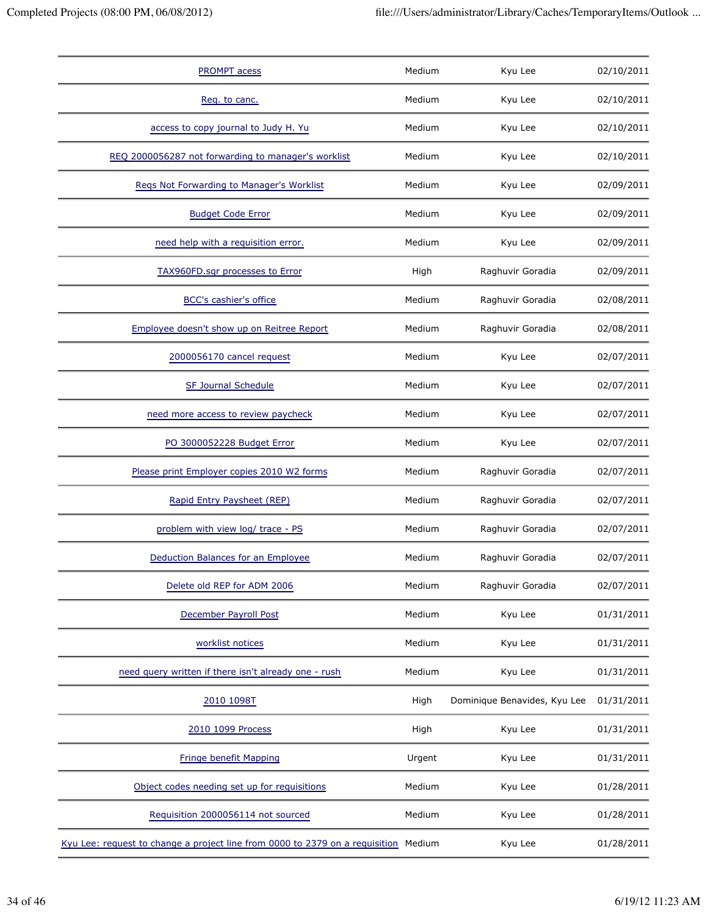| <b>PROMPT</b> acess                                                                 | Medium | Kyu Lee                      | 02/10/2011 |
|-------------------------------------------------------------------------------------|--------|------------------------------|------------|
| Req. to canc.                                                                       | Medium | Kyu Lee                      | 02/10/2011 |
| access to copy journal to Judy H. Yu                                                | Medium | Kyu Lee                      | 02/10/2011 |
| REQ 2000056287 not forwarding to manager's worklist                                 | Medium | Kyu Lee                      | 02/10/2011 |
| Regs Not Forwarding to Manager's Worklist                                           | Medium | Kyu Lee                      | 02/09/2011 |
| <b>Budget Code Error</b>                                                            | Medium | Kyu Lee                      | 02/09/2011 |
| need help with a requisition error.                                                 | Medium | Kyu Lee                      | 02/09/2011 |
| <b>TAX960FD.sqr processes to Error</b>                                              | High   | Raghuvir Goradia             | 02/09/2011 |
| <b>BCC's cashier's office</b>                                                       | Medium | Raghuvir Goradia             | 02/08/2011 |
| Employee doesn't show up on Reitree Report                                          | Medium | Raghuvir Goradia             | 02/08/2011 |
| 2000056170 cancel request                                                           | Medium | Kyu Lee                      | 02/07/2011 |
| <b>SF Journal Schedule</b>                                                          | Medium | Kyu Lee                      | 02/07/2011 |
| need more access to review paycheck                                                 | Medium | Kyu Lee                      | 02/07/2011 |
| PO 3000052228 Budget Error                                                          | Medium | Kyu Lee                      | 02/07/2011 |
| Please print Employer copies 2010 W2 forms                                          | Medium | Raghuvir Goradia             | 02/07/2011 |
| Rapid Entry Paysheet (REP)                                                          | Medium | Raghuvir Goradia             | 02/07/2011 |
| problem with view log/ trace - PS                                                   | Medium | Raghuvir Goradia             | 02/07/2011 |
| Deduction Balances for an Employee                                                  | Medium | Raghuvir Goradia             | 02/07/2011 |
| Delete old REP for ADM 2006                                                         | Medium | Raghuvir Goradia             | 02/07/2011 |
| December Payroll Post                                                               | Medium | Kyu Lee                      | 01/31/2011 |
| worklist notices                                                                    | Medium | Kyu Lee                      | 01/31/2011 |
| need query written if there isn't already one - rush                                | Medium | Kyu Lee                      | 01/31/2011 |
| 2010 1098T                                                                          | High   | Dominique Benavides, Kyu Lee | 01/31/2011 |
| 2010 1099 Process                                                                   | High   | Kyu Lee                      | 01/31/2011 |
| <b>Fringe benefit Mapping</b>                                                       | Urgent | Kyu Lee                      | 01/31/2011 |
| Object codes needing set up for requisitions                                        | Medium | Kyu Lee                      | 01/28/2011 |
| Requisition 2000056114 not sourced                                                  | Medium | Kyu Lee                      | 01/28/2011 |
| Kyu Lee: request to change a project line from 0000 to 2379 on a requisition Medium |        | Kyu Lee                      | 01/28/2011 |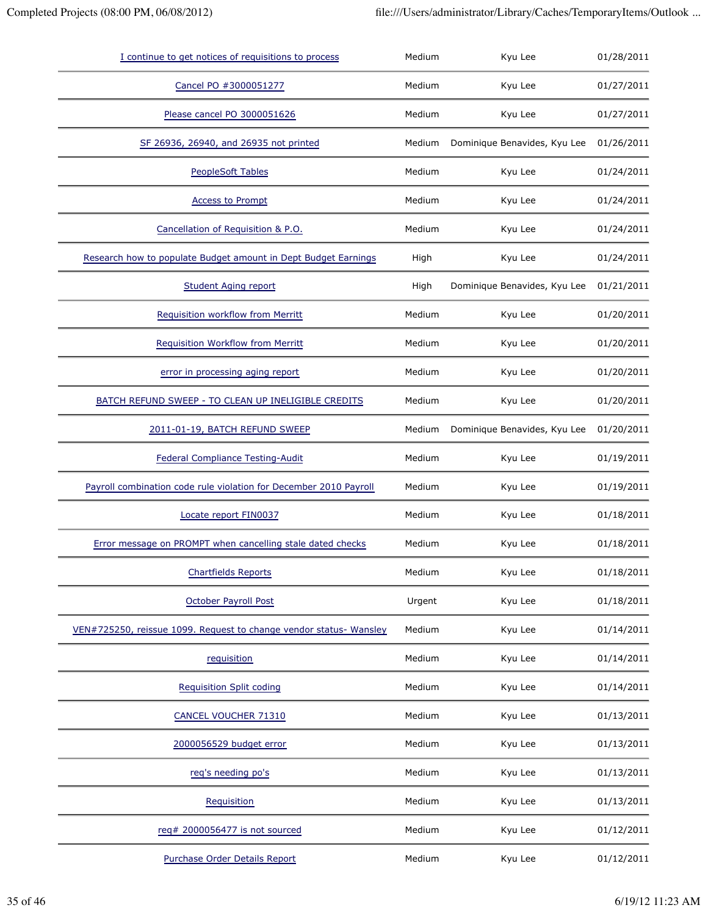| I continue to get notices of requisitions to process               | Medium | Kyu Lee                      | 01/28/2011 |
|--------------------------------------------------------------------|--------|------------------------------|------------|
| Cancel PO #3000051277                                              | Medium | Kyu Lee                      | 01/27/2011 |
| Please cancel PO 3000051626                                        | Medium | Kyu Lee                      | 01/27/2011 |
| SF 26936, 26940, and 26935 not printed                             | Medium | Dominique Benavides, Kyu Lee | 01/26/2011 |
| <b>PeopleSoft Tables</b>                                           | Medium | Kyu Lee                      | 01/24/2011 |
| <b>Access to Prompt</b>                                            | Medium | Kyu Lee                      | 01/24/2011 |
| Cancellation of Requisition & P.O.                                 | Medium | Kyu Lee                      | 01/24/2011 |
| Research how to populate Budget amount in Dept Budget Earnings     | High   | Kyu Lee                      | 01/24/2011 |
| <b>Student Aging report</b>                                        | High   | Dominique Benavides, Kyu Lee | 01/21/2011 |
| Requisition workflow from Merritt                                  | Medium | Kyu Lee                      | 01/20/2011 |
| Requisition Workflow from Merritt                                  | Medium | Kyu Lee                      | 01/20/2011 |
| error in processing aging report                                   | Medium | Kyu Lee                      | 01/20/2011 |
| BATCH REFUND SWEEP - TO CLEAN UP INELIGIBLE CREDITS                | Medium | Kyu Lee                      | 01/20/2011 |
| 2011-01-19, BATCH REFUND SWEEP                                     | Medium | Dominique Benavides, Kyu Lee | 01/20/2011 |
| <b>Federal Compliance Testing-Audit</b>                            | Medium | Kyu Lee                      | 01/19/2011 |
| Payroll combination code rule violation for December 2010 Payroll  | Medium | Kyu Lee                      | 01/19/2011 |
| Locate report FIN0037                                              | Medium | Kyu Lee                      | 01/18/2011 |
| Error message on PROMPT when cancelling stale dated checks         | Medium | Kyu Lee                      | 01/18/2011 |
| <b>Chartfields Reports</b>                                         | Medium | Kyu Lee                      | 01/18/2011 |
| <b>October Payroll Post</b>                                        | Urgent | Kyu Lee                      | 01/18/2011 |
| VEN#725250, reissue 1099. Request to change vendor status- Wansley | Medium | Kyu Lee                      | 01/14/2011 |
| requisition                                                        | Medium | Kyu Lee                      | 01/14/2011 |
| <b>Requisition Split coding</b>                                    | Medium | Kyu Lee                      | 01/14/2011 |
| <b>CANCEL VOUCHER 71310</b>                                        | Medium | Kyu Lee                      | 01/13/2011 |
| 2000056529 budget error                                            | Medium | Kyu Lee                      | 01/13/2011 |
| req's needing po's                                                 | Medium | Kyu Lee                      | 01/13/2011 |
| Requisition                                                        | Medium | Kyu Lee                      | 01/13/2011 |
| req# 2000056477 is not sourced                                     | Medium | Kyu Lee                      | 01/12/2011 |
| Purchase Order Details Report                                      | Medium | Kyu Lee                      | 01/12/2011 |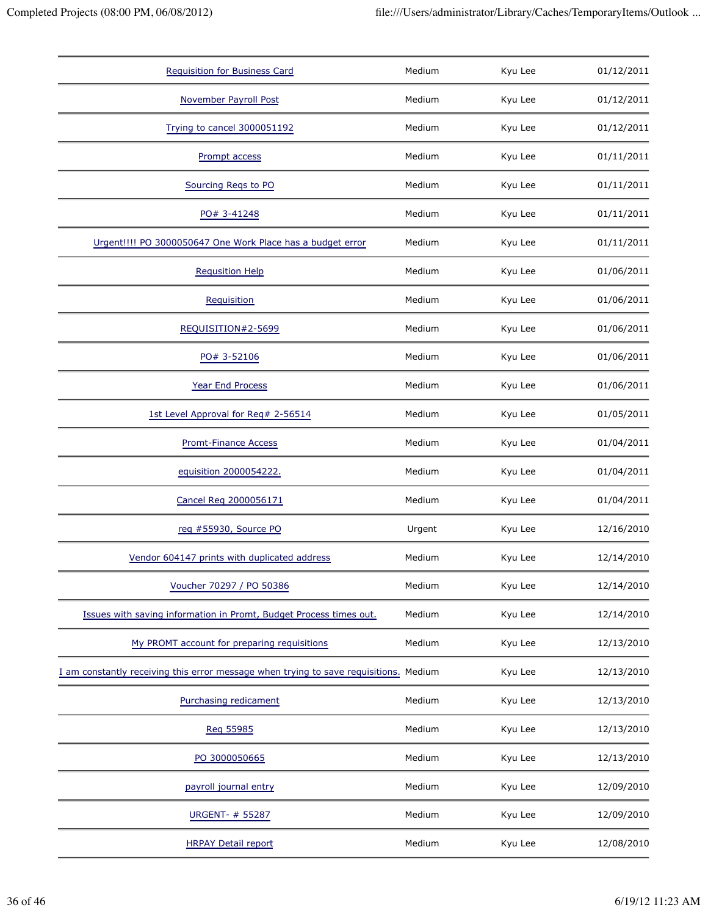| <b>Requisition for Business Card</b>                                                  | Medium | Kyu Lee | 01/12/2011 |
|---------------------------------------------------------------------------------------|--------|---------|------------|
| November Payroll Post                                                                 | Medium | Kyu Lee | 01/12/2011 |
| Trying to cancel 3000051192                                                           | Medium | Kyu Lee | 01/12/2011 |
| Prompt access                                                                         | Medium | Kyu Lee | 01/11/2011 |
| Sourcing Regs to PO                                                                   | Medium | Kyu Lee | 01/11/2011 |
| PO# 3-41248                                                                           | Medium | Kyu Lee | 01/11/2011 |
| Urgent!!!! PO 3000050647 One Work Place has a budget error                            | Medium | Kyu Lee | 01/11/2011 |
| <b>Requsition Help</b>                                                                | Medium | Kyu Lee | 01/06/2011 |
| Requisition                                                                           | Medium | Kyu Lee | 01/06/2011 |
| REQUISITION#2-5699                                                                    | Medium | Kyu Lee | 01/06/2011 |
| PO# 3-52106                                                                           | Medium | Kyu Lee | 01/06/2011 |
| <b>Year End Process</b>                                                               | Medium | Kyu Lee | 01/06/2011 |
| 1st Level Approval for Req# 2-56514                                                   | Medium | Kyu Lee | 01/05/2011 |
| <b>Promt-Finance Access</b>                                                           | Medium | Kyu Lee | 01/04/2011 |
| equisition 2000054222.                                                                | Medium | Kyu Lee | 01/04/2011 |
| Cancel Reg 2000056171                                                                 | Medium | Kyu Lee | 01/04/2011 |
| reg #55930, Source PO                                                                 | Urgent | Kyu Lee | 12/16/2010 |
| Vendor 604147 prints with duplicated address                                          | Medium | Kyu Lee | 12/14/2010 |
| Voucher 70297 / PO 50386                                                              | Medium | Kyu Lee | 12/14/2010 |
| Issues with saving information in Promt, Budget Process times out.                    | Medium | Kyu Lee | 12/14/2010 |
| My PROMT account for preparing requisitions                                           | Medium | Kyu Lee | 12/13/2010 |
| I am constantly receiving this error message when trying to save requisitions. Medium |        | Kyu Lee | 12/13/2010 |
| Purchasing redicament                                                                 | Medium | Kyu Lee | 12/13/2010 |
| Reg 55985                                                                             | Medium | Kyu Lee | 12/13/2010 |
| PO 3000050665                                                                         | Medium | Kyu Lee | 12/13/2010 |
| payroll journal entry                                                                 | Medium | Kyu Lee | 12/09/2010 |
| <b>URGENT- # 55287</b>                                                                | Medium | Kyu Lee | 12/09/2010 |
| <b>HRPAY Detail report</b>                                                            | Medium | Kyu Lee | 12/08/2010 |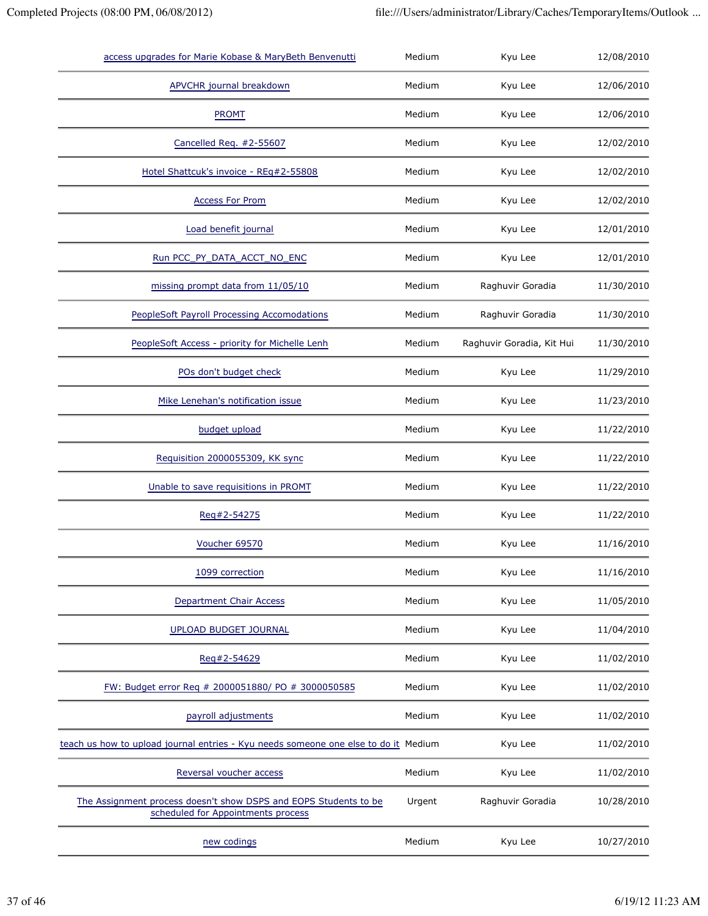| access upgrades for Marie Kobase & MaryBeth Benvenutti                                                 | Medium | Kyu Lee                   | 12/08/2010 |
|--------------------------------------------------------------------------------------------------------|--------|---------------------------|------------|
| <b>APVCHR</b> journal breakdown                                                                        | Medium | Kyu Lee                   | 12/06/2010 |
| <b>PROMT</b>                                                                                           | Medium | Kyu Lee                   | 12/06/2010 |
| Cancelled Req. #2-55607                                                                                | Medium | Kyu Lee                   | 12/02/2010 |
| Hotel Shattcuk's invoice - REq#2-55808                                                                 | Medium | Kyu Lee                   | 12/02/2010 |
| <b>Access For Prom</b>                                                                                 | Medium | Kyu Lee                   | 12/02/2010 |
| Load benefit journal                                                                                   | Medium | Kyu Lee                   | 12/01/2010 |
| Run PCC_PY_DATA_ACCT_NO_ENC                                                                            | Medium | Kyu Lee                   | 12/01/2010 |
| missing prompt data from 11/05/10                                                                      | Medium | Raghuvir Goradia          | 11/30/2010 |
| PeopleSoft Payroll Processing Accomodations                                                            | Medium | Raghuvir Goradia          | 11/30/2010 |
| PeopleSoft Access - priority for Michelle Lenh                                                         | Medium | Raghuvir Goradia, Kit Hui | 11/30/2010 |
| POs don't budget check                                                                                 | Medium | Kyu Lee                   | 11/29/2010 |
| Mike Lenehan's notification issue                                                                      | Medium | Kyu Lee                   | 11/23/2010 |
| budget upload                                                                                          | Medium | Kyu Lee                   | 11/22/2010 |
| Requisition 2000055309, KK sync                                                                        | Medium | Kyu Lee                   | 11/22/2010 |
| Unable to save requisitions in PROMT                                                                   | Medium | Kyu Lee                   | 11/22/2010 |
| Reg#2-54275                                                                                            | Medium | Kyu Lee                   | 11/22/2010 |
| Voucher 69570                                                                                          | Medium | Kyu Lee                   | 11/16/2010 |
| 1099 correction                                                                                        | Medium | Kyu Lee                   | 11/16/2010 |
| <b>Department Chair Access</b>                                                                         | Medium | Kyu Lee                   | 11/05/2010 |
| <b>UPLOAD BUDGET JOURNAL</b>                                                                           | Medium | Kyu Lee                   | 11/04/2010 |
| Reg#2-54629                                                                                            | Medium | Kyu Lee                   | 11/02/2010 |
| FW: Budget error Req # 2000051880/ PO # 3000050585                                                     | Medium | Kyu Lee                   | 11/02/2010 |
| payroll adjustments                                                                                    | Medium | Kyu Lee                   | 11/02/2010 |
| teach us how to upload journal entries - Kyu needs someone one else to do it Medium                    |        | Kyu Lee                   | 11/02/2010 |
| Reversal voucher access                                                                                | Medium | Kyu Lee                   | 11/02/2010 |
| The Assignment process doesn't show DSPS and EOPS Students to be<br>scheduled for Appointments process | Urgent | Raghuvir Goradia          | 10/28/2010 |
| new codings                                                                                            | Medium | Kyu Lee                   | 10/27/2010 |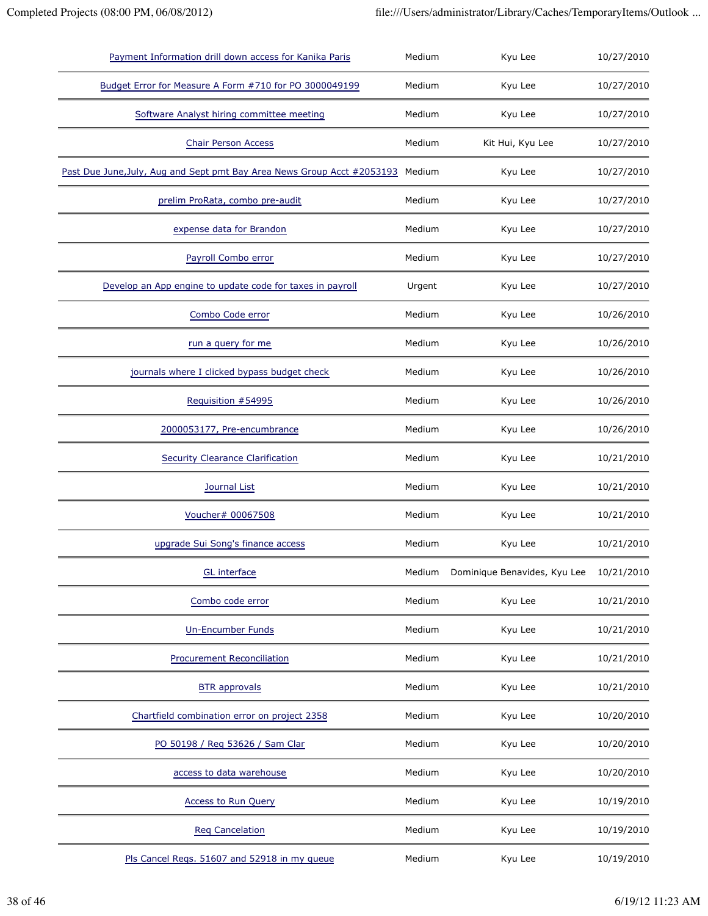| Payment Information drill down access for Kanika Paris                  | Medium | Kyu Lee                      | 10/27/2010 |
|-------------------------------------------------------------------------|--------|------------------------------|------------|
| Budget Error for Measure A Form #710 for PO 3000049199                  | Medium | Kyu Lee                      | 10/27/2010 |
| Software Analyst hiring committee meeting                               | Medium | Kyu Lee                      | 10/27/2010 |
| <b>Chair Person Access</b>                                              | Medium | Kit Hui, Kyu Lee             | 10/27/2010 |
| Past Due June, July, Aug and Sept pmt Bay Area News Group Acct #2053193 | Medium | Kyu Lee                      | 10/27/2010 |
| prelim ProRata, combo pre-audit                                         | Medium | Kyu Lee                      | 10/27/2010 |
| expense data for Brandon                                                | Medium | Kyu Lee                      | 10/27/2010 |
| Payroll Combo error                                                     | Medium | Kyu Lee                      | 10/27/2010 |
| Develop an App engine to update code for taxes in payroll               | Urgent | Kyu Lee                      | 10/27/2010 |
| Combo Code error                                                        | Medium | Kyu Lee                      | 10/26/2010 |
| run a query for me                                                      | Medium | Kyu Lee                      | 10/26/2010 |
| journals where I clicked bypass budget check                            | Medium | Kyu Lee                      | 10/26/2010 |
| Requisition #54995                                                      | Medium | Kyu Lee                      | 10/26/2010 |
| 2000053177, Pre-encumbrance                                             | Medium | Kyu Lee                      | 10/26/2010 |
| <b>Security Clearance Clarification</b>                                 | Medium | Kyu Lee                      | 10/21/2010 |
| Journal List                                                            | Medium | Kyu Lee                      | 10/21/2010 |
| Voucher# 00067508                                                       | Medium | Kyu Lee                      | 10/21/2010 |
| upgrade Sui Song's finance access                                       | Medium | Kyu Lee                      | 10/21/2010 |
| <b>GL</b> interface                                                     | Medium | Dominique Benavides, Kyu Lee | 10/21/2010 |
| Combo code error                                                        | Medium | Kyu Lee                      | 10/21/2010 |
| <b>Un-Encumber Funds</b>                                                | Medium | Kyu Lee                      | 10/21/2010 |
| <b>Procurement Reconciliation</b>                                       | Medium | Kyu Lee                      | 10/21/2010 |
| <b>BTR</b> approvals                                                    | Medium | Kyu Lee                      | 10/21/2010 |
| Chartfield combination error on project 2358                            | Medium | Kyu Lee                      | 10/20/2010 |
| PO 50198 / Reg 53626 / Sam Clar                                         | Medium | Kyu Lee                      | 10/20/2010 |
| access to data warehouse                                                | Medium | Kyu Lee                      | 10/20/2010 |
| Access to Run Query                                                     | Medium | Kyu Lee                      | 10/19/2010 |
| <b>Req Cancelation</b>                                                  | Medium | Kyu Lee                      | 10/19/2010 |
| Pls Cancel Regs. 51607 and 52918 in my queue                            | Medium | Kyu Lee                      | 10/19/2010 |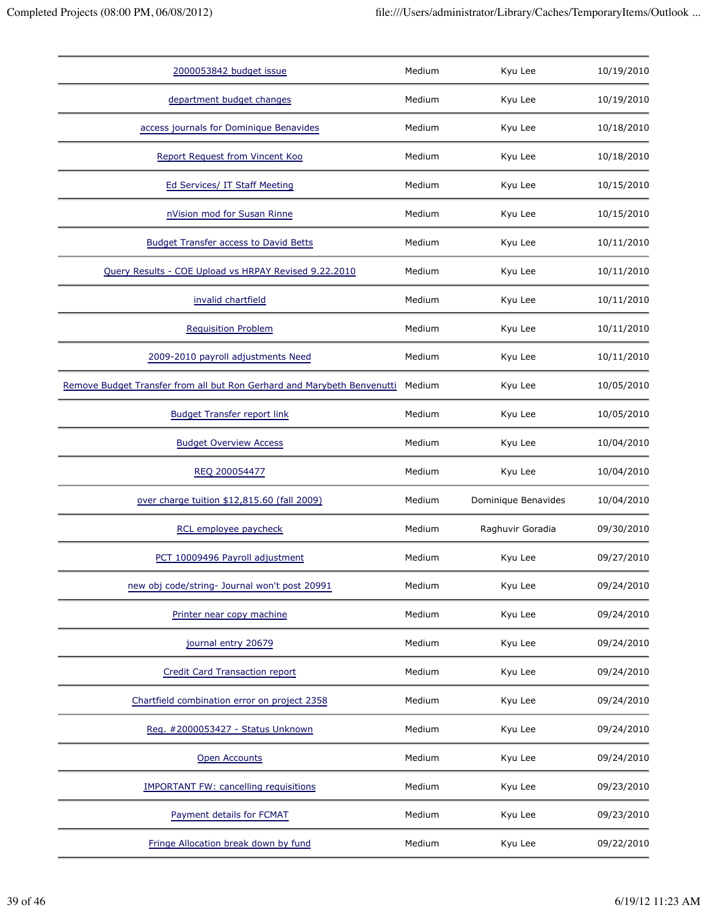| 2000053842 budget issue                                                 | Medium | Kyu Lee             | 10/19/2010 |
|-------------------------------------------------------------------------|--------|---------------------|------------|
| department budget changes                                               | Medium | Kyu Lee             | 10/19/2010 |
| access journals for Dominique Benavides                                 | Medium | Kyu Lee             | 10/18/2010 |
| Report Request from Vincent Koo                                         | Medium | Kyu Lee             | 10/18/2010 |
| Ed Services/ IT Staff Meeting                                           | Medium | Kyu Lee             | 10/15/2010 |
| nVision mod for Susan Rinne                                             | Medium | Kyu Lee             | 10/15/2010 |
| <b>Budget Transfer access to David Betts</b>                            | Medium | Kyu Lee             | 10/11/2010 |
| Query Results - COE Upload vs HRPAY Revised 9.22.2010                   | Medium | Kyu Lee             | 10/11/2010 |
| invalid chartfield                                                      | Medium | Kyu Lee             | 10/11/2010 |
| <b>Requisition Problem</b>                                              | Medium | Kyu Lee             | 10/11/2010 |
| 2009-2010 payroll adjustments Need                                      | Medium | Kyu Lee             | 10/11/2010 |
| Remove Budget Transfer from all but Ron Gerhard and Marybeth Benvenutti | Medium | Kyu Lee             | 10/05/2010 |
| <b>Budget Transfer report link</b>                                      | Medium | Kyu Lee             | 10/05/2010 |
| <b>Budget Overview Access</b>                                           | Medium | Kyu Lee             | 10/04/2010 |
| REQ 200054477                                                           | Medium | Kyu Lee             | 10/04/2010 |
| over charge tuition \$12,815.60 (fall 2009)                             | Medium | Dominique Benavides | 10/04/2010 |
| RCL employee paycheck                                                   | Medium | Raghuvir Goradia    | 09/30/2010 |
| PCT 10009496 Payroll adjustment                                         | Medium | Kyu Lee             | 09/27/2010 |
| new obj code/string- Journal won't post 20991                           | Medium | Kyu Lee             | 09/24/2010 |
| Printer near copy machine                                               | Medium | Kyu Lee             | 09/24/2010 |
| journal entry 20679                                                     | Medium | Kyu Lee             | 09/24/2010 |
| <b>Credit Card Transaction report</b>                                   | Medium | Kyu Lee             | 09/24/2010 |
| Chartfield combination error on project 2358                            | Medium | Kyu Lee             | 09/24/2010 |
| Reg. #2000053427 - Status Unknown                                       | Medium | Kyu Lee             | 09/24/2010 |
| <b>Open Accounts</b>                                                    | Medium | Kyu Lee             | 09/24/2010 |
|                                                                         |        |                     |            |
| <b>IMPORTANT FW: cancelling requisitions</b>                            | Medium | Kyu Lee             | 09/23/2010 |
| Payment details for FCMAT                                               | Medium | Kyu Lee             | 09/23/2010 |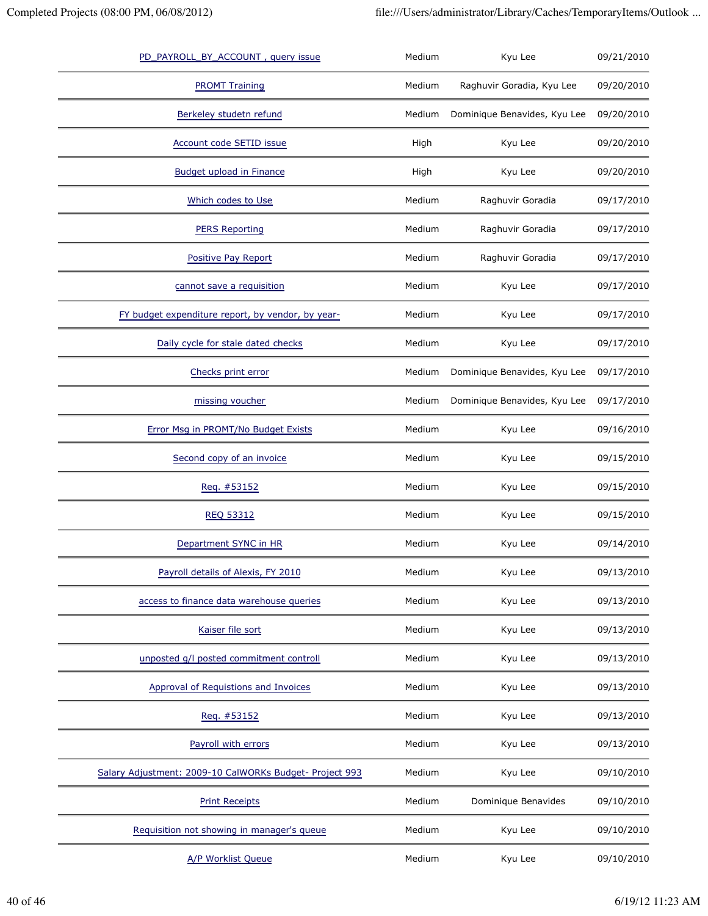| PD_PAYROLL_BY_ACCOUNT, query issue                      | Medium | Kyu Lee                      | 09/21/2010 |
|---------------------------------------------------------|--------|------------------------------|------------|
| <b>PROMT Training</b>                                   | Medium | Raghuvir Goradia, Kyu Lee    | 09/20/2010 |
| Berkeley studetn refund                                 | Medium | Dominique Benavides, Kyu Lee | 09/20/2010 |
| Account code SETID issue                                | High   | Kyu Lee                      | 09/20/2010 |
| <b>Budget upload in Finance</b>                         | High   | Kyu Lee                      | 09/20/2010 |
| Which codes to Use                                      | Medium | Raghuvir Goradia             | 09/17/2010 |
| <b>PERS Reporting</b>                                   | Medium | Raghuvir Goradia             | 09/17/2010 |
| Positive Pay Report                                     | Medium | Raghuvir Goradia             | 09/17/2010 |
| cannot save a requisition                               | Medium | Kyu Lee                      | 09/17/2010 |
| FY budget expenditure report, by vendor, by year-       | Medium | Kyu Lee                      | 09/17/2010 |
| Daily cycle for stale dated checks                      | Medium | Kyu Lee                      | 09/17/2010 |
| Checks print error                                      | Medium | Dominique Benavides, Kyu Lee | 09/17/2010 |
| missing voucher                                         | Medium | Dominique Benavides, Kyu Lee | 09/17/2010 |
| Error Msg in PROMT/No Budget Exists                     | Medium | Kyu Lee                      | 09/16/2010 |
| Second copy of an invoice                               | Medium | Kyu Lee                      | 09/15/2010 |
| Req. #53152                                             | Medium | Kyu Lee                      | 09/15/2010 |
| <b>REQ 53312</b>                                        | Medium | Kyu Lee                      | 09/15/2010 |
| Department SYNC in HR                                   | Medium | Kyu Lee                      | 09/14/2010 |
| Payroll details of Alexis, FY 2010                      | Medium | Kyu Lee                      | 09/13/2010 |
| access to finance data warehouse queries                | Medium | Kyu Lee                      | 09/13/2010 |
| Kaiser file sort                                        | Medium | Kyu Lee                      | 09/13/2010 |
| unposted g/l posted commitment controll                 | Medium | Kyu Lee                      | 09/13/2010 |
| Approval of Requistions and Invoices                    | Medium | Kyu Lee                      | 09/13/2010 |
| Req. #53152                                             | Medium | Kyu Lee                      | 09/13/2010 |
| Payroll with errors                                     | Medium | Kyu Lee                      | 09/13/2010 |
| Salary Adjustment: 2009-10 CalWORKs Budget- Project 993 | Medium | Kyu Lee                      | 09/10/2010 |
| <b>Print Receipts</b>                                   | Medium | Dominique Benavides          | 09/10/2010 |
| Requisition not showing in manager's queue              | Medium | Kyu Lee                      | 09/10/2010 |
| A/P Worklist Queue                                      | Medium | Kyu Lee                      | 09/10/2010 |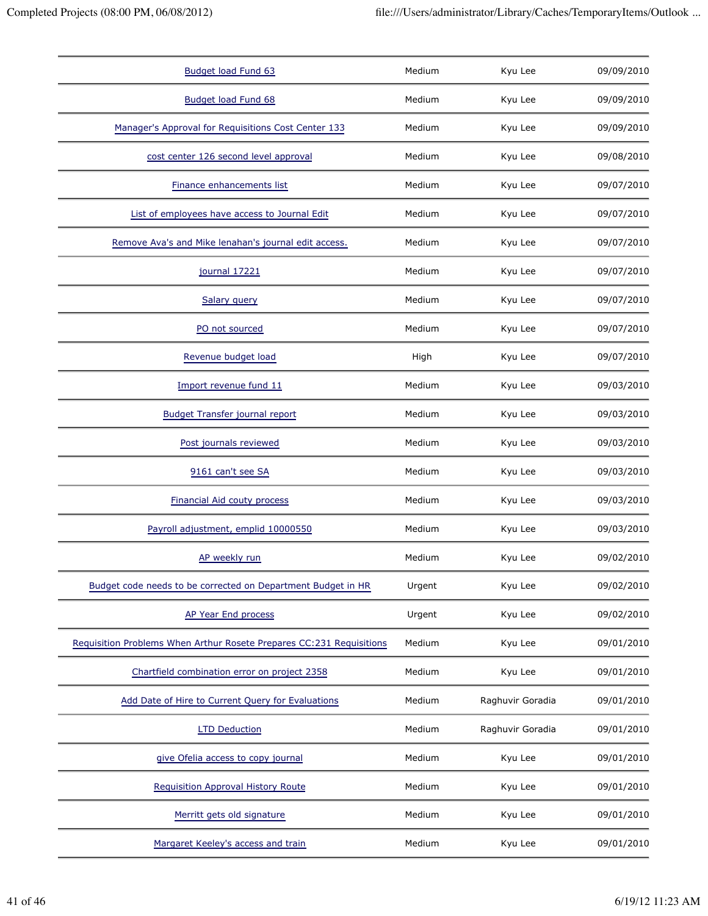| Budget load Fund 63                                                  | Medium | Kyu Lee          | 09/09/2010 |
|----------------------------------------------------------------------|--------|------------------|------------|
| <b>Budget load Fund 68</b>                                           | Medium | Kyu Lee          | 09/09/2010 |
| Manager's Approval for Requisitions Cost Center 133                  | Medium | Kyu Lee          | 09/09/2010 |
| cost center 126 second level approval                                | Medium | Kyu Lee          | 09/08/2010 |
| Finance enhancements list                                            | Medium | Kyu Lee          | 09/07/2010 |
| List of employees have access to Journal Edit                        | Medium | Kyu Lee          | 09/07/2010 |
| Remove Ava's and Mike lenahan's journal edit access.                 | Medium | Kyu Lee          | 09/07/2010 |
| journal 17221                                                        | Medium | Kyu Lee          | 09/07/2010 |
| Salary query                                                         | Medium | Kyu Lee          | 09/07/2010 |
| PO not sourced                                                       | Medium | Kyu Lee          | 09/07/2010 |
| Revenue budget load                                                  | High   | Kyu Lee          | 09/07/2010 |
| Import revenue fund 11                                               | Medium | Kyu Lee          | 09/03/2010 |
| <b>Budget Transfer journal report</b>                                | Medium | Kyu Lee          | 09/03/2010 |
| Post journals reviewed                                               | Medium | Kyu Lee          | 09/03/2010 |
| 9161 can't see SA                                                    | Medium | Kyu Lee          | 09/03/2010 |
| <b>Financial Aid couty process</b>                                   | Medium | Kyu Lee          | 09/03/2010 |
| Payroll adjustment, emplid 10000550                                  | Medium | Kyu Lee          | 09/03/2010 |
| AP weekly run                                                        | Medium | Kyu Lee          | 09/02/2010 |
| Budget code needs to be corrected on Department Budget in HR         | Urgent | Kyu Lee          | 09/02/2010 |
| AP Year End process                                                  | Urgent | Kyu Lee          | 09/02/2010 |
| Requisition Problems When Arthur Rosete Prepares CC:231 Requisitions | Medium | Kyu Lee          | 09/01/2010 |
| Chartfield combination error on project 2358                         | Medium | Kyu Lee          | 09/01/2010 |
| Add Date of Hire to Current Query for Evaluations                    | Medium | Raghuvir Goradia | 09/01/2010 |
| <b>LTD Deduction</b>                                                 | Medium | Raghuvir Goradia | 09/01/2010 |
| give Ofelia access to copy journal                                   | Medium | Kyu Lee          | 09/01/2010 |
| Requisition Approval History Route                                   | Medium | Kyu Lee          | 09/01/2010 |
| Merritt gets old signature                                           | Medium | Kyu Lee          | 09/01/2010 |
| Margaret Keeley's access and train                                   | Medium | Kyu Lee          | 09/01/2010 |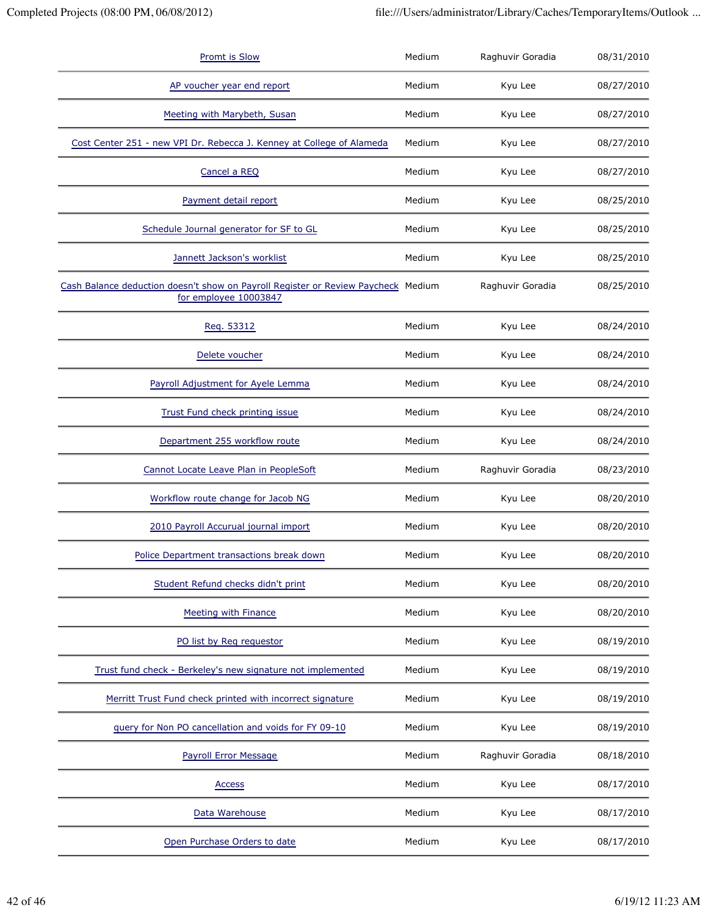| <b>Promt is Slow</b>                                                                                       | Medium | Raghuvir Goradia | 08/31/2010 |
|------------------------------------------------------------------------------------------------------------|--------|------------------|------------|
| AP voucher year end report                                                                                 | Medium | Kyu Lee          | 08/27/2010 |
| Meeting with Marybeth, Susan                                                                               | Medium | Kyu Lee          | 08/27/2010 |
| Cost Center 251 - new VPI Dr. Rebecca J. Kenney at College of Alameda                                      | Medium | Kyu Lee          | 08/27/2010 |
| Cancel a REQ                                                                                               | Medium | Kyu Lee          | 08/27/2010 |
| Payment detail report                                                                                      | Medium | Kyu Lee          | 08/25/2010 |
| Schedule Journal generator for SF to GL                                                                    | Medium | Kyu Lee          | 08/25/2010 |
| Jannett Jackson's worklist                                                                                 | Medium | Kyu Lee          | 08/25/2010 |
| Cash Balance deduction doesn't show on Payroll Register or Review Paycheck Medium<br>for employee 10003847 |        | Raghuvir Goradia | 08/25/2010 |
| Req. 53312                                                                                                 | Medium | Kyu Lee          | 08/24/2010 |
| Delete voucher                                                                                             | Medium | Kyu Lee          | 08/24/2010 |
| Payroll Adjustment for Ayele Lemma                                                                         | Medium | Kyu Lee          | 08/24/2010 |
| <b>Trust Fund check printing issue</b>                                                                     | Medium | Kyu Lee          | 08/24/2010 |
| Department 255 workflow route                                                                              | Medium | Kyu Lee          | 08/24/2010 |
| Cannot Locate Leave Plan in PeopleSoft                                                                     | Medium | Raghuvir Goradia | 08/23/2010 |
| Workflow route change for Jacob NG                                                                         | Medium | Kyu Lee          | 08/20/2010 |
| 2010 Payroll Accurual journal import                                                                       | Medium | Kyu Lee          | 08/20/2010 |
| Police Department transactions break down                                                                  | Medium | Kyu Lee          | 08/20/2010 |
| Student Refund checks didn't print                                                                         | Medium | Kyu Lee          | 08/20/2010 |
| Meeting with Finance                                                                                       | Medium | Kyu Lee          | 08/20/2010 |
| PO list by Reg requestor                                                                                   | Medium | Kyu Lee          | 08/19/2010 |
| Trust fund check - Berkeley's new signature not implemented                                                | Medium | Kyu Lee          | 08/19/2010 |
| Merritt Trust Fund check printed with incorrect signature                                                  | Medium | Kyu Lee          | 08/19/2010 |
| query for Non PO cancellation and voids for FY 09-10                                                       | Medium | Kyu Lee          | 08/19/2010 |
| Payroll Error Message                                                                                      | Medium | Raghuvir Goradia | 08/18/2010 |
| <b>Access</b>                                                                                              | Medium | Kyu Lee          | 08/17/2010 |
| Data Warehouse                                                                                             | Medium | Kyu Lee          | 08/17/2010 |
| Open Purchase Orders to date                                                                               | Medium | Kyu Lee          | 08/17/2010 |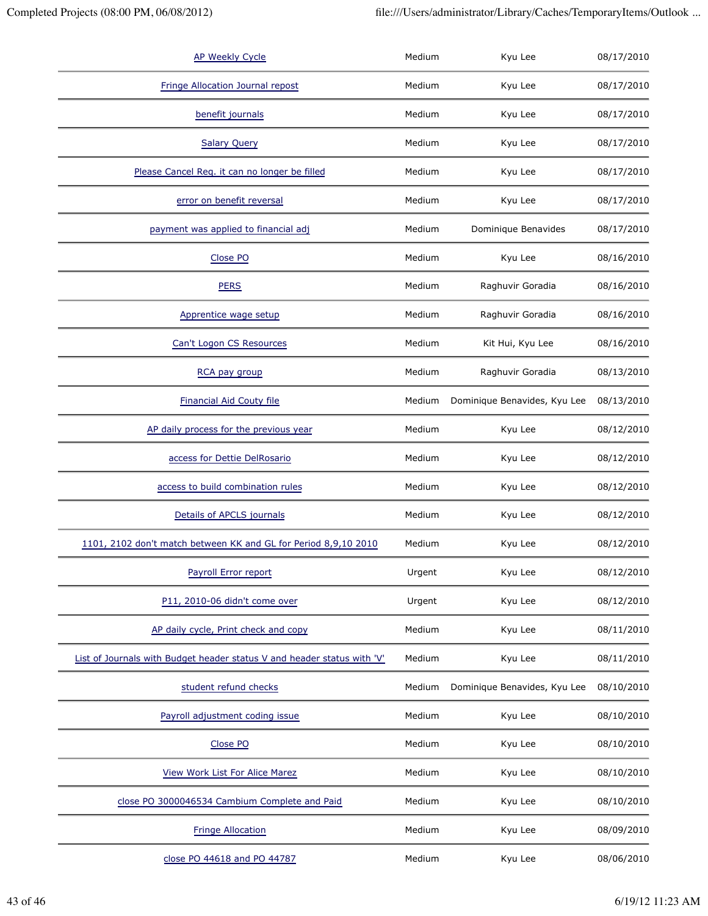| <b>AP Weekly Cycle</b>                                                  | Medium | Kyu Lee                      | 08/17/2010 |
|-------------------------------------------------------------------------|--------|------------------------------|------------|
| Fringe Allocation Journal repost                                        | Medium | Kyu Lee                      | 08/17/2010 |
| benefit journals                                                        | Medium | Kyu Lee                      | 08/17/2010 |
| <b>Salary Query</b>                                                     | Medium | Kyu Lee                      | 08/17/2010 |
| Please Cancel Req. it can no longer be filled                           | Medium | Kyu Lee                      | 08/17/2010 |
| error on benefit reversal                                               | Medium | Kyu Lee                      | 08/17/2010 |
| payment was applied to financial adj                                    | Medium | Dominique Benavides          | 08/17/2010 |
| Close PO                                                                | Medium | Kyu Lee                      | 08/16/2010 |
| <b>PERS</b>                                                             | Medium | Raghuvir Goradia             | 08/16/2010 |
| Apprentice wage setup                                                   | Medium | Raghuvir Goradia             | 08/16/2010 |
| Can't Logon CS Resources                                                | Medium | Kit Hui, Kyu Lee             | 08/16/2010 |
| RCA pay group                                                           | Medium | Raghuvir Goradia             | 08/13/2010 |
| <b>Financial Aid Couty file</b>                                         | Medium | Dominique Benavides, Kyu Lee | 08/13/2010 |
| AP daily process for the previous year                                  | Medium | Kyu Lee                      | 08/12/2010 |
| access for Dettie DelRosario                                            | Medium | Kyu Lee                      | 08/12/2010 |
| access to build combination rules                                       | Medium | Kyu Lee                      | 08/12/2010 |
| Details of APCLS journals                                               | Medium | Kyu Lee                      | 08/12/2010 |
| 1101, 2102 don't match between KK and GL for Period 8,9,10 2010         | Medium | Kyu Lee                      | 08/12/2010 |
| Payroll Error report                                                    | Urgent | Kyu Lee                      | 08/12/2010 |
| P11, 2010-06 didn't come over                                           | Urgent | Kyu Lee                      | 08/12/2010 |
| AP daily cycle, Print check and copy                                    | Medium | Kyu Lee                      | 08/11/2010 |
| List of Journals with Budget header status V and header status with 'V' | Medium | Kyu Lee                      | 08/11/2010 |
| student refund checks                                                   | Medium | Dominique Benavides, Kyu Lee | 08/10/2010 |
| Payroll adjustment coding issue                                         | Medium | Kyu Lee                      | 08/10/2010 |
| Close PO                                                                | Medium | Kyu Lee                      | 08/10/2010 |
| <b>View Work List For Alice Marez</b>                                   | Medium | Kyu Lee                      | 08/10/2010 |
| close PO 3000046534 Cambium Complete and Paid                           | Medium | Kyu Lee                      | 08/10/2010 |
| <b>Fringe Allocation</b>                                                | Medium | Kyu Lee                      | 08/09/2010 |
| close PO 44618 and PO 44787                                             | Medium | Kyu Lee                      | 08/06/2010 |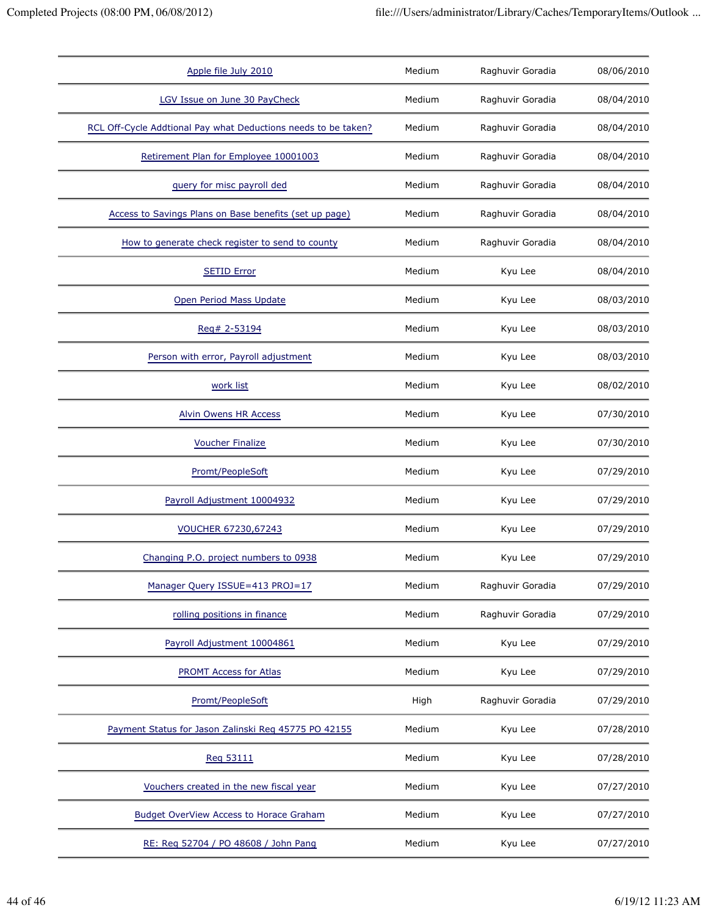|                                                                | Medium |                  |            |
|----------------------------------------------------------------|--------|------------------|------------|
| Apple file July 2010                                           |        | Raghuvir Goradia | 08/06/2010 |
| LGV Issue on June 30 PayCheck                                  | Medium | Raghuvir Goradia | 08/04/2010 |
| RCL Off-Cycle Addtional Pay what Deductions needs to be taken? | Medium | Raghuvir Goradia | 08/04/2010 |
| Retirement Plan for Employee 10001003                          | Medium | Raghuvir Goradia | 08/04/2010 |
| guery for misc payroll ded                                     | Medium | Raghuvir Goradia | 08/04/2010 |
| Access to Savings Plans on Base benefits (set up page)         | Medium | Raghuvir Goradia | 08/04/2010 |
| How to generate check register to send to county               | Medium | Raghuvir Goradia | 08/04/2010 |
| <b>SETID Error</b>                                             | Medium | Kyu Lee          | 08/04/2010 |
| Open Period Mass Update                                        | Medium | Kyu Lee          | 08/03/2010 |
| Req# 2-53194                                                   | Medium | Kyu Lee          | 08/03/2010 |
| Person with error, Payroll adjustment                          | Medium | Kyu Lee          | 08/03/2010 |
| work list                                                      | Medium | Kyu Lee          | 08/02/2010 |
| <b>Alvin Owens HR Access</b>                                   | Medium | Kyu Lee          | 07/30/2010 |
| <b>Voucher Finalize</b>                                        | Medium | Kyu Lee          | 07/30/2010 |
| Promt/PeopleSoft                                               | Medium | Kyu Lee          | 07/29/2010 |
| Payroll Adjustment 10004932                                    | Medium | Kyu Lee          | 07/29/2010 |
| VOUCHER 67230,67243                                            | Medium | Kyu Lee          | 07/29/2010 |
| Changing P.O. project numbers to 0938                          | Medium | Kyu Lee          | 07/29/2010 |
| Manager Query ISSUE=413 PROJ=17                                | Medium | Raghuvir Goradia | 07/29/2010 |
| rolling positions in finance                                   | Medium | Raghuvir Goradia | 07/29/2010 |
| Payroll Adjustment 10004861                                    | Medium | Kyu Lee          | 07/29/2010 |
| <b>PROMT Access for Atlas</b>                                  | Medium | Kyu Lee          | 07/29/2010 |
| Promt/PeopleSoft                                               | High   | Raghuvir Goradia | 07/29/2010 |
| Payment Status for Jason Zalinski Reg 45775 PO 42155           | Medium | Kyu Lee          | 07/28/2010 |
| Reg 53111                                                      | Medium | Kyu Lee          | 07/28/2010 |
| Vouchers created in the new fiscal year                        | Medium | Kyu Lee          | 07/27/2010 |
| Budget OverView Access to Horace Graham                        | Medium | Kyu Lee          | 07/27/2010 |
| RE: Reg 52704 / PO 48608 / John Pang                           | Medium | Kyu Lee          | 07/27/2010 |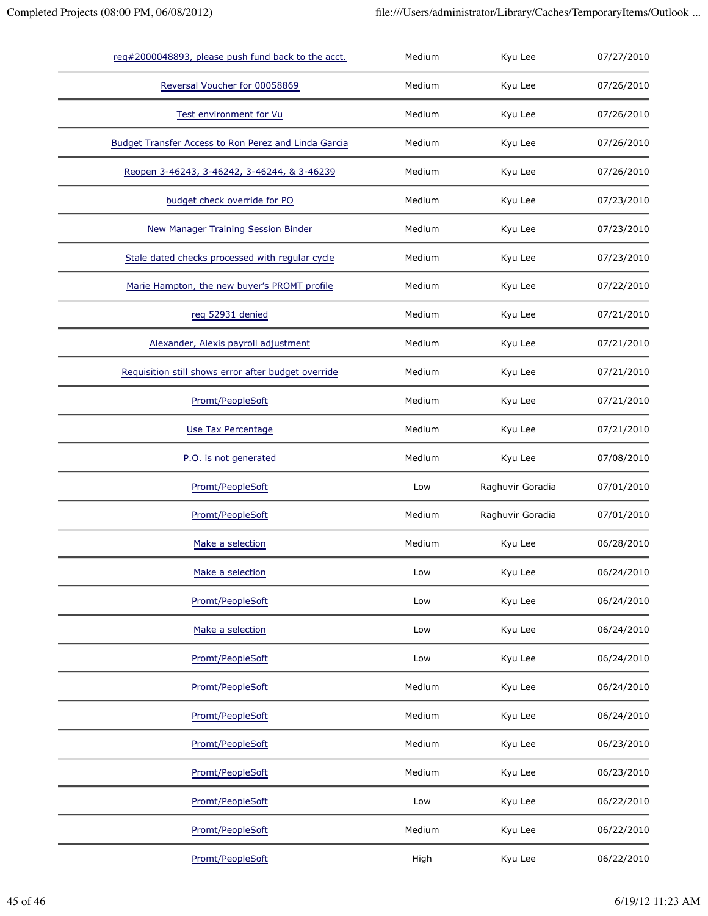| req#2000048893, please push fund back to the acct.   | Medium | Kyu Lee          | 07/27/2010 |
|------------------------------------------------------|--------|------------------|------------|
| Reversal Voucher for 00058869                        | Medium | Kyu Lee          | 07/26/2010 |
| Test environment for Vu                              | Medium | Kyu Lee          | 07/26/2010 |
| Budget Transfer Access to Ron Perez and Linda Garcia | Medium | Kyu Lee          | 07/26/2010 |
| Reopen 3-46243, 3-46242, 3-46244, & 3-46239          | Medium | Kyu Lee          | 07/26/2010 |
| budget check override for PO                         | Medium | Kyu Lee          | 07/23/2010 |
| <b>New Manager Training Session Binder</b>           | Medium | Kyu Lee          | 07/23/2010 |
| Stale dated checks processed with regular cycle      | Medium | Kyu Lee          | 07/23/2010 |
| Marie Hampton, the new buyer's PROMT profile         | Medium | Kyu Lee          | 07/22/2010 |
| reg 52931 denied                                     | Medium | Kyu Lee          | 07/21/2010 |
| Alexander, Alexis payroll adjustment                 | Medium | Kyu Lee          | 07/21/2010 |
| Requisition still shows error after budget override  | Medium | Kyu Lee          | 07/21/2010 |
| Promt/PeopleSoft                                     | Medium | Kyu Lee          | 07/21/2010 |
| Use Tax Percentage                                   | Medium | Kyu Lee          | 07/21/2010 |
| P.O. is not generated                                | Medium | Kyu Lee          | 07/08/2010 |
| Promt/PeopleSoft                                     | Low    | Raghuvir Goradia | 07/01/2010 |
| Promt/PeopleSoft                                     | Medium | Raghuvir Goradia | 07/01/2010 |
| Make a selection                                     | Medium | Kyu Lee          | 06/28/2010 |
| Make a selection                                     | Low    | Kyu Lee          | 06/24/2010 |
| Promt/PeopleSoft                                     | Low    | Kyu Lee          | 06/24/2010 |
| Make a selection                                     | Low    | Kyu Lee          | 06/24/2010 |
| Promt/PeopleSoft                                     | Low    | Kyu Lee          | 06/24/2010 |
| Promt/PeopleSoft                                     | Medium | Kyu Lee          | 06/24/2010 |
| Promt/PeopleSoft                                     | Medium | Kyu Lee          | 06/24/2010 |
| Promt/PeopleSoft                                     | Medium | Kyu Lee          | 06/23/2010 |
| Promt/PeopleSoft                                     | Medium | Kyu Lee          | 06/23/2010 |
| Promt/PeopleSoft                                     | Low    | Kyu Lee          | 06/22/2010 |
| Promt/PeopleSoft                                     | Medium | Kyu Lee          | 06/22/2010 |
| Promt/PeopleSoft                                     | High   | Kyu Lee          | 06/22/2010 |